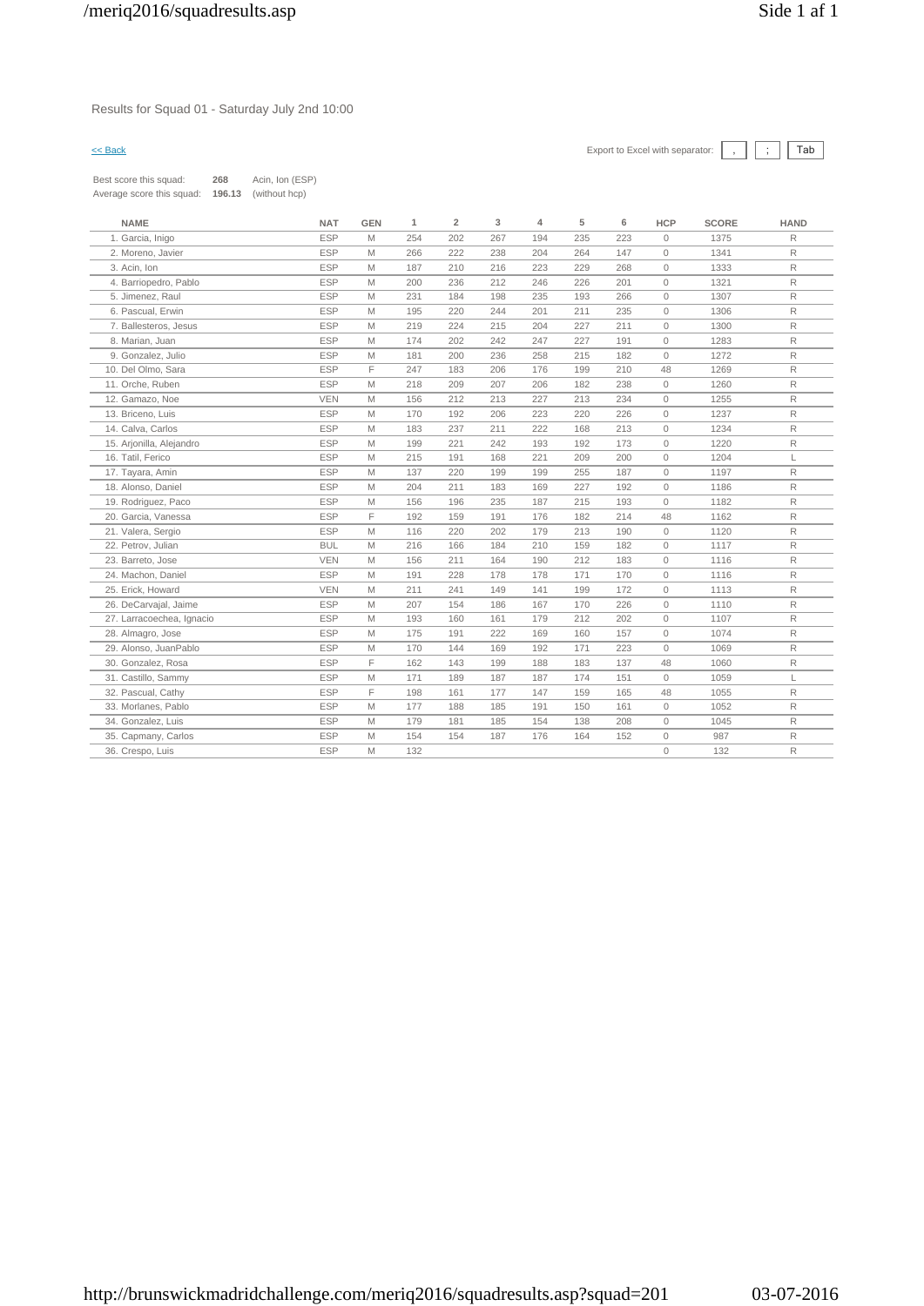Results for Squad 01 - Saturday July 2nd 10:00

 $\leq$  Back Export to Excel with separator:  $\boxed{\phantom{s}}$   $\boxed{\phantom{s}}$   $\boxed{\phantom{s}}$ 

| Best score this squad:    | 268    | Acin, Ion (ESP) |
|---------------------------|--------|-----------------|
| Average score this squad: | 196.13 | (without hcp)   |

| <b>NAME</b>               | <b>NAT</b> | <b>GEN</b> | $\mathbf{1}$ | $\overline{2}$ | 3   | 4   | 5   | 6   | <b>HCP</b>          | <b>SCORE</b> | <b>HAND</b>  |
|---------------------------|------------|------------|--------------|----------------|-----|-----|-----|-----|---------------------|--------------|--------------|
| 1. Garcia, Inigo          | <b>ESP</b> | M          | 254          | 202            | 267 | 194 | 235 | 223 | $\circ$             | 1375         | $\mathsf R$  |
| 2. Moreno, Javier         | <b>ESP</b> | M          | 266          | 222            | 238 | 204 | 264 | 147 | $\circ$             | 1341         | $\mathsf R$  |
| 3. Acin, Ion              | <b>ESP</b> | M          | 187          | 210            | 216 | 223 | 229 | 268 | $\circ$             | 1333         | $\mathsf{R}$ |
| 4. Barriopedro, Pablo     | <b>ESP</b> | M          | 200          | 236            | 212 | 246 | 226 | 201 | $\circ$             | 1321         | $\mathsf R$  |
| 5. Jimenez, Raul          | <b>ESP</b> | M          | 231          | 184            | 198 | 235 | 193 | 266 | $\circ$             | 1307         | R            |
| 6. Pascual, Erwin         | <b>ESP</b> | M          | 195          | 220            | 244 | 201 | 211 | 235 | 0                   | 1306         | $\mathsf R$  |
| 7. Ballesteros, Jesus     | <b>ESP</b> | M          | 219          | 224            | 215 | 204 | 227 | 211 | $\circ$             | 1300         | R            |
| 8. Marian, Juan           | <b>ESP</b> | M          | 174          | 202            | 242 | 247 | 227 | 191 | $\circ$             | 1283         | $\mathsf R$  |
| 9. Gonzalez, Julio        | <b>ESP</b> | M          | 181          | 200            | 236 | 258 | 215 | 182 | $\circ$             | 1272         | R            |
| 10. Del Olmo, Sara        | <b>ESP</b> | F          | 247          | 183            | 206 | 176 | 199 | 210 | 48                  | 1269         | R            |
| 11. Orche, Ruben          | <b>ESP</b> | M          | 218          | 209            | 207 | 206 | 182 | 238 | $\circ$             | 1260         | $\mathsf R$  |
| 12. Gamazo, Noe           | <b>VEN</b> | M          | 156          | 212            | 213 | 227 | 213 | 234 | $\circ$             | 1255         | R            |
| 13. Briceno, Luis         | <b>ESP</b> | M          | 170          | 192            | 206 | 223 | 220 | 226 | $\circ$             | 1237         | $\mathsf R$  |
| 14. Calva, Carlos         | <b>ESP</b> | M          | 183          | 237            | 211 | 222 | 168 | 213 | $\circ$             | 1234         | $\mathsf R$  |
| 15. Arjonilla, Alejandro  | <b>ESP</b> | M          | 199          | 221            | 242 | 193 | 192 | 173 | $\circ$             | 1220         | $\mathsf R$  |
| 16. Tatil, Ferico         | <b>ESP</b> | M          | 215          | 191            | 168 | 221 | 209 | 200 | $\circ$             | 1204         | L            |
| 17. Tayara, Amin          | <b>ESP</b> | M          | 137          | 220            | 199 | 199 | 255 | 187 | $\circ$             | 1197         | R            |
| 18. Alonso, Daniel        | <b>ESP</b> | M          | 204          | 211            | 183 | 169 | 227 | 192 | $\circ$             | 1186         | $\mathsf R$  |
| 19. Rodriguez, Paco       | <b>ESP</b> | M          | 156          | 196            | 235 | 187 | 215 | 193 | $\circ$             | 1182         | $\mathsf{R}$ |
| 20. Garcia, Vanessa       | <b>ESP</b> | F          | 192          | 159            | 191 | 176 | 182 | 214 | 48                  | 1162         | $\mathsf{R}$ |
| 21. Valera, Sergio        | <b>ESP</b> | M          | 116          | 220            | 202 | 179 | 213 | 190 | $\circ$             | 1120         | $\mathsf{R}$ |
| 22. Petrov, Julian        | <b>BUL</b> | M          | 216          | 166            | 184 | 210 | 159 | 182 | $\mathsf{O}\xspace$ | 1117         | $\mathsf R$  |
| 23. Barreto, Jose         | <b>VEN</b> | M          | 156          | 211            | 164 | 190 | 212 | 183 | $\circ$             | 1116         | $\mathsf R$  |
| 24. Machon, Daniel        | <b>ESP</b> | M          | 191          | 228            | 178 | 178 | 171 | 170 | $\circ$             | 1116         | $\mathsf R$  |
| 25. Erick, Howard         | <b>VEN</b> | M          | 211          | 241            | 149 | 141 | 199 | 172 | $\circ$             | 1113         | $\mathsf{R}$ |
| 26. DeCarvajal, Jaime     | <b>ESP</b> | M          | 207          | 154            | 186 | 167 | 170 | 226 | $\circ$             | 1110         | $\mathsf{R}$ |
| 27. Larracoechea, Ignacio | <b>ESP</b> | M          | 193          | 160            | 161 | 179 | 212 | 202 | $\circ$             | 1107         | $\mathsf R$  |
| 28. Almagro, Jose         | <b>ESP</b> | M          | 175          | 191            | 222 | 169 | 160 | 157 | $\circ$             | 1074         | $\mathsf R$  |
| 29. Alonso, JuanPablo     | <b>ESP</b> | M          | 170          | 144            | 169 | 192 | 171 | 223 | $\circ$             | 1069         | $\mathsf R$  |
| 30. Gonzalez, Rosa        | <b>ESP</b> | F          | 162          | 143            | 199 | 188 | 183 | 137 | 48                  | 1060         | $\mathsf{R}$ |
| 31. Castillo, Sammy       | <b>ESP</b> | M          | 171          | 189            | 187 | 187 | 174 | 151 | $\circ$             | 1059         | L            |
| 32. Pascual, Cathy        | <b>ESP</b> | F          | 198          | 161            | 177 | 147 | 159 | 165 | 48                  | 1055         | $\mathsf{R}$ |
| 33. Morlanes, Pablo       | <b>ESP</b> | M          | 177          | 188            | 185 | 191 | 150 | 161 | $\circ$             | 1052         | $\mathsf{R}$ |
| 34. Gonzalez, Luis        | <b>ESP</b> | M          | 179          | 181            | 185 | 154 | 138 | 208 | $\circ$             | 1045         | $\mathsf{R}$ |
| 35. Capmany, Carlos       | <b>ESP</b> | M          | 154          | 154            | 187 | 176 | 164 | 152 | $\circ$             | 987          | $\mathsf{R}$ |
| 36. Crespo, Luis          | <b>ESP</b> | M          | 132          |                |     |     |     |     | $\circ$             | 132          | $\mathsf R$  |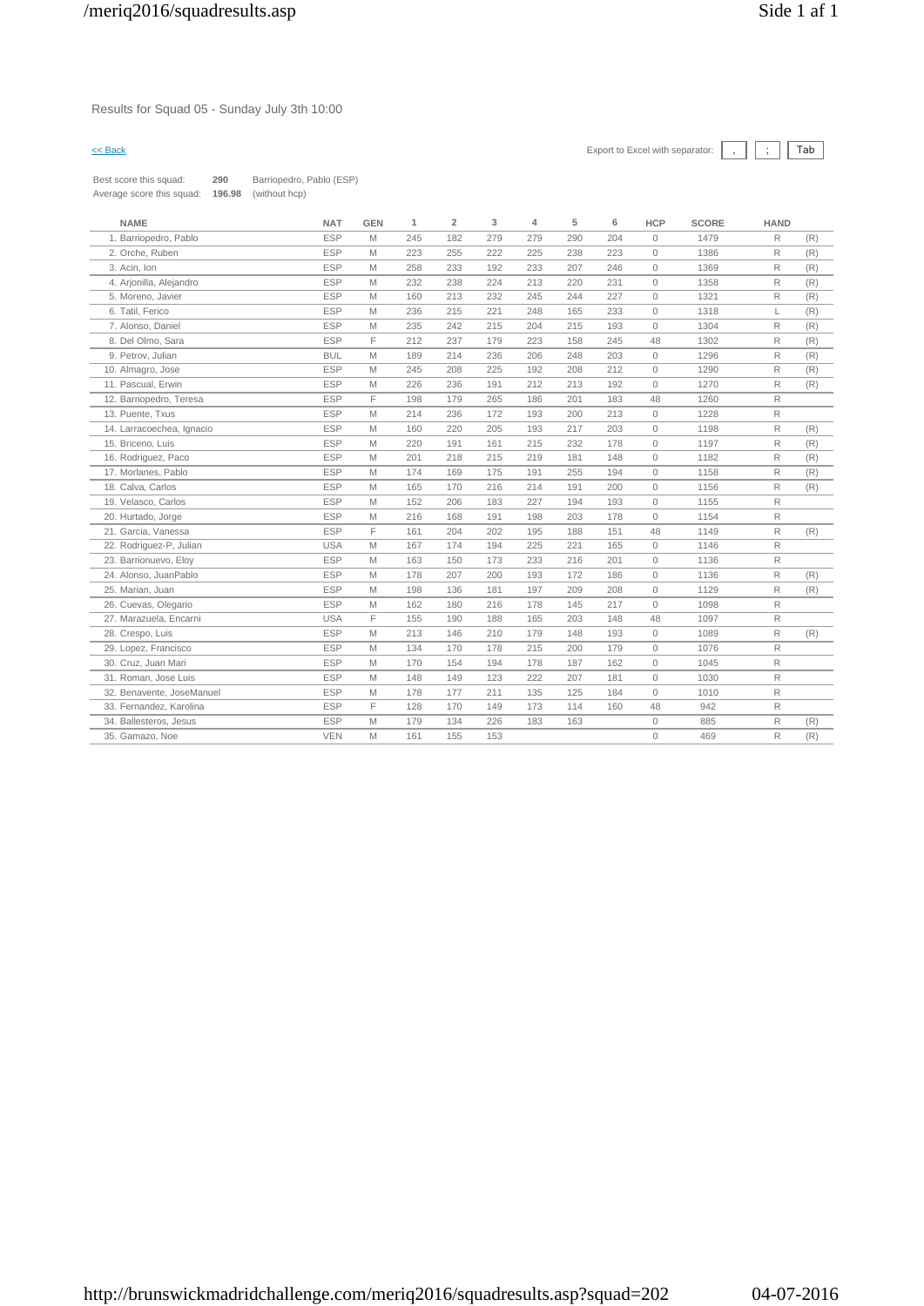# Results for Squad 05 - Sunday July 3th 10:00

| Best score this squad:    | 290    | Barriopedro, Pablo (ESP) |
|---------------------------|--------|--------------------------|
| Average score this squad: | 196.98 | (without hcp)            |

| <b>NAME</b>               | <b>NAT</b> | <b>GEN</b> | $\mathbf{1}$ | $\overline{2}$ | 3   | 4   | 5   | 6   | <b>HCP</b> | <b>SCORE</b> | <b>HAND</b>  |     |
|---------------------------|------------|------------|--------------|----------------|-----|-----|-----|-----|------------|--------------|--------------|-----|
| 1. Barriopedro, Pablo     | <b>ESP</b> | M          | 245          | 182            | 279 | 279 | 290 | 204 | $\Omega$   | 1479         | $\mathsf{R}$ | (R) |
| 2. Orche, Ruben           | <b>ESP</b> | M          | 223          | 255            | 222 | 225 | 238 | 223 | $\circ$    | 1386         | R            | (R) |
| 3. Acin, Ion              | <b>ESP</b> | M          | 258          | 233            | 192 | 233 | 207 | 246 | $\circ$    | 1369         | $\mathsf{R}$ | (R) |
| 4. Arjonilla, Alejandro   | <b>ESP</b> | M          | 232          | 238            | 224 | 213 | 220 | 231 | $\circ$    | 1358         | $\mathsf{R}$ | (R) |
| 5. Moreno, Javier         | <b>ESP</b> | M          | 160          | 213            | 232 | 245 | 244 | 227 | $\circ$    | 1321         | $\mathsf{R}$ | (R) |
| 6. Tatil, Ferico          | <b>ESP</b> | M          | 236          | 215            | 221 | 248 | 165 | 233 | $\circ$    | 1318         | L.           | (R) |
| 7. Alonso, Daniel         | <b>ESP</b> | M          | 235          | 242            | 215 | 204 | 215 | 193 | $\circ$    | 1304         | R            | (R) |
| 8. Del Olmo, Sara         | <b>ESP</b> | E          | 212          | 237            | 179 | 223 | 158 | 245 | 48         | 1302         | $\mathsf{R}$ | (R) |
| 9. Petrov, Julian         | <b>BUL</b> | M          | 189          | 214            | 236 | 206 | 248 | 203 | $\circ$    | 1296         | R            | (R) |
| 10. Almagro, Jose         | <b>ESP</b> | M          | 245          | 208            | 225 | 192 | 208 | 212 | $\circ$    | 1290         | $\mathsf{R}$ | (R) |
| 11. Pascual, Erwin        | <b>ESP</b> | M          | 226          | 236            | 191 | 212 | 213 | 192 | $\circ$    | 1270         | R            | (R) |
| 12. Barriopedro, Teresa   | <b>ESP</b> | F          | 198          | 179            | 265 | 186 | 201 | 183 | 48         | 1260         | R            |     |
| 13. Puente, Txus          | <b>ESP</b> | M          | 214          | 236            | 172 | 193 | 200 | 213 | $\circ$    | 1228         | $\mathsf{R}$ |     |
| 14. Larracoechea, Ignacio | <b>ESP</b> | M          | 160          | 220            | 205 | 193 | 217 | 203 | $\circ$    | 1198         | $\mathsf{R}$ | (R) |
| 15. Briceno, Luis         | <b>ESP</b> | M          | 220          | 191            | 161 | 215 | 232 | 178 | $\Omega$   | 1197         | $\mathsf{R}$ | (R) |
| 16. Rodriguez, Paco       | <b>ESP</b> | M          | 201          | 218            | 215 | 219 | 181 | 148 | $\circ$    | 1182         | $\mathsf{R}$ | (R) |
| 17. Morlanes, Pablo       | <b>ESP</b> | M          | 174          | 169            | 175 | 191 | 255 | 194 | $\circ$    | 1158         | $\mathsf{R}$ | (R) |
| 18. Calva, Carlos         | <b>ESP</b> | M          | 165          | 170            | 216 | 214 | 191 | 200 | $\circ$    | 1156         | R            | (R) |
| 19. Velasco, Carlos       | <b>ESP</b> | M          | 152          | 206            | 183 | 227 | 194 | 193 | $\circ$    | 1155         | $\mathsf{R}$ |     |
| 20. Hurtado, Jorge        | <b>ESP</b> | M          | 216          | 168            | 191 | 198 | 203 | 178 | $\circ$    | 1154         | $\mathsf{R}$ |     |
| 21. Garcia, Vanessa       | <b>ESP</b> | F          | 161          | 204            | 202 | 195 | 188 | 151 | 48         | 1149         | $\mathsf{R}$ | (R) |
| 22. Rodriguez-P, Julian   | <b>USA</b> | M          | 167          | 174            | 194 | 225 | 221 | 165 | 0          | 1146         | R            |     |
| 23. Barrionuevo, Eloy     | <b>ESP</b> | M          | 163          | 150            | 173 | 233 | 216 | 201 | $\circ$    | 1136         | $\mathsf{R}$ |     |
| 24. Alonso, JuanPablo     | <b>ESP</b> | M          | 178          | 207            | 200 | 193 | 172 | 186 | $\circ$    | 1136         | $\mathsf{R}$ | (R) |
| 25. Marian, Juan          | <b>ESP</b> | M          | 198          | 136            | 181 | 197 | 209 | 208 | $\circ$    | 1129         | $\mathsf{R}$ | (R) |
| 26. Cuevas, Olegario      | <b>ESP</b> | M          | 162          | 180            | 216 | 178 | 145 | 217 | $\circ$    | 1098         | $\mathsf R$  |     |
| 27. Marazuela, Encarni    | <b>USA</b> | F          | 155          | 190            | 188 | 165 | 203 | 148 | 48         | 1097         | $\mathsf{R}$ |     |
| 28. Crespo, Luis          | <b>ESP</b> | M          | 213          | 146            | 210 | 179 | 148 | 193 | $\circ$    | 1089         | $\mathsf{R}$ | (R) |
| 29. Lopez, Francisco      | <b>ESP</b> | M          | 134          | 170            | 178 | 215 | 200 | 179 | $\circ$    | 1076         | R            |     |
| 30. Cruz, Juan Mari       | <b>ESP</b> | M          | 170          | 154            | 194 | 178 | 187 | 162 | $\circ$    | 1045         | R            |     |
| 31. Roman, Jose Luis      | <b>ESP</b> | M          | 148          | 149            | 123 | 222 | 207 | 181 | $\circ$    | 1030         | R.           |     |
| 32. Benavente, JoseManuel | <b>ESP</b> | M          | 178          | 177            | 211 | 135 | 125 | 184 | $\circ$    | 1010         | $\mathsf R$  |     |
| 33. Fernandez, Karolina   | <b>ESP</b> | F          | 128          | 170            | 149 | 173 | 114 | 160 | 48         | 942          | $\mathsf{R}$ |     |
| 34. Ballesteros, Jesus    | <b>ESP</b> | M          | 179          | 134            | 226 | 183 | 163 |     | $\circ$    | 885          | $\mathsf R$  | (R) |
| 35. Gamazo, Noe           | <b>VEN</b> | M          | 161          | 155            | 153 |     |     |     | $\Omega$   | 469          | R            | (R) |
|                           |            |            |              |                |     |     |     |     |            |              |              |     |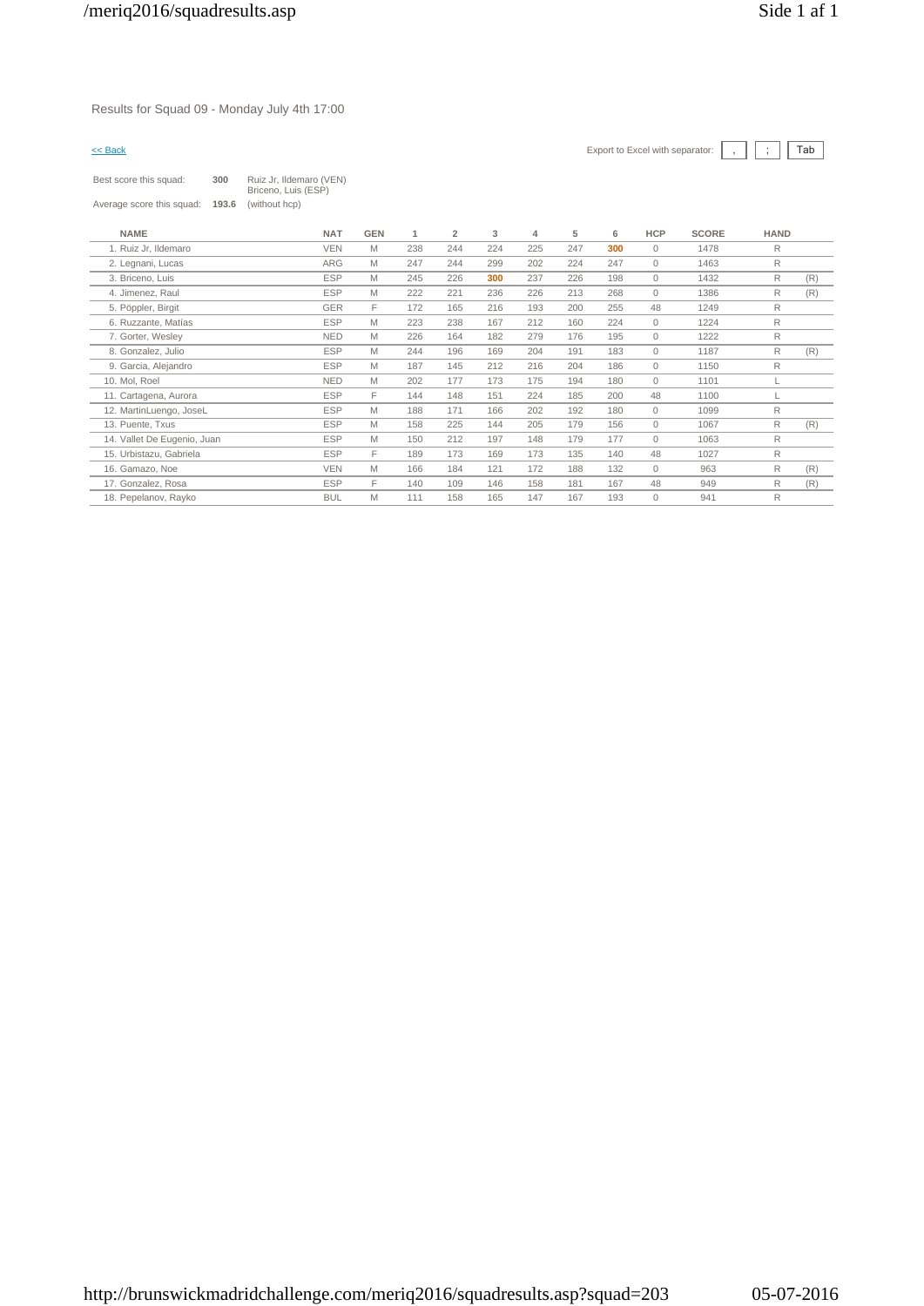Results for Squad 09 - Monday July 4th 17:00

| ac<br>٦ |  |
|---------|--|

| Best score this squad:      | 300   | Ruiz Jr, Ildemaro (VEN)<br>Briceno, Luis (ESP) |            |     |                |     |     |     |     |              |              |             |     |
|-----------------------------|-------|------------------------------------------------|------------|-----|----------------|-----|-----|-----|-----|--------------|--------------|-------------|-----|
| Average score this squad:   | 193.6 | (without hcp)                                  |            |     |                |     |     |     |     |              |              |             |     |
| <b>NAME</b>                 |       | <b>NAT</b>                                     | <b>GEN</b> | 1   | $\overline{2}$ | 3   | 4   | 5   | 6   | <b>HCP</b>   | <b>SCORE</b> | <b>HAND</b> |     |
| 1. Ruiz Jr, Ildemaro        |       | <b>VEN</b>                                     | M          | 238 | 244            | 224 | 225 | 247 | 300 | $\mathbf{0}$ | 1478         | R           |     |
| 2. Legnani, Lucas           |       | <b>ARG</b>                                     | M          | 247 | 244            | 299 | 202 | 224 | 247 | $\mathbf{0}$ | 1463         | R           |     |
| 3. Briceno, Luis            |       | <b>ESP</b>                                     | M          | 245 | 226            | 300 | 237 | 226 | 198 | $\mathbf{0}$ | 1432         | R           | (R) |
| 4. Jimenez, Raul            |       | <b>ESP</b>                                     | M          | 222 | 221            | 236 | 226 | 213 | 268 | $\mathbf{0}$ | 1386         | R           | (R) |
| 5. Pöppler, Birgit          |       | <b>GER</b>                                     | F          | 172 | 165            | 216 | 193 | 200 | 255 | 48           | 1249         | R           |     |
| 6. Ruzzante, Matías         |       | <b>ESP</b>                                     | M          | 223 | 238            | 167 | 212 | 160 | 224 | $\mathbf{0}$ | 1224         | R           |     |
| 7. Gorter, Wesley           |       | <b>NED</b>                                     | M          | 226 | 164            | 182 | 279 | 176 | 195 | $\mathbf{0}$ | 1222         | R           |     |
| 8. Gonzalez, Julio          |       | <b>ESP</b>                                     | M          | 244 | 196            | 169 | 204 | 191 | 183 | $\mathbf{0}$ | 1187         | R           | (R) |
| 9. Garcia, Alejandro        |       | <b>ESP</b>                                     | M          | 187 | 145            | 212 | 216 | 204 | 186 | $\Omega$     | 1150         | R           |     |
| 10. Mol. Roel               |       | <b>NED</b>                                     | M          | 202 | 177            | 173 | 175 | 194 | 180 | $\Omega$     | 1101         |             |     |
| 11. Cartagena, Aurora       |       | <b>ESP</b>                                     | F          | 144 | 148            | 151 | 224 | 185 | 200 | 48           | 1100         |             |     |
| 12. MartinLuengo, JoseL     |       | <b>ESP</b>                                     | M          | 188 | 171            | 166 | 202 | 192 | 180 | $\mathbf{0}$ | 1099         | R           |     |
| 13. Puente, Txus            |       | <b>ESP</b>                                     | M          | 158 | 225            | 144 | 205 | 179 | 156 | $\mathbf{0}$ | 1067         | R           | (R) |
| 14. Vallet De Eugenio, Juan |       | <b>ESP</b>                                     | M          | 150 | 212            | 197 | 148 | 179 | 177 | $\mathbf{0}$ | 1063         | R           |     |
| 15. Urbistazu, Gabriela     |       | <b>ESP</b>                                     | F          | 189 | 173            | 169 | 173 | 135 | 140 | 48           | 1027         | R           |     |
| 16. Gamazo, Noe             |       | <b>VEN</b>                                     | M          | 166 | 184            | 121 | 172 | 188 | 132 | $\Omega$     | 963          | R           | (R) |
| 17. Gonzalez, Rosa          |       | <b>ESP</b>                                     | F.         | 140 | 109            | 146 | 158 | 181 | 167 | 48           | 949          | R           | (R) |
| 18. Pepelanov, Rayko        |       | <b>BUL</b>                                     | M          | 111 | 158            | 165 | 147 | 167 | 193 | $\Omega$     | 941          | R           |     |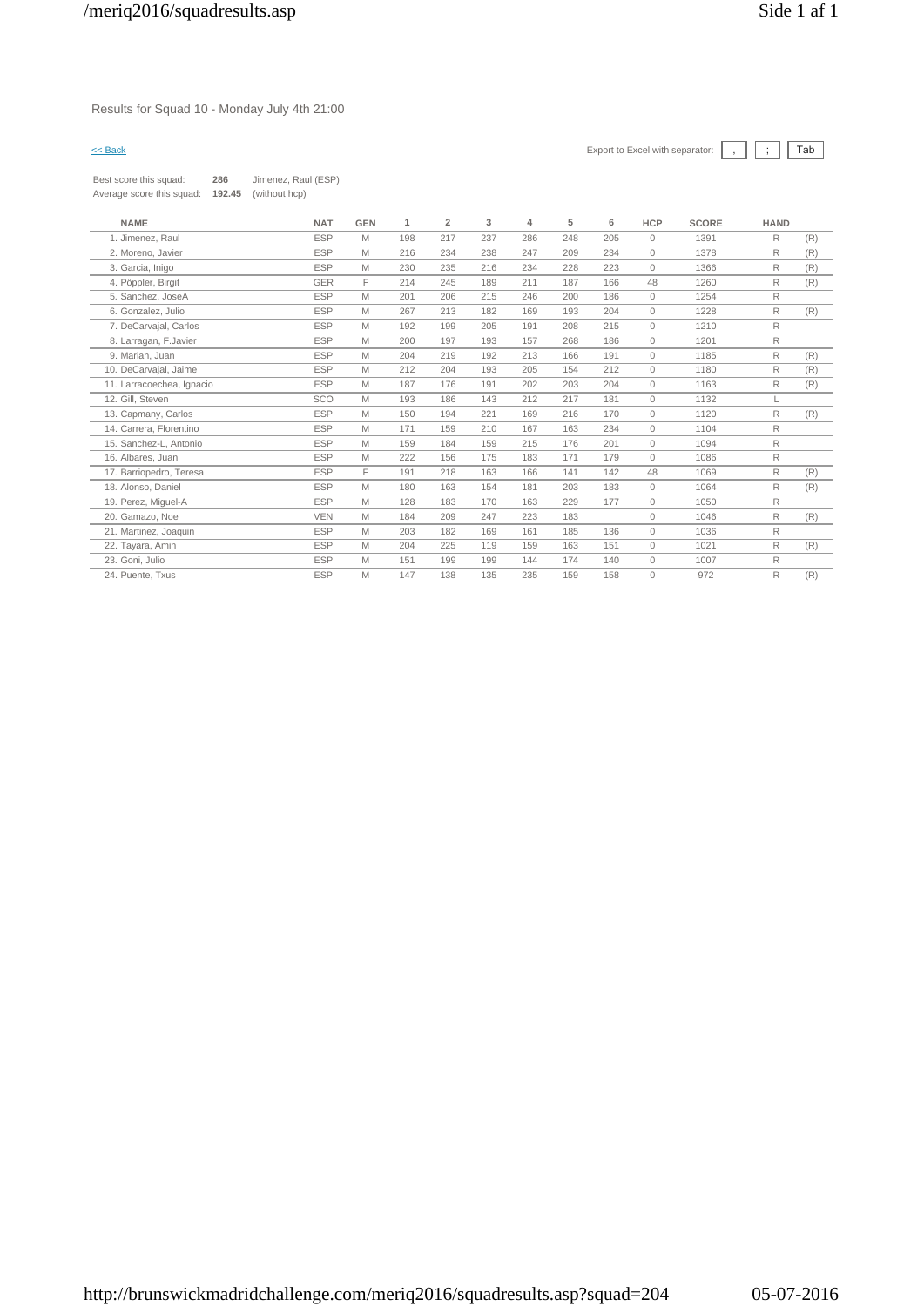# Results for Squad 10 - Monday July 4th 21:00

| Best score this squad:    | 286    | Jimenez, Raul (ESP) |
|---------------------------|--------|---------------------|
| Average score this squad: | 192.45 | (without hcp)       |

| <b>NAME</b>               | <b>NAT</b> | <b>GEN</b> | 1   | $\overline{2}$ | 3   | 4   | 5   | 6   | <b>HCP</b>   | <b>SCORE</b> | <b>HAND</b>  |     |
|---------------------------|------------|------------|-----|----------------|-----|-----|-----|-----|--------------|--------------|--------------|-----|
| 1. Jimenez, Raul          | <b>ESP</b> | M          | 198 | 217            | 237 | 286 | 248 | 205 | $\mathbf{0}$ | 1391         | R            | (R) |
| 2. Moreno, Javier         | <b>ESP</b> | M          | 216 | 234            | 238 | 247 | 209 | 234 | $\mathbf{0}$ | 1378         | $\mathsf{R}$ | (R) |
| 3. Garcia, Inigo          | <b>ESP</b> | M          | 230 | 235            | 216 | 234 | 228 | 223 | $\mathbf{0}$ | 1366         | R            | (R) |
| 4. Pöppler, Birgit        | <b>GER</b> | E          | 214 | 245            | 189 | 211 | 187 | 166 | 48           | 1260         | R            | (R) |
| 5. Sanchez, JoseA         | <b>ESP</b> | M          | 201 | 206            | 215 | 246 | 200 | 186 | $\circ$      | 1254         | $\mathsf{R}$ |     |
| 6. Gonzalez, Julio        | <b>ESP</b> | M          | 267 | 213            | 182 | 169 | 193 | 204 | $\mathbf{0}$ | 1228         | $\mathsf{R}$ | (R) |
| 7. DeCarvajal, Carlos     | <b>ESP</b> | M          | 192 | 199            | 205 | 191 | 208 | 215 | $\mathbf{0}$ | 1210         | $\mathsf{R}$ |     |
| 8. Larragan, F.Javier     | <b>ESP</b> | M          | 200 | 197            | 193 | 157 | 268 | 186 | $\circ$      | 1201         | R            |     |
| 9. Marian, Juan           | <b>ESP</b> | M          | 204 | 219            | 192 | 213 | 166 | 191 | $\mathbf{0}$ | 1185         | $\mathsf{R}$ | (R) |
| 10. DeCarvajal, Jaime     | <b>ESP</b> | M          | 212 | 204            | 193 | 205 | 154 | 212 | $\circ$      | 1180         | R            | (R) |
| 11. Larracoechea, Ignacio | <b>ESP</b> | M          | 187 | 176            | 191 | 202 | 203 | 204 | $\mathbf{0}$ | 1163         | R            | (R) |
| 12. Gill, Steven          | SCO        | M          | 193 | 186            | 143 | 212 | 217 | 181 | $\Omega$     | 1132         |              |     |
| 13. Capmany, Carlos       | <b>ESP</b> | M          | 150 | 194            | 221 | 169 | 216 | 170 | $\mathbf{0}$ | 1120         | R            | (R) |
| 14. Carrera, Florentino   | <b>ESP</b> | M          | 171 | 159            | 210 | 167 | 163 | 234 | $\mathbf{0}$ | 1104         | R            |     |
| 15. Sanchez-L, Antonio    | <b>ESP</b> | M          | 159 | 184            | 159 | 215 | 176 | 201 | $\mathbf{0}$ | 1094         | $\mathsf{R}$ |     |
| 16. Albares, Juan         | <b>ESP</b> | M          | 222 | 156            | 175 | 183 | 171 | 179 | $\mathbf{0}$ | 1086         | R            |     |
| 17. Barriopedro, Teresa   | <b>ESP</b> | F.         | 191 | 218            | 163 | 166 | 141 | 142 | 48           | 1069         | R            | (R) |
| 18. Alonso, Daniel        | <b>ESP</b> | M          | 180 | 163            | 154 | 181 | 203 | 183 | $\mathbf{0}$ | 1064         | R            | (R) |
| 19. Perez, Miguel-A       | <b>ESP</b> | M          | 128 | 183            | 170 | 163 | 229 | 177 | $\mathbf{0}$ | 1050         | R            |     |
| 20. Gamazo, Noe           | <b>VEN</b> | M          | 184 | 209            | 247 | 223 | 183 |     | $\mathbf{0}$ | 1046         | R            | (R) |
| 21. Martinez, Joaquin     | <b>ESP</b> | M          | 203 | 182            | 169 | 161 | 185 | 136 | $\mathbf{0}$ | 1036         | R            |     |
| 22. Tayara, Amin          | <b>ESP</b> | M          | 204 | 225            | 119 | 159 | 163 | 151 | $\mathbf{0}$ | 1021         | R            | (R) |
| 23. Goni, Julio           | <b>ESP</b> | M          | 151 | 199            | 199 | 144 | 174 | 140 | $\mathbf{0}$ | 1007         | R            |     |
| 24. Puente, Txus          | <b>ESP</b> | M          | 147 | 138            | 135 | 235 | 159 | 158 | $\mathbf{0}$ | 972          | R            | (R) |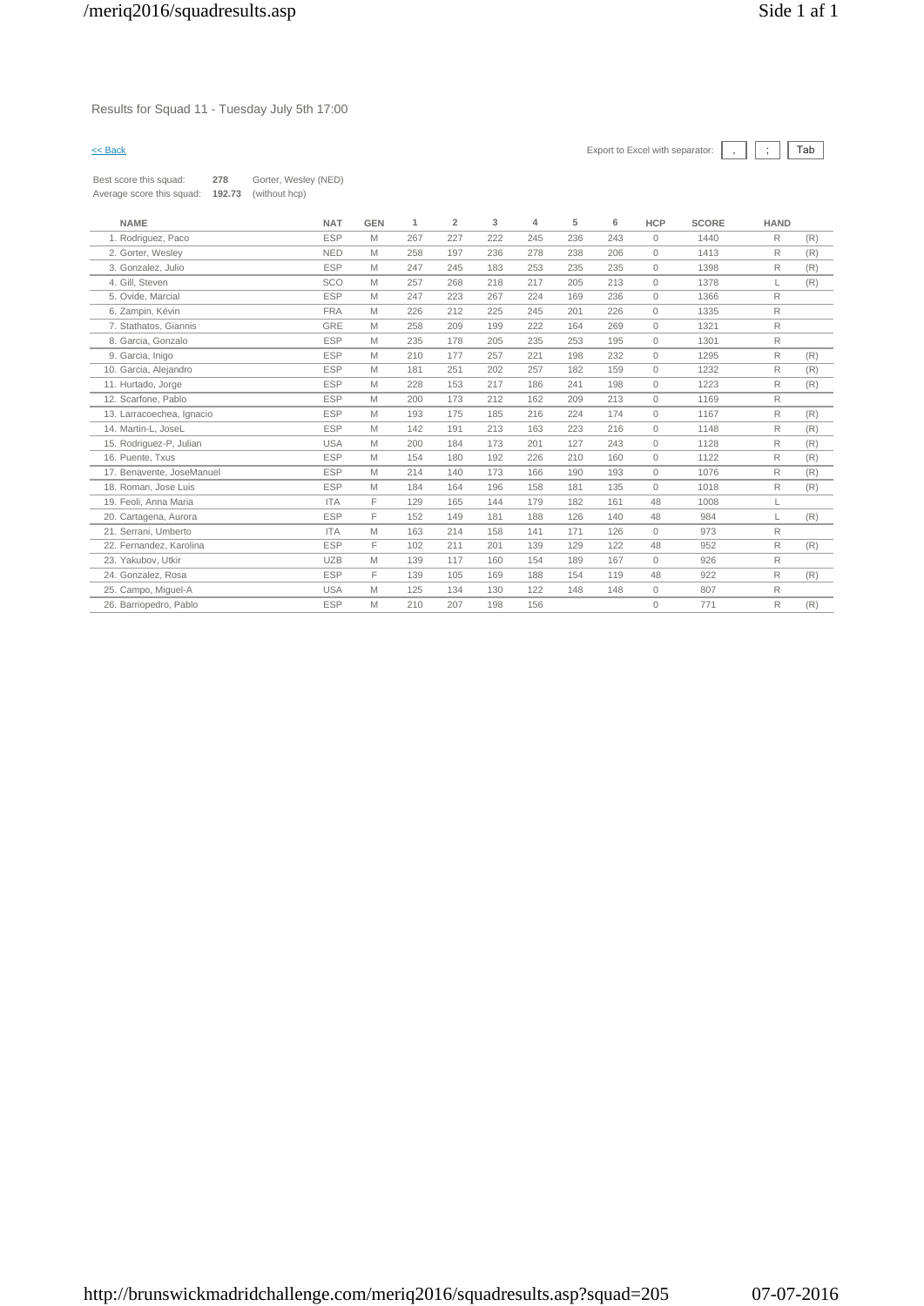# Results for Squad 11 - Tuesday July 5th 17:00

| Best score this squad:    | 278    | Gorter, Wesley (NED) |
|---------------------------|--------|----------------------|
| Average score this squad: | 192.73 | (without hcp)        |

| <b>NAME</b>               | <b>NAT</b> | <b>GEN</b> | 1   | $\overline{2}$ | 3   | 4   | 5   | 6   | <b>HCP</b> | <b>SCORE</b> | <b>HAND</b> |     |
|---------------------------|------------|------------|-----|----------------|-----|-----|-----|-----|------------|--------------|-------------|-----|
| 1. Rodriguez, Paco        | <b>ESP</b> | M          | 267 | 227            | 222 | 245 | 236 | 243 | $\Omega$   | 1440         | R           | (R) |
| 2. Gorter, Wesley         | <b>NED</b> | M          | 258 | 197            | 236 | 278 | 238 | 206 | $\Omega$   | 1413         | R           | (R) |
| 3. Gonzalez, Julio        | <b>ESP</b> | M          | 247 | 245            | 183 | 253 | 235 | 235 | $\Omega$   | 1398         | R           | (R) |
| 4. Gill, Steven           | <b>SCO</b> | M          | 257 | 268            | 218 | 217 | 205 | 213 | $\circ$    | 1378         |             | (R) |
| 5. Ovide, Marcial         | <b>ESP</b> | M          | 247 | 223            | 267 | 224 | 169 | 236 | $\Omega$   | 1366         | R           |     |
| 6. Zampin, Kévin          | <b>FRA</b> | M          | 226 | 212            | 225 | 245 | 201 | 226 | $\circ$    | 1335         | R           |     |
| 7. Stathatos, Giannis     | GRE        | M          | 258 | 209            | 199 | 222 | 164 | 269 | $\Omega$   | 1321         | R           |     |
| 8. Garcia, Gonzalo        | <b>ESP</b> | M          | 235 | 178            | 205 | 235 | 253 | 195 | $\circ$    | 1301         | R           |     |
| 9. Garcia, Inigo          | <b>ESP</b> | M          | 210 | 177            | 257 | 221 | 198 | 232 | $\Omega$   | 1295         | R           | (R) |
| 10. Garcia, Alejandro     | <b>ESP</b> | M          | 181 | 251            | 202 | 257 | 182 | 159 | $\circ$    | 1232         | R           | (R) |
| 11. Hurtado, Jorge        | <b>ESP</b> | M          | 228 | 153            | 217 | 186 | 241 | 198 | $\circ$    | 1223         | R           | (R) |
| 12. Scarfone, Pablo       | <b>ESP</b> | M          | 200 | 173            | 212 | 162 | 209 | 213 | $\circ$    | 1169         | R           |     |
| 13. Larracoechea, Ignacio | <b>ESP</b> | M          | 193 | 175            | 185 | 216 | 224 | 174 | $\Omega$   | 1167         | R           | (R) |
| 14. Martin-L. JoseL       | <b>ESP</b> | M          | 142 | 191            | 213 | 163 | 223 | 216 | $\circ$    | 1148         | R           | (R) |
| 15. Rodriguez-P, Julian   | <b>USA</b> | M          | 200 | 184            | 173 | 201 | 127 | 243 | $\circ$    | 1128         | R           | (R) |
| 16. Puente, Txus          | <b>ESP</b> | M          | 154 | 180            | 192 | 226 | 210 | 160 | $\Omega$   | 1122         | R           | (R) |
| 17. Benavente, JoseManuel | <b>ESP</b> | M          | 214 | 140            | 173 | 166 | 190 | 193 | $\Omega$   | 1076         | R           | (R) |
| 18. Roman, Jose Luis      | <b>ESP</b> | M          | 184 | 164            | 196 | 158 | 181 | 135 | $\Omega$   | 1018         | R           | (R) |
| 19. Feoli, Anna Maria     | <b>ITA</b> | F          | 129 | 165            | 144 | 179 | 182 | 161 | 48         | 1008         | L           |     |
| 20. Cartagena, Aurora     | <b>ESP</b> | F          | 152 | 149            | 181 | 188 | 126 | 140 | 48         | 984          | L           | (R) |
| 21. Serrani, Umberto      | <b>ITA</b> | M          | 163 | 214            | 158 | 141 | 171 | 126 | $\Omega$   | 973          | R           |     |
| 22. Fernandez, Karolina   | <b>ESP</b> | F          | 102 | 211            | 201 | 139 | 129 | 122 | 48         | 952          | R           | (R) |
| 23. Yakubov, Utkir        | <b>UZB</b> | M          | 139 | 117            | 160 | 154 | 189 | 167 | $\circ$    | 926          | R           |     |
| 24. Gonzalez, Rosa        | <b>ESP</b> | F.         | 139 | 105            | 169 | 188 | 154 | 119 | 48         | 922          | R           | (R) |
| 25. Campo, Miguel-A       | <b>USA</b> | M          | 125 | 134            | 130 | 122 | 148 | 148 | $\circ$    | 807          | R           |     |
| 26. Barriopedro, Pablo    | <b>ESP</b> | M          | 210 | 207            | 198 | 156 |     |     | $\Omega$   | 771          | R           | (R) |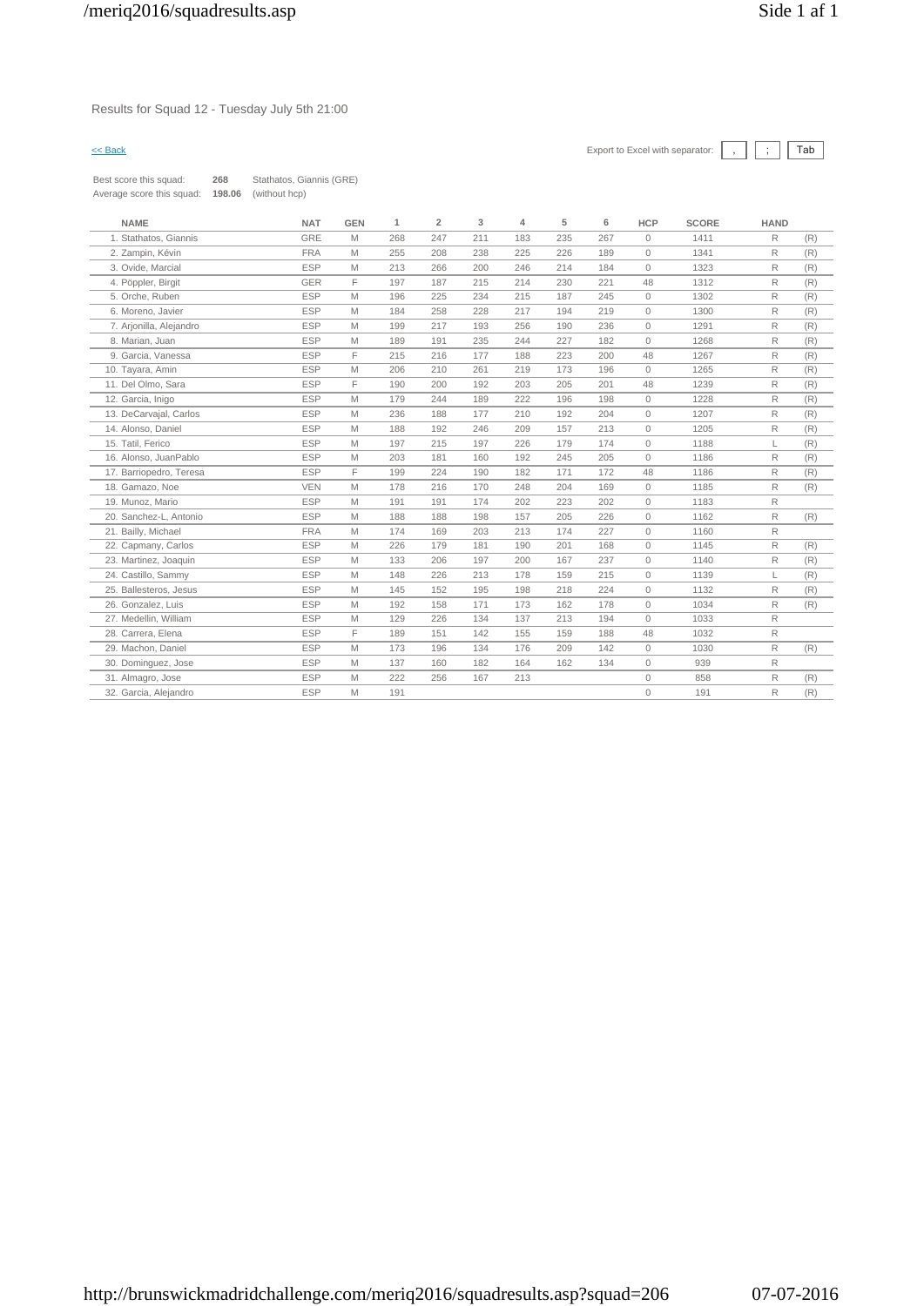# Results for Squad 12 - Tuesday July 5th 21:00

| Best score this squad:    | 268    | Stathatos, Giannis (GRE) |
|---------------------------|--------|--------------------------|
| Average score this squad: | 198.06 | (without hcp)            |

| <b>NAME</b>             | <b>NAT</b> | <b>GEN</b> | 1   | $\overline{2}$ | 3   | 4   | 5   | 6   | <b>HCP</b>   | <b>SCORE</b> | <b>HAND</b>  |     |
|-------------------------|------------|------------|-----|----------------|-----|-----|-----|-----|--------------|--------------|--------------|-----|
| 1. Stathatos, Giannis   | GRE        | M          | 268 | 247            | 211 | 183 | 235 | 267 | $\circ$      | 1411         | R            | (R) |
| 2. Zampin, Kévin        | <b>FRA</b> | M          | 255 | 208            | 238 | 225 | 226 | 189 | $\circ$      | 1341         | R            | (R) |
| 3. Ovide, Marcial       | <b>ESP</b> | M          | 213 | 266            | 200 | 246 | 214 | 184 | $\circ$      | 1323         | R            | (R) |
| 4. Pöppler, Birgit      | GER        | E          | 197 | 187            | 215 | 214 | 230 | 221 | 48           | 1312         | R            | (R) |
| 5. Orche, Ruben         | <b>ESP</b> | M          | 196 | 225            | 234 | 215 | 187 | 245 | $\circ$      | 1302         | R            | (R) |
| 6. Moreno, Javier       | <b>ESP</b> | M          | 184 | 258            | 228 | 217 | 194 | 219 | $\circ$      | 1300         | R            | (R) |
| 7. Arjonilla, Alejandro | <b>ESP</b> | M          | 199 | 217            | 193 | 256 | 190 | 236 | $\circ$      | 1291         | R            | (R) |
| 8. Marian, Juan         | <b>ESP</b> | M          | 189 | 191            | 235 | 244 | 227 | 182 | $\circ$      | 1268         | R            | (R) |
| 9. Garcia, Vanessa      | <b>ESP</b> | F          | 215 | 216            | 177 | 188 | 223 | 200 | 48           | 1267         | R            | (R) |
| 10. Tayara, Amin        | <b>ESP</b> | M          | 206 | 210            | 261 | 219 | 173 | 196 | 0            | 1265         | R            | (R) |
| 11. Del Olmo, Sara      | <b>ESP</b> | F          | 190 | 200            | 192 | 203 | 205 | 201 | 48           | 1239         | $\mathsf{R}$ | (R) |
| 12. Garcia, Inigo       | <b>ESP</b> | M          | 179 | 244            | 189 | 222 | 196 | 198 | $\circ$      | 1228         | R            | (R) |
| 13. DeCarvajal, Carlos  | <b>ESP</b> | M          | 236 | 188            | 177 | 210 | 192 | 204 | $\circ$      | 1207         | R            | (R) |
| 14. Alonso, Daniel      | <b>ESP</b> | M          | 188 | 192            | 246 | 209 | 157 | 213 | $\circ$      | 1205         | $\mathsf{R}$ | (R) |
| 15. Tatil, Ferico       | <b>ESP</b> | M          | 197 | 215            | 197 | 226 | 179 | 174 | $\circ$      | 1188         | L.           | (R) |
| 16. Alonso, JuanPablo   | <b>ESP</b> | M          | 203 | 181            | 160 | 192 | 245 | 205 | $\mathbf{0}$ | 1186         | R            | (R) |
| 17. Barriopedro, Teresa | <b>ESP</b> | F          | 199 | 224            | 190 | 182 | 171 | 172 | 48           | 1186         | R            | (R) |
| 18. Gamazo, Noe         | <b>VEN</b> | M          | 178 | 216            | 170 | 248 | 204 | 169 | 0            | 1185         | R            | (R) |
| 19. Munoz. Mario        | <b>ESP</b> | M          | 191 | 191            | 174 | 202 | 223 | 202 | $\circ$      | 1183         | $\mathsf{R}$ |     |
| 20. Sanchez-L. Antonio  | <b>ESP</b> | M          | 188 | 188            | 198 | 157 | 205 | 226 | $\circ$      | 1162         | R            | (R) |
| 21. Bailly, Michael     | <b>FRA</b> | M          | 174 | 169            | 203 | 213 | 174 | 227 | $\circ$      | 1160         | $\mathsf{R}$ |     |
| 22. Capmany, Carlos     | <b>ESP</b> | M          | 226 | 179            | 181 | 190 | 201 | 168 | $\circ$      | 1145         | R            | (R) |
| 23. Martinez, Joaquin   | <b>ESP</b> | M          | 133 | 206            | 197 | 200 | 167 | 237 | $\circ$      | 1140         | R            | (R) |
| 24. Castillo, Sammy     | <b>ESP</b> | M          | 148 | 226            | 213 | 178 | 159 | 215 | $\circ$      | 1139         | L            | (R) |
| 25. Ballesteros, Jesus  | <b>ESP</b> | M          | 145 | 152            | 195 | 198 | 218 | 224 | $\circ$      | 1132         | R            | (R) |
| 26. Gonzalez, Luis      | <b>ESP</b> | M          | 192 | 158            | 171 | 173 | 162 | 178 | $\circ$      | 1034         | R            | (R) |
| 27. Medellin, William   | <b>ESP</b> | M          | 129 | 226            | 134 | 137 | 213 | 194 | $\circ$      | 1033         | R            |     |
| 28. Carrera, Elena      | <b>ESP</b> | E          | 189 | 151            | 142 | 155 | 159 | 188 | 48           | 1032         | R            |     |
| 29. Machon. Daniel      | <b>ESP</b> | M          | 173 | 196            | 134 | 176 | 209 | 142 | $\circ$      | 1030         | R            | (R) |
| 30. Dominguez, Jose     | <b>ESP</b> | M          | 137 | 160            | 182 | 164 | 162 | 134 | $\circ$      | 939          | R            |     |
| 31. Almagro, Jose       | <b>ESP</b> | M          | 222 | 256            | 167 | 213 |     |     | 0            | 858          | R            | (R) |
| 32. Garcia, Alejandro   | <b>ESP</b> | M          | 191 |                |     |     |     |     | $\circ$      | 191          | R            | (R) |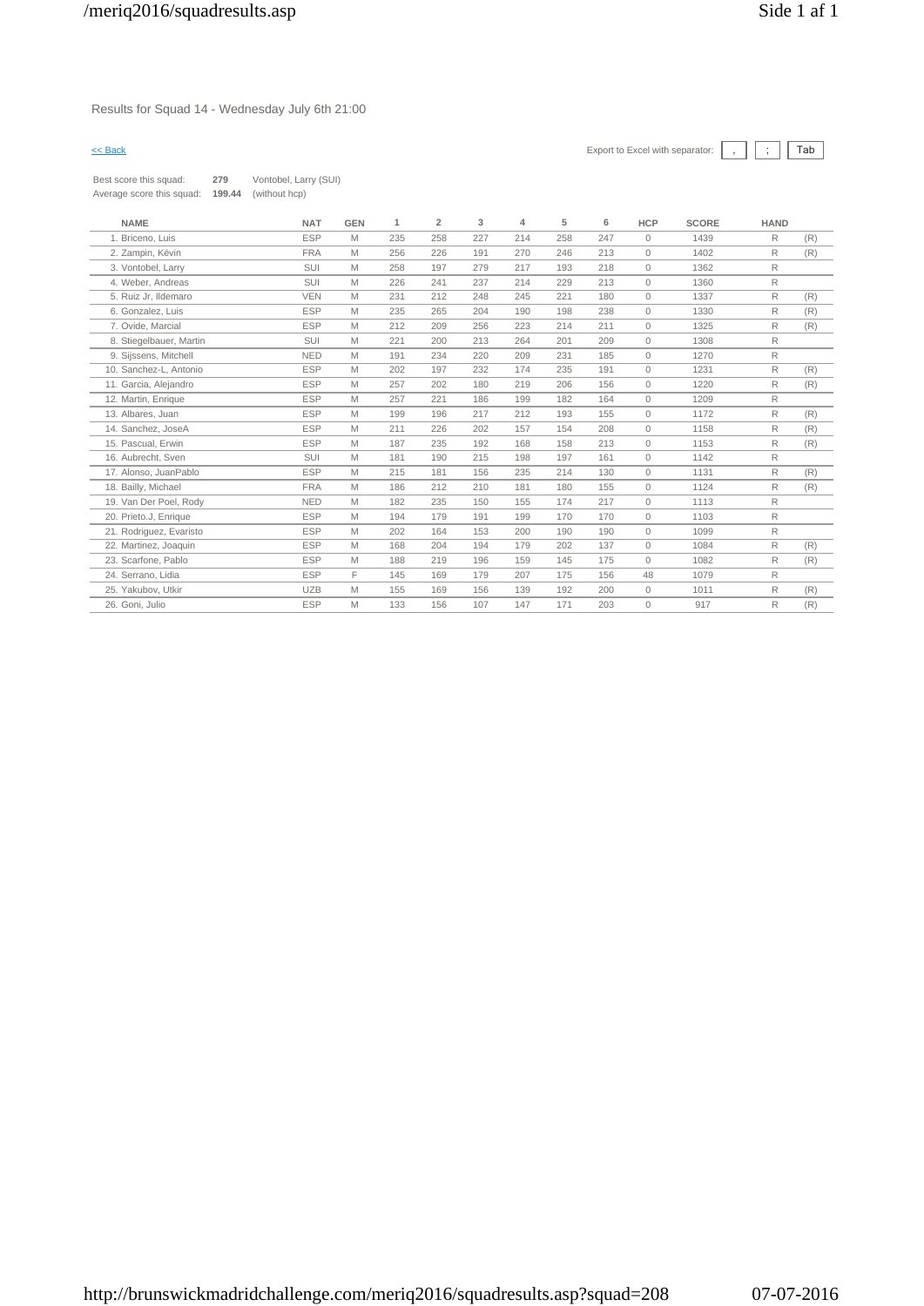Results for Squad 14 - Wednesday July 6th 21:00

| Best score this squad:    | 279    | Vontobel, Larry (SUI) |
|---------------------------|--------|-----------------------|
| Average score this squad: | 199.44 | (without hcp)         |

| <b>NAME</b>             | <b>NAT</b> | <b>GEN</b> | 1   | $\overline{2}$ | 3   | 4   | 5   | 6   | <b>HCP</b>   | <b>SCORE</b> | <b>HAND</b>  |     |
|-------------------------|------------|------------|-----|----------------|-----|-----|-----|-----|--------------|--------------|--------------|-----|
| 1. Briceno, Luis        | <b>ESP</b> | M          | 235 | 258            | 227 | 214 | 258 | 247 | $\circ$      | 1439         | R            | (R) |
| 2. Zampin, Kévin        | <b>FRA</b> | M          | 256 | 226            | 191 | 270 | 246 | 213 | $\circ$      | 1402         | R            | (R) |
| 3. Vontobel, Larry      | SUI        | M          | 258 | 197            | 279 | 217 | 193 | 218 | $\mathbf{0}$ | 1362         | $\mathsf{R}$ |     |
| 4. Weber, Andreas       | SUI        | M          | 226 | 241            | 237 | 214 | 229 | 213 | $\circ$      | 1360         | $\mathsf{R}$ |     |
| 5. Ruiz Jr, Ildemaro    | <b>VEN</b> | M          | 231 | 212            | 248 | 245 | 221 | 180 | 0            | 1337         | $\mathsf{R}$ | (R) |
| 6. Gonzalez, Luis       | ESP        | M          | 235 | 265            | 204 | 190 | 198 | 238 | $\circ$      | 1330         | R            | (R) |
| 7. Ovide, Marcial       | <b>ESP</b> | M          | 212 | 209            | 256 | 223 | 214 | 211 | $\mathbf{0}$ | 1325         | R            | (R) |
| 8. Stiegelbauer, Martin | SUI        | M          | 221 | 200            | 213 | 264 | 201 | 209 | $\circ$      | 1308         | $\mathsf{R}$ |     |
| 9. Sijssens, Mitchell   | <b>NED</b> | M          | 191 | 234            | 220 | 209 | 231 | 185 | $\circ$      | 1270         | $\mathsf{R}$ |     |
| 10. Sanchez-L, Antonio  | <b>ESP</b> | M          | 202 | 197            | 232 | 174 | 235 | 191 | $\mathbf{0}$ | 1231         | R            | (R) |
| 11. Garcia, Aleiandro   | <b>ESP</b> | M          | 257 | 202            | 180 | 219 | 206 | 156 | $\mathbf{0}$ | 1220         | R            | (R) |
| 12. Martin, Enrique     | <b>ESP</b> | M          | 257 | 221            | 186 | 199 | 182 | 164 | $\circ$      | 1209         | $\mathsf{R}$ |     |
| 13. Albares, Juan       | <b>ESP</b> | M          | 199 | 196            | 217 | 212 | 193 | 155 | $\circ$      | 1172         | R            | (R) |
| 14. Sanchez, JoseA      | <b>ESP</b> | M          | 211 | 226            | 202 | 157 | 154 | 208 | $\circ$      | 1158         | R            | (R) |
| 15. Pascual, Erwin      | <b>ESP</b> | M          | 187 | 235            | 192 | 168 | 158 | 213 | $\mathbf{0}$ | 1153         | R            | (R) |
| 16. Aubrecht, Sven      | SUI        | M          | 181 | 190            | 215 | 198 | 197 | 161 | $\circ$      | 1142         | $\mathsf{R}$ |     |
| 17. Alonso, JuanPablo   | <b>ESP</b> | M          | 215 | 181            | 156 | 235 | 214 | 130 | $\circ$      | 1131         | R            | (R) |
| 18. Bailly, Michael     | <b>FRA</b> | M          | 186 | 212            | 210 | 181 | 180 | 155 | $\circ$      | 1124         | R            | (R) |
| 19. Van Der Poel, Rody  | <b>NED</b> | M          | 182 | 235            | 150 | 155 | 174 | 217 | $\mathbf{0}$ | 1113         | $\mathsf{R}$ |     |
| 20. Prieto.J, Enrique   | <b>ESP</b> | M          | 194 | 179            | 191 | 199 | 170 | 170 | $\circ$      | 1103         | $\mathsf{R}$ |     |
| 21. Rodriguez, Evaristo | <b>ESP</b> | M          | 202 | 164            | 153 | 200 | 190 | 190 | $\mathbf{0}$ | 1099         | R            |     |
| 22. Martinez, Joaquin   | <b>ESP</b> | M          | 168 | 204            | 194 | 179 | 202 | 137 | $\circ$      | 1084         | R            | (R) |
| 23. Scarfone, Pablo     | <b>ESP</b> | M          | 188 | 219            | 196 | 159 | 145 | 175 | $\mathbf{0}$ | 1082         | R            | (R) |
| 24. Serrano, Lidia      | <b>ESP</b> | E          | 145 | 169            | 179 | 207 | 175 | 156 | 48           | 1079         | R            |     |
| 25. Yakubov. Utkir      | <b>UZB</b> | M          | 155 | 169            | 156 | 139 | 192 | 200 | $\mathbf{0}$ | 1011         | $\mathsf{R}$ | (R) |
| 26. Goni, Julio         | <b>ESP</b> | M          | 133 | 156            | 107 | 147 | 171 | 203 | $\circ$      | 917          | R            | (R) |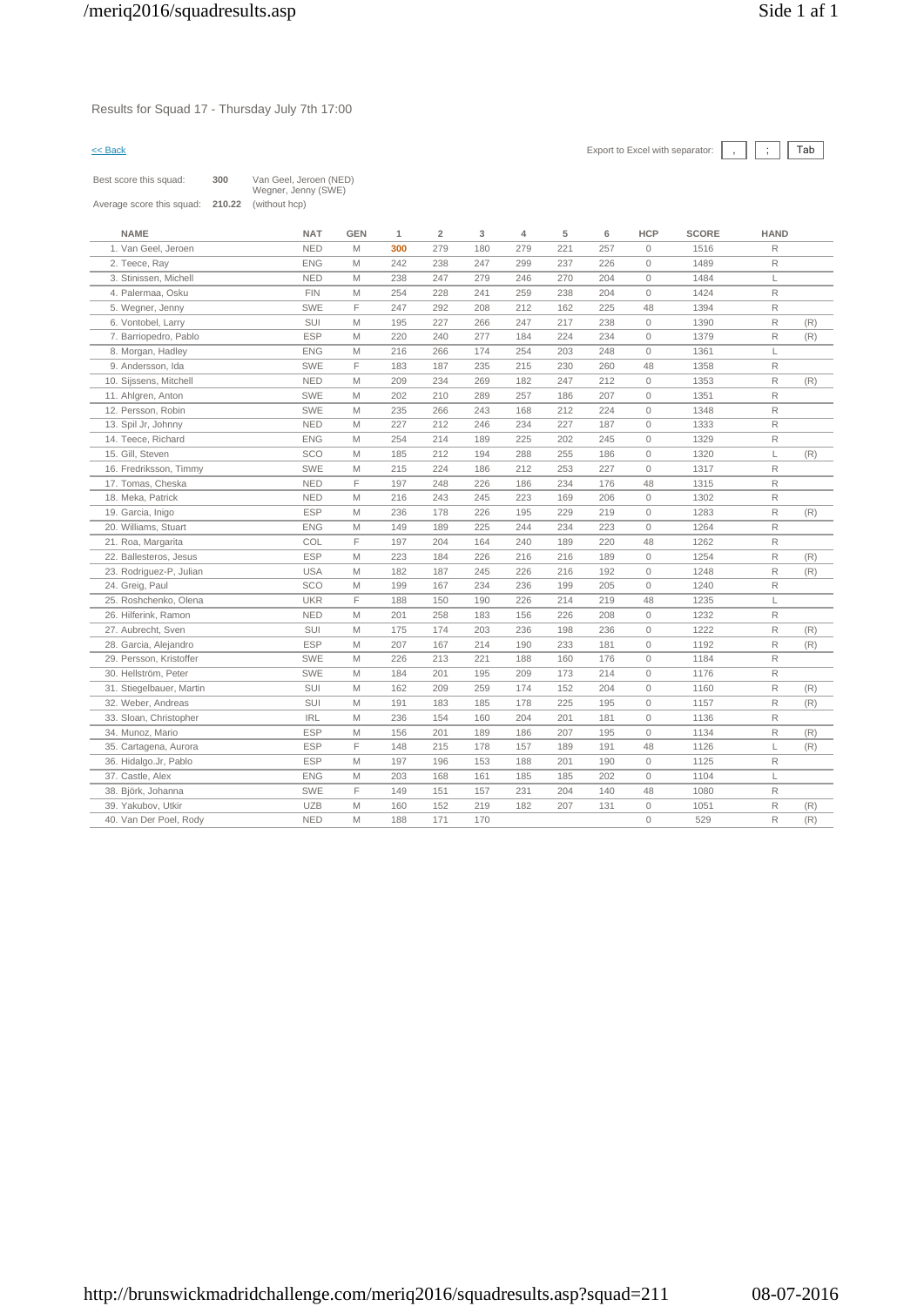Results for Squad 17 - Thursday July 7th 17:00

| Best score this squad:    | 300    | Van Geel, Jeroen (NED)<br>Wegner, Jenny (SWE) |
|---------------------------|--------|-----------------------------------------------|
| Average score this squad: | 210.22 | (without hcp)                                 |

| <b>NAME</b>              | <b>NAT</b> | <b>GEN</b> | 1   | $\overline{2}$ | 3   | 4   | 5   | 6   | <b>HCP</b>          | <b>SCORE</b> | <b>HAND</b>  |     |
|--------------------------|------------|------------|-----|----------------|-----|-----|-----|-----|---------------------|--------------|--------------|-----|
| 1. Van Geel, Jeroen      | <b>NED</b> | M          | 300 | 279            | 180 | 279 | 221 | 257 | $\circ$             | 1516         | R            |     |
| 2. Teece, Ray            | <b>ENG</b> | M          | 242 | 238            | 247 | 299 | 237 | 226 | $\mathbb O$         | 1489         | $\mathsf{R}$ |     |
| 3. Stinissen, Michell    | <b>NED</b> | M          | 238 | 247            | 279 | 246 | 270 | 204 | $\mathbf{0}$        | 1484         | L            |     |
| 4. Palermaa, Osku        | <b>FIN</b> | M          | 254 | 228            | 241 | 259 | 238 | 204 | $\mathbf{0}$        | 1424         | $\mathsf{R}$ |     |
| 5. Wegner, Jenny         | SWE        | F          | 247 | 292            | 208 | 212 | 162 | 225 | 48                  | 1394         | R            |     |
| 6. Vontobel, Larry       | <b>SUI</b> | M          | 195 | 227            | 266 | 247 | 217 | 238 | $\mathbb O$         | 1390         | R            | (R) |
| 7. Barriopedro, Pablo    | <b>ESP</b> | M          | 220 | 240            | 277 | 184 | 224 | 234 | $\mathbf{0}$        | 1379         | $\mathsf{R}$ | (R) |
| 8. Morgan, Hadley        | <b>ENG</b> | M          | 216 | 266            | 174 | 254 | 203 | 248 | $\mathsf{O}\xspace$ | 1361         | Г            |     |
| 9. Andersson, Ida        | <b>SWE</b> | F          | 183 | 187            | 235 | 215 | 230 | 260 | 48                  | 1358         | $\mathsf{R}$ |     |
| 10. Sijssens, Mitchell   | <b>NED</b> | M          | 209 | 234            | 269 | 182 | 247 | 212 | $\mathbb O$         | 1353         | $\mathsf{R}$ | (R) |
| 11. Ahlgren, Anton       | <b>SWE</b> | M          | 202 | 210            | 289 | 257 | 186 | 207 | $\mathsf{O}\xspace$ | 1351         | $\mathsf{R}$ |     |
| 12. Persson, Robin       | <b>SWE</b> | M          | 235 | 266            | 243 | 168 | 212 | 224 | $\mathbb O$         | 1348         | $\mathsf{R}$ |     |
| 13. Spil Jr, Johnny      | <b>NED</b> | M          | 227 | 212            | 246 | 234 | 227 | 187 | $\mathbf{0}$        | 1333         | $\mathsf{R}$ |     |
| 14. Teece, Richard       | <b>ENG</b> | M          | 254 | 214            | 189 | 225 | 202 | 245 | $\mathbb O$         | 1329         | $\mathsf{R}$ |     |
| 15. Gill, Steven         | SCO        | M          | 185 | 212            | 194 | 288 | 255 | 186 | $\mathbb O$         | 1320         | L            | (R) |
| 16. Fredriksson, Timmy   | <b>SWE</b> | M          | 215 | 224            | 186 | 212 | 253 | 227 | $\mathbf 0$         | 1317         | R            |     |
| 17. Tomas, Cheska        | <b>NED</b> | F          | 197 | 248            | 226 | 186 | 234 | 176 | 48                  | 1315         | R            |     |
| 18. Meka, Patrick        | <b>NED</b> | M          | 216 | 243            | 245 | 223 | 169 | 206 | $\circ$             | 1302         | R            |     |
| 19. Garcia, Inigo        | <b>ESP</b> | M          | 236 | 178            | 226 | 195 | 229 | 219 | $\mathbf{0}$        | 1283         | R            | (R) |
| 20. Williams, Stuart     | <b>ENG</b> | M          | 149 | 189            | 225 | 244 | 234 | 223 | $\circ$             | 1264         | R            |     |
| 21. Roa, Margarita       | COL        | F          | 197 | 204            | 164 | 240 | 189 | 220 | 48                  | 1262         | $\mathsf{R}$ |     |
| 22. Ballesteros, Jesus   | <b>ESP</b> | M          | 223 | 184            | 226 | 216 | 216 | 189 | $\mathsf{O}\xspace$ | 1254         | $\mathsf{R}$ | (R) |
| 23. Rodriguez-P, Julian  | <b>USA</b> | M          | 182 | 187            | 245 | 226 | 216 | 192 | $\mathsf{O}\xspace$ | 1248         | R            | (R) |
| 24. Greig, Paul          | SCO        | M          | 199 | 167            | 234 | 236 | 199 | 205 | $\mathbb O$         | 1240         | $\mathsf{R}$ |     |
| 25. Roshchenko, Olena    | <b>UKR</b> | F          | 188 | 150            | 190 | 226 | 214 | 219 | 48                  | 1235         | L            |     |
| 26. Hilferink, Ramon     | <b>NED</b> | M          | 201 | 258            | 183 | 156 | 226 | 208 | $\circ$             | 1232         | $\mathsf{R}$ |     |
| 27. Aubrecht, Sven       | SUI        | M          | 175 | 174            | 203 | 236 | 198 | 236 | $\mathsf{O}\xspace$ | 1222         | R            | (R) |
| 28. Garcia, Alejandro    | <b>ESP</b> | M          | 207 | 167            | 214 | 190 | 233 | 181 | $\mathsf{O}\xspace$ | 1192         | R            | (R) |
| 29. Persson, Kristoffer  | <b>SWE</b> | M          | 226 | 213            | 221 | 188 | 160 | 176 | $\mathbf{0}$        | 1184         | R            |     |
| 30. Hellström, Peter     | SWE        | M          | 184 | 201            | 195 | 209 | 173 | 214 | $\mathsf{O}\xspace$ | 1176         | $\mathsf{R}$ |     |
| 31. Stiegelbauer, Martin | <b>SUI</b> | M          | 162 | 209            | 259 | 174 | 152 | 204 | $\circ$             | 1160         | R            | (R) |
| 32. Weber, Andreas       | SUI        | M          | 191 | 183            | 185 | 178 | 225 | 195 | $\circ$             | 1157         | $\mathsf{R}$ | (R) |
| 33. Sloan, Christopher   | <b>IRL</b> | M          | 236 | 154            | 160 | 204 | 201 | 181 | $\mathbb O$         | 1136         | R            |     |
| 34. Munoz, Mario         | <b>ESP</b> | M          | 156 | 201            | 189 | 186 | 207 | 195 | $\mathbb O$         | 1134         | R            | (R) |
| 35. Cartagena, Aurora    | <b>ESP</b> | F          | 148 | 215            | 178 | 157 | 189 | 191 | 48                  | 1126         | L            | (R) |
| 36. Hidalgo.Jr, Pablo    | <b>ESP</b> | M          | 197 | 196            | 153 | 188 | 201 | 190 | $\circ$             | 1125         | R            |     |
| 37. Castle, Alex         | <b>ENG</b> | M          | 203 | 168            | 161 | 185 | 185 | 202 | $\mathbf{0}$        | 1104         | L            |     |
| 38. Björk, Johanna       | <b>SWE</b> | F          | 149 | 151            | 157 | 231 | 204 | 140 | 48                  | 1080         | $\mathsf R$  |     |
| 39. Yakubov, Utkir       | <b>UZB</b> | M          | 160 | 152            | 219 | 182 | 207 | 131 | $\mathsf{O}\xspace$ | 1051         | R            | (R) |
| 40. Van Der Poel, Rody   | <b>NED</b> | M          | 188 | 171            | 170 |     |     |     | $\mathbf 0$         | 529          | $\mathsf R$  | (R) |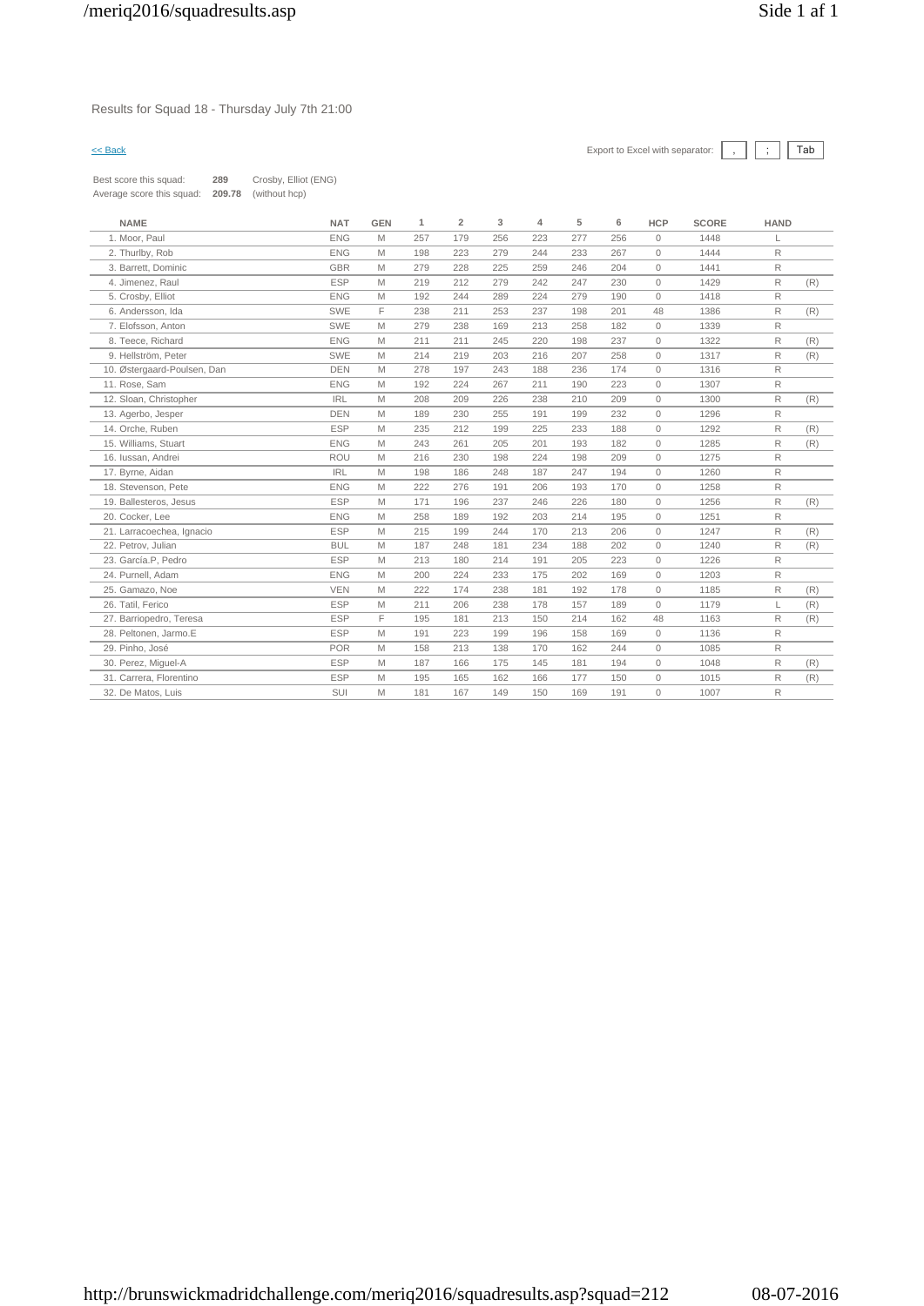# Results for Squad 18 - Thursday July 7th 21:00

| Best score this squad:    | 289    | Crosby, Elliot (ENG) |
|---------------------------|--------|----------------------|
| Average score this squad: | 209.78 | (without hcp)        |

| <b>NAME</b>                 | <b>NAT</b> | <b>GEN</b> | 1   | $\overline{2}$ | 3   | 4   | 5   | 6   | <b>HCP</b>   | <b>SCORE</b> | <b>HAND</b>  |     |
|-----------------------------|------------|------------|-----|----------------|-----|-----|-----|-----|--------------|--------------|--------------|-----|
| 1. Moor, Paul               | <b>ENG</b> | M          | 257 | 179            | 256 | 223 | 277 | 256 | $\circ$      | 1448         |              |     |
| 2. Thurlby, Rob             | <b>ENG</b> | M          | 198 | 223            | 279 | 244 | 233 | 267 | $\circ$      | 1444         | R            |     |
| 3. Barrett, Dominic         | <b>GBR</b> | M          | 279 | 228            | 225 | 259 | 246 | 204 | $\circ$      | 1441         | R            |     |
| 4. Jimenez, Raul            | <b>ESP</b> | M          | 219 | 212            | 279 | 242 | 247 | 230 | $\Omega$     | 1429         | R            | (R) |
| 5. Crosby, Elliot           | <b>ENG</b> | M          | 192 | 244            | 289 | 224 | 279 | 190 | $\Omega$     | 1418         | R            |     |
| 6. Andersson, Ida           | SWE        | F          | 238 | 211            | 253 | 237 | 198 | 201 | 48           | 1386         | R            | (R) |
| 7. Elofsson. Anton          | SWE        | M          | 279 | 238            | 169 | 213 | 258 | 182 | $\mathbf{0}$ | 1339         | R            |     |
| 8. Teece, Richard           | <b>ENG</b> | M          | 211 | 211            | 245 | 220 | 198 | 237 | $\Omega$     | 1322         | $\mathsf{R}$ | (R) |
| 9. Hellström, Peter         | SWE        | M          | 214 | 219            | 203 | 216 | 207 | 258 | $\circ$      | 1317         | R            | (R) |
| 10. Østergaard-Poulsen, Dan | <b>DEN</b> | M          | 278 | 197            | 243 | 188 | 236 | 174 | $\Omega$     | 1316         | R            |     |
| 11. Rose, Sam               | <b>ENG</b> | M          | 192 | 224            | 267 | 211 | 190 | 223 | $\circ$      | 1307         | R            |     |
| 12. Sloan, Christopher      | <b>IRL</b> | M          | 208 | 209            | 226 | 238 | 210 | 209 | $\circ$      | 1300         | $\mathsf R$  | (R) |
| 13. Agerbo, Jesper          | <b>DEN</b> | M          | 189 | 230            | 255 | 191 | 199 | 232 | $\circ$      | 1296         | R            |     |
| 14. Orche, Ruben            | <b>ESP</b> | M          | 235 | 212            | 199 | 225 | 233 | 188 | $\circ$      | 1292         | R            | (R) |
| 15. Williams, Stuart        | <b>ENG</b> | M          | 243 | 261            | 205 | 201 | 193 | 182 | $\Omega$     | 1285         | R            | (R) |
| 16. Iussan, Andrei          | <b>ROU</b> | M          | 216 | 230            | 198 | 224 | 198 | 209 | $\Omega$     | 1275         | R            |     |
| 17. Byrne, Aidan            | <b>IRL</b> | M          | 198 | 186            | 248 | 187 | 247 | 194 | $\circ$      | 1260         | R            |     |
| 18. Stevenson, Pete         | <b>ENG</b> | M          | 222 | 276            | 191 | 206 | 193 | 170 | $\circ$      | 1258         | R            |     |
| 19. Ballesteros, Jesus      | <b>ESP</b> | M          | 171 | 196            | 237 | 246 | 226 | 180 | $\circ$      | 1256         | R            | (R) |
| 20. Cocker, Lee             | <b>ENG</b> | M          | 258 | 189            | 192 | 203 | 214 | 195 | $\Omega$     | 1251         | R            |     |
| 21. Larracoechea, Ignacio   | <b>ESP</b> | M          | 215 | 199            | 244 | 170 | 213 | 206 | $\circ$      | 1247         | R            | (R) |
| 22. Petrov. Julian          | <b>BUL</b> | M          | 187 | 248            | 181 | 234 | 188 | 202 | $\mathbf{0}$ | 1240         | R            | (R) |
| 23. García.P. Pedro         | <b>ESP</b> | M          | 213 | 180            | 214 | 191 | 205 | 223 | $\circ$      | 1226         | R            |     |
| 24. Purnell, Adam           | <b>ENG</b> | M          | 200 | 224            | 233 | 175 | 202 | 169 | $\Omega$     | 1203         | R            |     |
| 25. Gamazo, Noe             | <b>VEN</b> | M          | 222 | 174            | 238 | 181 | 192 | 178 | $\mathbf{0}$ | 1185         | R            | (R) |
| 26. Tatil. Ferico           | <b>ESP</b> | M          | 211 | 206            | 238 | 178 | 157 | 189 | $\mathbf{0}$ | 1179         | L            | (R) |
| 27. Barriopedro, Teresa     | <b>ESP</b> | F          | 195 | 181            | 213 | 150 | 214 | 162 | 48           | 1163         | R            | (R) |
| 28. Peltonen. Jarmo.E       | <b>ESP</b> | M          | 191 | 223            | 199 | 196 | 158 | 169 | $\Omega$     | 1136         | R            |     |
| 29. Pinho, José             | <b>POR</b> | M          | 158 | 213            | 138 | 170 | 162 | 244 | $\circ$      | 1085         | R            |     |
| 30. Perez, Miguel-A         | <b>ESP</b> | M          | 187 | 166            | 175 | 145 | 181 | 194 | $\mathbf{0}$ | 1048         | R            | (R) |
| 31. Carrera, Florentino     | <b>ESP</b> | M          | 195 | 165            | 162 | 166 | 177 | 150 | $\mathbf{0}$ | 1015         | R            | (R) |
| 32. De Matos, Luis          | SUI        | M          | 181 | 167            | 149 | 150 | 169 | 191 | $\circ$      | 1007         | R            |     |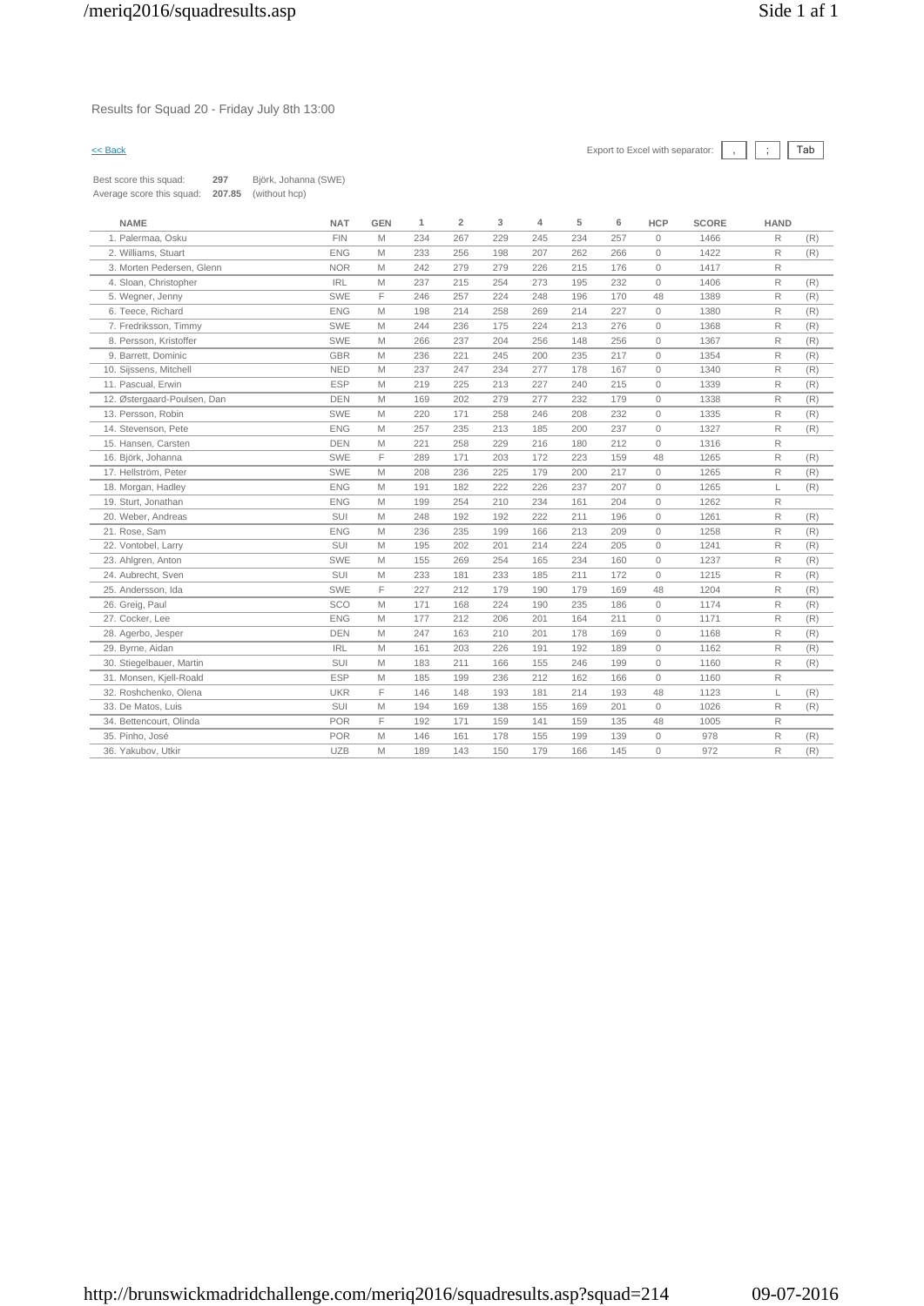# Results for Squad 20 - Friday July 8th 13:00



| Best score this squad:    | 297    | Björk, Johanna (SWE) |
|---------------------------|--------|----------------------|
| Average score this squad: | 207.85 | (without hcp)        |

| <b>NAME</b>                 | <b>NAT</b> | <b>GEN</b> | 1   | $\overline{2}$ | 3   | 4   | 5   | 6   | <b>HCP</b>   | <b>SCORE</b> | <b>HAND</b> |     |
|-----------------------------|------------|------------|-----|----------------|-----|-----|-----|-----|--------------|--------------|-------------|-----|
| 1. Palermaa, Osku           | <b>FIN</b> | M          | 234 | 267            | 229 | 245 | 234 | 257 | $\circ$      | 1466         | R           | (R) |
| 2. Williams, Stuart         | <b>ENG</b> | M          | 233 | 256            | 198 | 207 | 262 | 266 | $\Omega$     | 1422         | R           | (R) |
| 3. Morten Pedersen, Glenn   | <b>NOR</b> | M          | 242 | 279            | 279 | 226 | 215 | 176 | $\circ$      | 1417         | R           |     |
| 4. Sloan, Christopher       | <b>IRL</b> | M          | 237 | 215            | 254 | 273 | 195 | 232 | $\circ$      | 1406         | R           | (R) |
| 5. Wegner, Jenny            | <b>SWE</b> | F          | 246 | 257            | 224 | 248 | 196 | 170 | 48           | 1389         | R           | (R) |
| 6. Teece, Richard           | <b>ENG</b> | M          | 198 | 214            | 258 | 269 | 214 | 227 | $\circ$      | 1380         | R           | (R) |
| 7. Fredriksson, Timmy       | SWE        | M          | 244 | 236            | 175 | 224 | 213 | 276 | $\circ$      | 1368         | R           | (R) |
| 8. Persson, Kristoffer      | <b>SWE</b> | M          | 266 | 237            | 204 | 256 | 148 | 256 | $\Omega$     | 1367         | R           | (R) |
| 9. Barrett, Dominic         | GBR        | M          | 236 | 221            | 245 | 200 | 235 | 217 | $\circ$      | 1354         | R           | (R) |
| 10. Sijssens, Mitchell      | <b>NED</b> | M          | 237 | 247            | 234 | 277 | 178 | 167 | $\circ$      | 1340         | R           | (R) |
| 11. Pascual, Erwin          | <b>ESP</b> | M          | 219 | 225            | 213 | 227 | 240 | 215 | $\circ$      | 1339         | R           | (R) |
| 12. Østergaard-Poulsen, Dan | <b>DEN</b> | M          | 169 | 202            | 279 | 277 | 232 | 179 | $\circ$      | 1338         | R           | (R) |
| 13. Persson, Robin          | <b>SWE</b> | M          | 220 | 171            | 258 | 246 | 208 | 232 | $\circ$      | 1335         | R           | (R) |
| 14. Stevenson, Pete         | <b>ENG</b> | M          | 257 | 235            | 213 | 185 | 200 | 237 | $\circ$      | 1327         | R           | (R) |
| 15. Hansen, Carsten         | <b>DEN</b> | M          | 221 | 258            | 229 | 216 | 180 | 212 | $\circ$      | 1316         | R           |     |
| 16. Björk, Johanna          | SWE        | F          | 289 | 171            | 203 | 172 | 223 | 159 | 48           | 1265         | R           | (R) |
| 17. Hellström, Peter        | SWE        | M          | 208 | 236            | 225 | 179 | 200 | 217 | $\circ$      | 1265         | R           | (R) |
| 18. Morgan, Hadley          | <b>ENG</b> | M          | 191 | 182            | 222 | 226 | 237 | 207 | $\circ$      | 1265         | L           | (R) |
| 19. Sturt, Jonathan         | <b>ENG</b> | M          | 199 | 254            | 210 | 234 | 161 | 204 | $\circ$      | 1262         | R           |     |
| 20. Weber, Andreas          | SUI        | M          | 248 | 192            | 192 | 222 | 211 | 196 | $\circ$      | 1261         | R           | (R) |
| 21. Rose, Sam               | <b>ENG</b> | M          | 236 | 235            | 199 | 166 | 213 | 209 | $\circ$      | 1258         | R           | (R) |
| 22. Vontobel, Larry         | SUI        | M          | 195 | 202            | 201 | 214 | 224 | 205 | $\circ$      | 1241         | R           | (R) |
| 23. Ahlgren, Anton          | <b>SWE</b> | M          | 155 | 269            | 254 | 165 | 234 | 160 | $\circ$      | 1237         | R           | (R) |
| 24. Aubrecht, Sven          | SUI        | M          | 233 | 181            | 233 | 185 | 211 | 172 | $\circ$      | 1215         | R           | (R) |
| 25. Andersson, Ida          | SWE        | F          | 227 | 212            | 179 | 190 | 179 | 169 | 48           | 1204         | R           | (R) |
| 26. Greig, Paul             | SCO        | M          | 171 | 168            | 224 | 190 | 235 | 186 | $\mathbf{0}$ | 1174         | R           | (R) |
| 27. Cocker, Lee             | <b>ENG</b> | M          | 177 | 212            | 206 | 201 | 164 | 211 | $\circ$      | 1171         | R           | (R) |
| 28. Agerbo, Jesper          | <b>DEN</b> | M          | 247 | 163            | 210 | 201 | 178 | 169 | $\circ$      | 1168         | R           | (R) |
| 29. Byrne, Aidan            | <b>IRL</b> | M          | 161 | 203            | 226 | 191 | 192 | 189 | $\mathbf{0}$ | 1162         | R           | (R) |
| 30. Stiegelbauer, Martin    | SUI        | M          | 183 | 211            | 166 | 155 | 246 | 199 | $\circ$      | 1160         | R           | (R) |
| 31. Monsen, Kjell-Roald     | <b>ESP</b> | M          | 185 | 199            | 236 | 212 | 162 | 166 | $\circ$      | 1160         | R           |     |
| 32. Roshchenko, Olena       | <b>UKR</b> | F          | 146 | 148            | 193 | 181 | 214 | 193 | 48           | 1123         | L           | (R) |
| 33. De Matos, Luis          | SUI        | M          | 194 | 169            | 138 | 155 | 169 | 201 | $\circ$      | 1026         | R           | (R) |
| 34. Bettencourt, Olinda     | <b>POR</b> | F          | 192 | 171            | 159 | 141 | 159 | 135 | 48           | 1005         | R           |     |
| 35. Pinho, José             | <b>POR</b> | M          | 146 | 161            | 178 | 155 | 199 | 139 | $\circ$      | 978          | R           | (R) |
| 36. Yakubov, Utkir          | <b>UZB</b> | M          | 189 | 143            | 150 | 179 | 166 | 145 | $\circ$      | 972          | R           | (R) |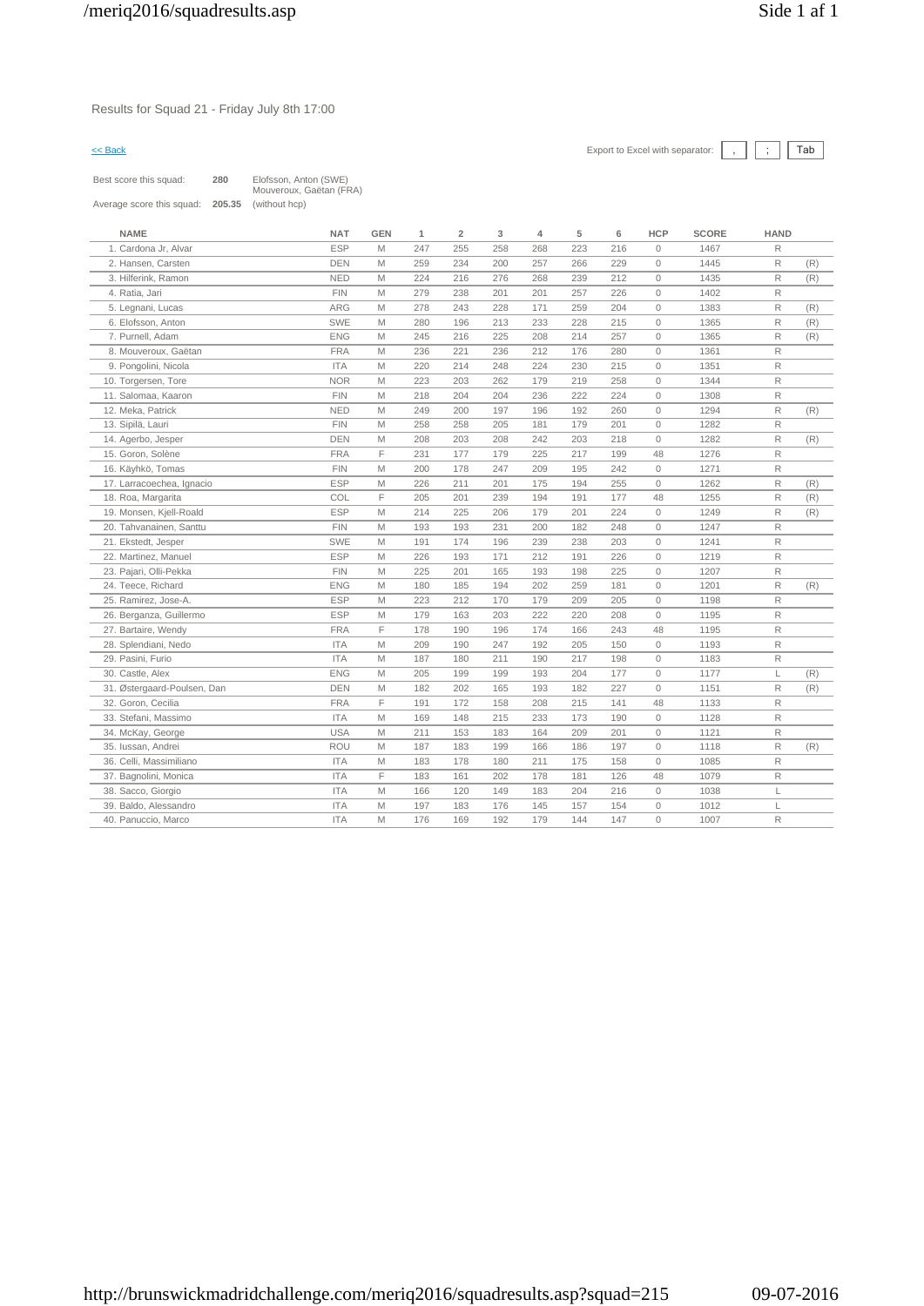Results for Squad 21 - Friday July 8th 17:00

| Best score this squad:    | 280    | Elofsson, Anton (SWE)<br>Mouveroux, Gaëtan (FRA) |
|---------------------------|--------|--------------------------------------------------|
| Average score this squad: | 205.35 | (without hcp)                                    |

| <b>NAME</b>                 | <b>NAT</b> | <b>GEN</b> | 1   | $\overline{\mathbf{2}}$ | 3   | 4   | 5   | 6   | <b>HCP</b>   | <b>SCORE</b> | <b>HAND</b>  |     |
|-----------------------------|------------|------------|-----|-------------------------|-----|-----|-----|-----|--------------|--------------|--------------|-----|
| 1. Cardona Jr, Alvar        | <b>ESP</b> | M          | 247 | 255                     | 258 | 268 | 223 | 216 | $\mathbf{0}$ | 1467         | R            |     |
| 2. Hansen, Carsten          | <b>DEN</b> | M          | 259 | 234                     | 200 | 257 | 266 | 229 | $\mathbf{0}$ | 1445         | $\mathsf R$  | (R) |
| 3. Hilferink, Ramon         | <b>NED</b> | M          | 224 | 216                     | 276 | 268 | 239 | 212 | $\circ$      | 1435         | R            | (R) |
| 4. Ratia, Jari              | <b>FIN</b> | M          | 279 | 238                     | 201 | 201 | 257 | 226 | $\circ$      | 1402         | R            |     |
| 5. Legnani, Lucas           | ARG        | M          | 278 | 243                     | 228 | 171 | 259 | 204 | $\circ$      | 1383         | R            | (R) |
| 6. Elofsson, Anton          | <b>SWE</b> | M          | 280 | 196                     | 213 | 233 | 228 | 215 | $\circ$      | 1365         | $\mathsf R$  | (R) |
| 7. Purnell, Adam            | <b>ENG</b> | M          | 245 | 216                     | 225 | 208 | 214 | 257 | $\circ$      | 1365         | $\mathsf R$  | (R) |
| 8. Mouveroux, Gaëtan        | <b>FRA</b> | M          | 236 | 221                     | 236 | 212 | 176 | 280 | $\circ$      | 1361         | R            |     |
| 9. Pongolini, Nicola        | <b>ITA</b> | M          | 220 | 214                     | 248 | 224 | 230 | 215 | $\mathbf{0}$ | 1351         | R            |     |
| 10. Torgersen, Tore         | <b>NOR</b> | M          | 223 | 203                     | 262 | 179 | 219 | 258 | $\mathbf{0}$ | 1344         | R            |     |
| 11. Salomaa, Kaaron         | <b>FIN</b> | M          | 218 | 204                     | 204 | 236 | 222 | 224 | $\circ$      | 1308         | R            |     |
| 12. Meka, Patrick           | <b>NED</b> | M          | 249 | 200                     | 197 | 196 | 192 | 260 | $\mathbf{0}$ | 1294         | R            | (R) |
| 13. Sipilä, Lauri           | <b>FIN</b> | M          | 258 | 258                     | 205 | 181 | 179 | 201 | $\circ$      | 1282         | R            |     |
| 14. Agerbo, Jesper          | <b>DEN</b> | M          | 208 | 203                     | 208 | 242 | 203 | 218 | $\circ$      | 1282         | R            | (R) |
| 15. Goron, Solène           | <b>FRA</b> | F          | 231 | 177                     | 179 | 225 | 217 | 199 | 48           | 1276         | R            |     |
| 16. Käyhkö, Tomas           | <b>FIN</b> | M          | 200 | 178                     | 247 | 209 | 195 | 242 | $\mathbf{0}$ | 1271         | R            |     |
| 17. Larracoechea, Ignacio   | <b>ESP</b> | M          | 226 | 211                     | 201 | 175 | 194 | 255 | $\Omega$     | 1262         | R            | (R) |
| 18. Roa, Margarita          | COL        | F          | 205 | 201                     | 239 | 194 | 191 | 177 | 48           | 1255         | R            | (R) |
| 19. Monsen, Kjell-Roald     | <b>ESP</b> | M          | 214 | 225                     | 206 | 179 | 201 | 224 | $\circ$      | 1249         | R            | (R) |
| 20. Tahvanainen, Santtu     | <b>FIN</b> | M          | 193 | 193                     | 231 | 200 | 182 | 248 | $\mathbf{0}$ | 1247         | R            |     |
| 21. Ekstedt, Jesper         | <b>SWE</b> | M          | 191 | 174                     | 196 | 239 | 238 | 203 | $\mathbf{0}$ | 1241         | R            |     |
| 22. Martinez, Manuel        | <b>ESP</b> | M          | 226 | 193                     | 171 | 212 | 191 | 226 | $\mathbf{0}$ | 1219         | R            |     |
| 23. Pajari, Olli-Pekka      | <b>FIN</b> | M          | 225 | 201                     | 165 | 193 | 198 | 225 | $\circ$      | 1207         | R            |     |
| 24. Teece, Richard          | <b>ENG</b> | M          | 180 | 185                     | 194 | 202 | 259 | 181 | $\mathbf{0}$ | 1201         | $\mathsf R$  | (R) |
| 25. Ramirez, Jose-A.        | <b>ESP</b> | M          | 223 | 212                     | 170 | 179 | 209 | 205 | $\mathbf{0}$ | 1198         | R            |     |
| 26. Berganza, Guillermo     | <b>ESP</b> | M          | 179 | 163                     | 203 | 222 | 220 | 208 | $\circ$      | 1195         | R            |     |
| 27. Bartaire, Wendy         | <b>FRA</b> | F          | 178 | 190                     | 196 | 174 | 166 | 243 | 48           | 1195         | R            |     |
| 28. Splendiani, Nedo        | <b>ITA</b> | M          | 209 | 190                     | 247 | 192 | 205 | 150 | $\mathbf{0}$ | 1193         | R            |     |
| 29. Pasini, Furio           | <b>ITA</b> | M          | 187 | 180                     | 211 | 190 | 217 | 198 | $\circ$      | 1183         | R            |     |
| 30. Castle, Alex            | <b>ENG</b> | M          | 205 | 199                     | 199 | 193 | 204 | 177 | $\circ$      | 1177         | L            | (R) |
| 31. Østergaard-Poulsen, Dan | <b>DEN</b> | M          | 182 | 202                     | 165 | 193 | 182 | 227 | $\circ$      | 1151         | $\mathsf{R}$ | (R) |
| 32. Goron, Cecilia          | <b>FRA</b> | F          | 191 | 172                     | 158 | 208 | 215 | 141 | 48           | 1133         | R            |     |
| 33. Stefani, Massimo        | <b>ITA</b> | M          | 169 | 148                     | 215 | 233 | 173 | 190 | $\mathbf{0}$ | 1128         | R            |     |
| 34. McKay, George           | <b>USA</b> | M          | 211 | 153                     | 183 | 164 | 209 | 201 | $\circ$      | 1121         | R            |     |
| 35. Iussan, Andrei          | <b>ROU</b> | M          | 187 | 183                     | 199 | 166 | 186 | 197 | $\circ$      | 1118         | R            | (R) |
| 36. Celli, Massimiliano     | <b>ITA</b> | M          | 183 | 178                     | 180 | 211 | 175 | 158 | $\circ$      | 1085         | R            |     |
| 37. Bagnolini, Monica       | <b>ITA</b> | F          | 183 | 161                     | 202 | 178 | 181 | 126 | 48           | 1079         | R            |     |
| 38. Sacco, Giorgio          | <b>ITA</b> | M          | 166 | 120                     | 149 | 183 | 204 | 216 | $\mathbb O$  | 1038         | L            |     |
| 39. Baldo, Alessandro       | <b>ITA</b> | M          | 197 | 183                     | 176 | 145 | 157 | 154 | $\mathbb O$  | 1012         | L            |     |
| 40. Panuccio, Marco         | <b>ITA</b> | M          | 176 | 169                     | 192 | 179 | 144 | 147 | $\circ$      | 1007         | R            |     |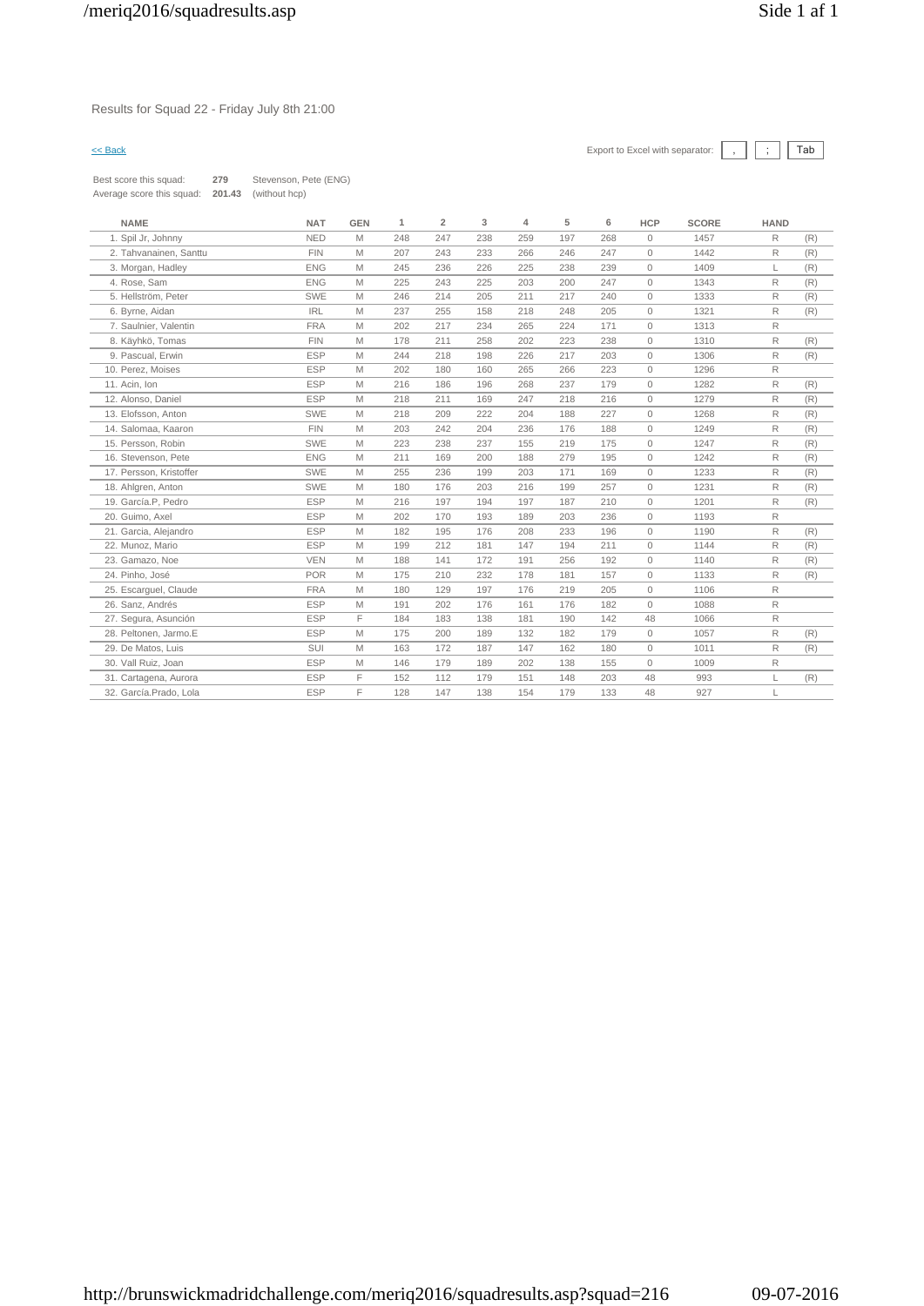# Results for Squad 22 - Friday July 8th 21:00

| Best score this squad:    | 279    | Stevenson, Pete (ENG) |
|---------------------------|--------|-----------------------|
| Average score this squad: | 201.43 | (without hcp)         |

| <b>NAME</b>             | <b>NAT</b> | <b>GEN</b> | 1   | $\overline{2}$ | 3   | 4   | 5   | 6   | <b>HCP</b>   | <b>SCORE</b> | <b>HAND</b>  |     |
|-------------------------|------------|------------|-----|----------------|-----|-----|-----|-----|--------------|--------------|--------------|-----|
| 1. Spil Jr, Johnny      | <b>NED</b> | M          | 248 | 247            | 238 | 259 | 197 | 268 | $\circ$      | 1457         | R            | (R) |
| 2. Tahvanainen. Santtu  | <b>FIN</b> | M          | 207 | 243            | 233 | 266 | 246 | 247 | $\mathbf{0}$ | 1442         | R            | (R) |
| 3. Morgan, Hadley       | <b>ENG</b> | M          | 245 | 236            | 226 | 225 | 238 | 239 | $\mathbf{0}$ | 1409         | L            | (R) |
| 4. Rose, Sam            | <b>ENG</b> | M          | 225 | 243            | 225 | 203 | 200 | 247 | $\circ$      | 1343         | R            | (R) |
| 5. Hellström, Peter     | <b>SWE</b> | M          | 246 | 214            | 205 | 211 | 217 | 240 | $\mathbf{0}$ | 1333         | R            | (R) |
| 6. Byrne, Aidan         | <b>IRL</b> | M          | 237 | 255            | 158 | 218 | 248 | 205 | $\circ$      | 1321         | R            | (R) |
| 7. Saulnier, Valentin   | <b>FRA</b> | M          | 202 | 217            | 234 | 265 | 224 | 171 | $\circ$      | 1313         | R            |     |
| 8. Käyhkö, Tomas        | <b>FIN</b> | M          | 178 | 211            | 258 | 202 | 223 | 238 | $\mathbf{0}$ | 1310         | $\mathsf{R}$ | (R) |
| 9. Pascual, Erwin       | <b>ESP</b> | M          | 244 | 218            | 198 | 226 | 217 | 203 | $\mathbf{0}$ | 1306         | R            | (R) |
| 10. Perez, Moises       | <b>ESP</b> | M          | 202 | 180            | 160 | 265 | 266 | 223 | $\circ$      | 1296         | R            |     |
| 11. Acin. Ion           | <b>ESP</b> | M          | 216 | 186            | 196 | 268 | 237 | 179 | $\circ$      | 1282         | R            | (R) |
| 12. Alonso, Daniel      | <b>ESP</b> | M          | 218 | 211            | 169 | 247 | 218 | 216 | $\mathbf{0}$ | 1279         | R            | (R) |
| 13. Elofsson, Anton     | <b>SWE</b> | M          | 218 | 209            | 222 | 204 | 188 | 227 | $\circ$      | 1268         | R            | (R) |
| 14. Salomaa, Kaaron     | <b>FIN</b> | M          | 203 | 242            | 204 | 236 | 176 | 188 | $\circ$      | 1249         | R            | (R) |
| 15. Persson, Robin      | <b>SWE</b> | M          | 223 | 238            | 237 | 155 | 219 | 175 | $\circ$      | 1247         | R            | (R) |
| 16. Stevenson, Pete     | <b>ENG</b> | M          | 211 | 169            | 200 | 188 | 279 | 195 | $\circ$      | 1242         | R            | (R) |
| 17. Persson, Kristoffer | <b>SWE</b> | M          | 255 | 236            | 199 | 203 | 171 | 169 | $\circ$      | 1233         | R            | (R) |
| 18. Ahlgren, Anton      | <b>SWE</b> | M          | 180 | 176            | 203 | 216 | 199 | 257 | $\circ$      | 1231         | R            | (R) |
| 19. García.P, Pedro     | <b>ESP</b> | M          | 216 | 197            | 194 | 197 | 187 | 210 | $\circ$      | 1201         | R            | (R) |
| 20. Guimo, Axel         | <b>ESP</b> | M          | 202 | 170            | 193 | 189 | 203 | 236 | $\circ$      | 1193         | R            |     |
| 21. Garcia, Alejandro   | <b>ESP</b> | M          | 182 | 195            | 176 | 208 | 233 | 196 | $\circ$      | 1190         | R            | (R) |
| 22. Munoz, Mario        | <b>ESP</b> | M          | 199 | 212            | 181 | 147 | 194 | 211 | $\circ$      | 1144         | R            | (R) |
| 23. Gamazo, Noe         | <b>VEN</b> | M          | 188 | 141            | 172 | 191 | 256 | 192 | $\circ$      | 1140         | R            | (R) |
| 24. Pinho, José         | <b>POR</b> | M          | 175 | 210            | 232 | 178 | 181 | 157 | $\circ$      | 1133         | R            | (R) |
| 25. Escarquel, Claude   | <b>FRA</b> | M          | 180 | 129            | 197 | 176 | 219 | 205 | $\mathbf{0}$ | 1106         | R            |     |
| 26. Sanz. Andrés        | <b>ESP</b> | M          | 191 | 202            | 176 | 161 | 176 | 182 | $\circ$      | 1088         | R            |     |
| 27. Segura, Asunción    | <b>ESP</b> | E          | 184 | 183            | 138 | 181 | 190 | 142 | 48           | 1066         | R            |     |
| 28. Peltonen. Jarmo.E   | <b>ESP</b> | M          | 175 | 200            | 189 | 132 | 182 | 179 | $\circ$      | 1057         | R            | (R) |
| 29. De Matos, Luis      | SUI        | M          | 163 | 172            | 187 | 147 | 162 | 180 | $\circ$      | 1011         | R            | (R) |
| 30. Vall Ruiz, Joan     | <b>ESP</b> | M          | 146 | 179            | 189 | 202 | 138 | 155 | $\circ$      | 1009         | R            |     |
| 31. Cartagena, Aurora   | <b>ESP</b> | F          | 152 | 112            | 179 | 151 | 148 | 203 | 48           | 993          | L            | (R) |
| 32. García.Prado, Lola  | <b>ESP</b> | F          | 128 | 147            | 138 | 154 | 179 | 133 | 48           | 927          |              |     |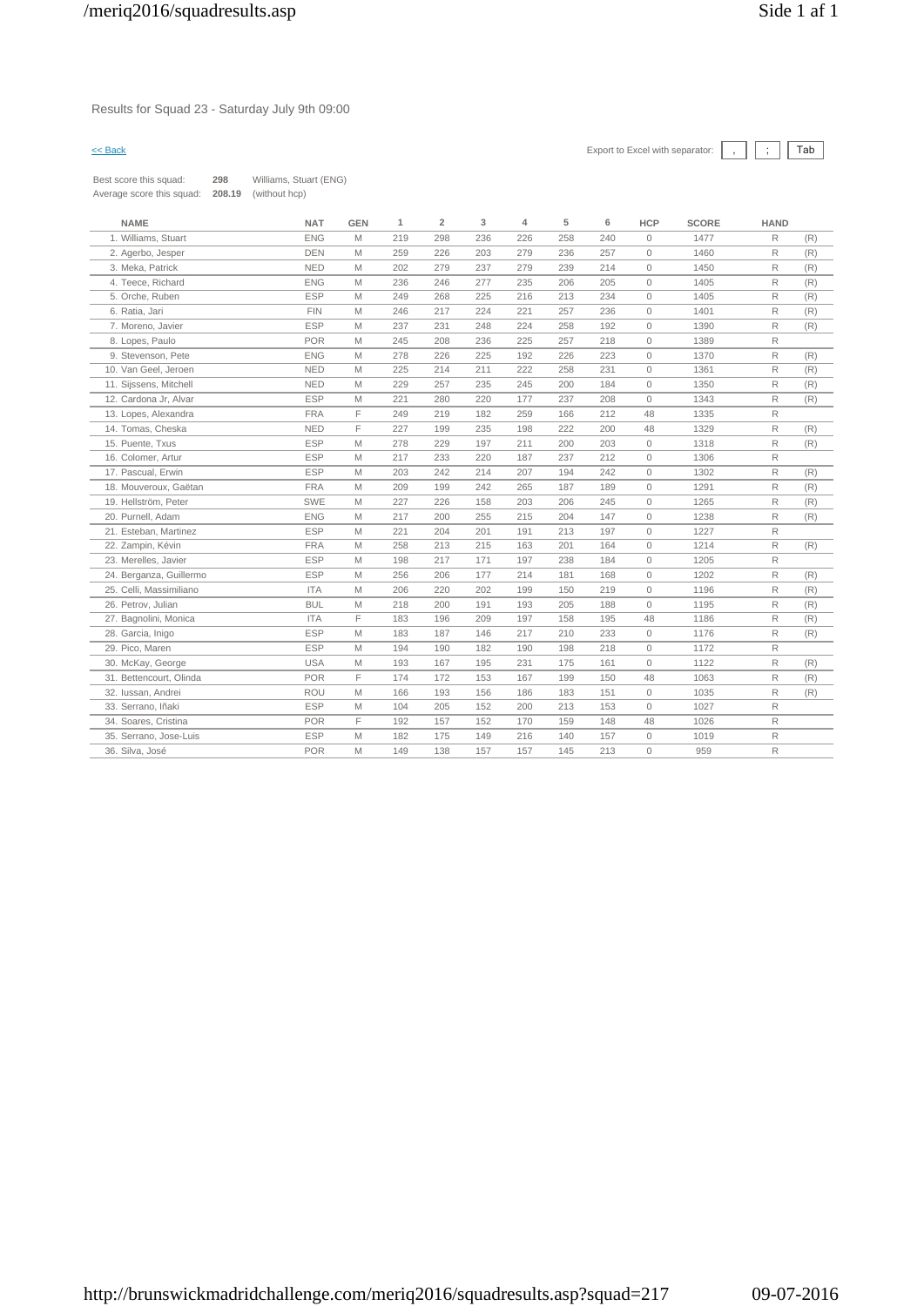Results for Squad 23 - Saturday July 9th 09:00

| Best score this squad:    | 298    | Williams, Stuart (ENG) |
|---------------------------|--------|------------------------|
| Average score this squad: | 208.19 | (without hcp)          |

| <b>NAME</b>             | <b>NAT</b> | <b>GEN</b> | 1   | $\overline{2}$ | 3   | 4   | 5   | 6   | HCP          | <b>SCORE</b> | <b>HAND</b>  |     |
|-------------------------|------------|------------|-----|----------------|-----|-----|-----|-----|--------------|--------------|--------------|-----|
| 1. Williams, Stuart     | <b>ENG</b> | M          | 219 | 298            | 236 | 226 | 258 | 240 | $\circ$      | 1477         | $\mathsf R$  | (R) |
| 2. Agerbo, Jesper       | <b>DEN</b> | M          | 259 | 226            | 203 | 279 | 236 | 257 | $\circ$      | 1460         | $\mathsf{R}$ | (R) |
| 3. Meka, Patrick        | <b>NED</b> | M          | 202 | 279            | 237 | 279 | 239 | 214 | $\circ$      | 1450         | $\mathsf{R}$ | (R) |
| 4. Teece, Richard       | <b>ENG</b> | M          | 236 | 246            | 277 | 235 | 206 | 205 | $\circ$      | 1405         | $\mathsf{R}$ | (R) |
| 5. Orche, Ruben         | <b>ESP</b> | M          | 249 | 268            | 225 | 216 | 213 | 234 | $\circ$      | 1405         | R            | (R) |
| 6. Ratia, Jari          | <b>FIN</b> | M          | 246 | 217            | 224 | 221 | 257 | 236 | $\circ$      | 1401         | $\mathsf{R}$ | (R) |
| 7. Moreno, Javier       | <b>ESP</b> | M          | 237 | 231            | 248 | 224 | 258 | 192 | $\circ$      | 1390         | R            | (R) |
| 8. Lopes, Paulo         | <b>POR</b> | M          | 245 | 208            | 236 | 225 | 257 | 218 | $\circ$      | 1389         | $\mathsf R$  |     |
| 9. Stevenson, Pete      | <b>ENG</b> | M          | 278 | 226            | 225 | 192 | 226 | 223 | $\circ$      | 1370         | $\mathsf R$  | (R) |
| 10. Van Geel, Jeroen    | <b>NED</b> | M          | 225 | 214            | 211 | 222 | 258 | 231 | $\circ$      | 1361         | $\mathsf{R}$ | (R) |
| 11. Sijssens, Mitchell  | <b>NED</b> | M          | 229 | 257            | 235 | 245 | 200 | 184 | $\circ$      | 1350         | R            | (R) |
| 12. Cardona Jr, Alvar   | <b>ESP</b> | M          | 221 | 280            | 220 | 177 | 237 | 208 | $\circ$      | 1343         | R            | (R) |
| 13. Lopes, Alexandra    | <b>FRA</b> | F          | 249 | 219            | 182 | 259 | 166 | 212 | 48           | 1335         | $\mathsf R$  |     |
| 14. Tomas, Cheska       | <b>NED</b> | F          | 227 | 199            | 235 | 198 | 222 | 200 | 48           | 1329         | $\mathsf R$  | (R) |
| 15. Puente, Txus        | <b>ESP</b> | M          | 278 | 229            | 197 | 211 | 200 | 203 | $\circ$      | 1318         | R            | (R) |
| 16. Colomer, Artur      | <b>ESP</b> | M          | 217 | 233            | 220 | 187 | 237 | 212 | $\circ$      | 1306         | $\mathsf{R}$ |     |
| 17. Pascual, Erwin      | <b>ESP</b> | M          | 203 | 242            | 214 | 207 | 194 | 242 | $\circ$      | 1302         | R            | (R) |
| 18. Mouveroux, Gaëtan   | <b>FRA</b> | M          | 209 | 199            | 242 | 265 | 187 | 189 | $\circ$      | 1291         | $\mathsf{R}$ | (R) |
| 19. Hellström, Peter    | <b>SWE</b> | M          | 227 | 226            | 158 | 203 | 206 | 245 | $\circ$      | 1265         | R            | (R) |
| 20. Purnell, Adam       | <b>ENG</b> | M          | 217 | 200            | 255 | 215 | 204 | 147 | $\circ$      | 1238         | R            | (R) |
| 21. Esteban, Martinez   | <b>ESP</b> | M          | 221 | 204            | 201 | 191 | 213 | 197 | $\mathbb O$  | 1227         | $\mathsf R$  |     |
| 22. Zampin, Kévin       | <b>FRA</b> | M          | 258 | 213            | 215 | 163 | 201 | 164 | $\mathbb O$  | 1214         | R            | (R) |
| 23. Merelles, Javier    | <b>ESP</b> | M          | 198 | 217            | 171 | 197 | 238 | 184 | $\circ$      | 1205         | $\mathsf R$  |     |
| 24. Berganza, Guillermo | <b>ESP</b> | M          | 256 | 206            | 177 | 214 | 181 | 168 | $\circ$      | 1202         | R            | (R) |
| 25. Celli, Massimiliano | <b>ITA</b> | M          | 206 | 220            | 202 | 199 | 150 | 219 | $\mathbf{0}$ | 1196         | R            | (R) |
| 26. Petrov, Julian      | <b>BUL</b> | M          | 218 | 200            | 191 | 193 | 205 | 188 | $\circ$      | 1195         | $\mathsf{R}$ | (R) |
| 27. Bagnolini, Monica   | <b>ITA</b> | F.         | 183 | 196            | 209 | 197 | 158 | 195 | 48           | 1186         | $\mathsf{R}$ | (R) |
| 28. Garcia, Inigo       | <b>ESP</b> | M          | 183 | 187            | 146 | 217 | 210 | 233 | $\circ$      | 1176         | $\mathsf{R}$ | (R) |
| 29. Pico, Maren         | <b>ESP</b> | M          | 194 | 190            | 182 | 190 | 198 | 218 | $\circ$      | 1172         | R            |     |
| 30. McKay, George       | <b>USA</b> | M          | 193 | 167            | 195 | 231 | 175 | 161 | $\circ$      | 1122         | $\mathsf{R}$ | (R) |
| 31. Bettencourt, Olinda | <b>POR</b> | F.         | 174 | 172            | 153 | 167 | 199 | 150 | 48           | 1063         | R            | (R) |
| 32. Iussan, Andrei      | <b>ROU</b> | M          | 166 | 193            | 156 | 186 | 183 | 151 | $\circ$      | 1035         | R            | (R) |
| 33. Serrano, Iñaki      | <b>ESP</b> | M          | 104 | 205            | 152 | 200 | 213 | 153 | $\circ$      | 1027         | $\mathsf R$  |     |
| 34. Soares, Cristina    | <b>POR</b> | F          | 192 | 157            | 152 | 170 | 159 | 148 | 48           | 1026         | $\mathsf{R}$ |     |
| 35. Serrano, Jose-Luis  | <b>ESP</b> | M          | 182 | 175            | 149 | 216 | 140 | 157 | $\circ$      | 1019         | $\mathsf{R}$ |     |
| 36. Silva, José         | <b>POR</b> | M          | 149 | 138            | 157 | 157 | 145 | 213 | $\mathbb O$  | 959          | $\mathsf R$  |     |
|                         |            |            |     |                |     |     |     |     |              |              |              |     |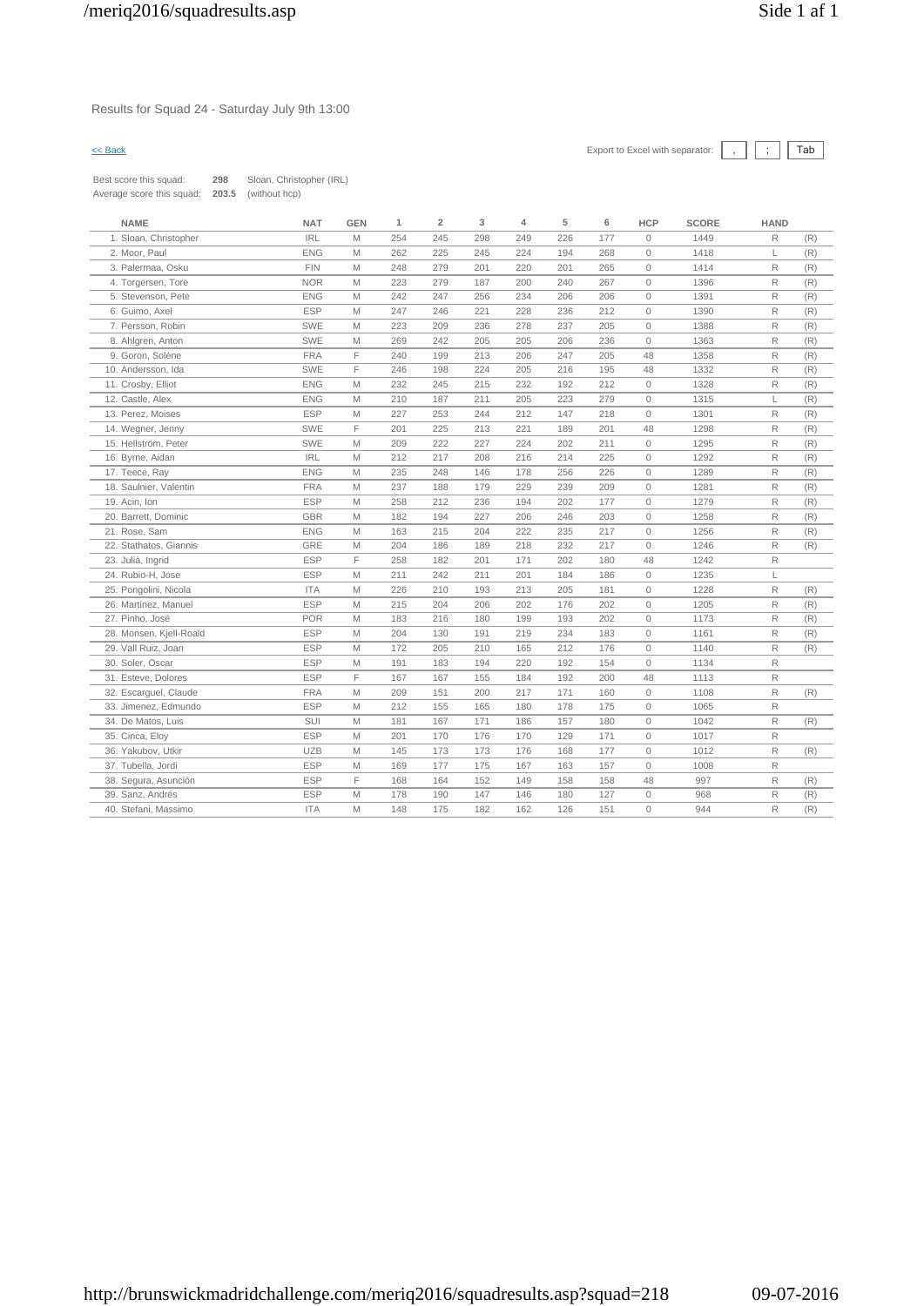Results for Squad 24 - Saturday July 9th 13:00

| Best score this squad:    | 298   | Sloan, Christopher (IRL) |
|---------------------------|-------|--------------------------|
| Average score this squad: | 203.5 | (without hcp)            |

| <b>NAME</b>             | <b>NAT</b> | <b>GEN</b> | 1   | $\overline{2}$ | 3   | $\overline{4}$ | 5   | 6   | <b>HCP</b>          | <b>SCORE</b> | <b>HAND</b>  |     |
|-------------------------|------------|------------|-----|----------------|-----|----------------|-----|-----|---------------------|--------------|--------------|-----|
| 1. Sloan, Christopher   | <b>IRL</b> | M          | 254 | 245            | 298 | 249            | 226 | 177 | $\mathbb O$         | 1449         | R            | (R) |
| 2. Moor, Paul           | <b>ENG</b> | M          | 262 | 225            | 245 | 224            | 194 | 268 | $\mathbb O$         | 1418         | L            | (R) |
| 3. Palermaa, Osku       | <b>FIN</b> | M          | 248 | 279            | 201 | 220            | 201 | 265 | $\mathsf{O}\xspace$ | 1414         | R            | (R) |
| 4. Torgersen, Tore      | <b>NOR</b> | M          | 223 | 279            | 187 | 200            | 240 | 267 | $\mathbb O$         | 1396         | R            | (R) |
| 5. Stevenson, Pete      | <b>ENG</b> | M          | 242 | 247            | 256 | 234            | 206 | 206 | $\circ$             | 1391         | R            | (R) |
| 6. Guimo, Axel          | <b>ESP</b> | M          | 247 | 246            | 221 | 228            | 236 | 212 | $\circ$             | 1390         | R            | (R) |
| 7. Persson, Robin       | <b>SWE</b> | M          | 223 | 209            | 236 | 278            | 237 | 205 | $\mathbf{0}$        | 1388         | $\mathsf{R}$ | (R) |
| 8. Ahlgren, Anton       | <b>SWE</b> | M          | 269 | 242            | 205 | 205            | 206 | 236 | $\circ$             | 1363         | R            | (R) |
| 9. Goron, Solène        | <b>FRA</b> | F          | 240 | 199            | 213 | 206            | 247 | 205 | 48                  | 1358         | R            | (R) |
| 10. Andersson, Ida      | <b>SWE</b> | F          | 246 | 198            | 224 | 205            | 216 | 195 | 48                  | 1332         | R            | (R) |
| 11. Crosby, Elliot      | <b>ENG</b> | M          | 232 | 245            | 215 | 232            | 192 | 212 | $\circ$             | 1328         | R            | (R) |
| 12. Castle, Alex        | <b>ENG</b> | M          | 210 | 187            | 211 | 205            | 223 | 279 | $\mathbb O$         | 1315         | L            | (R) |
| 13. Perez, Moises       | <b>ESP</b> | M          | 227 | 253            | 244 | 212            | 147 | 218 | $\mathbb O$         | 1301         | R            | (R) |
| 14. Wegner, Jenny       | <b>SWE</b> | F          | 201 | 225            | 213 | 221            | 189 | 201 | 48                  | 1298         | R            | (R) |
| 15. Hellström, Peter    | <b>SWE</b> | M          | 209 | 222            | 227 | 224            | 202 | 211 | $\mathsf{O}\xspace$ | 1295         | R            | (R) |
| 16. Byrne, Aidan        | <b>IRL</b> | M          | 212 | 217            | 208 | 216            | 214 | 225 | $\mathbb O$         | 1292         | R            | (R) |
| 17. Teece, Ray          | <b>ENG</b> | M          | 235 | 248            | 146 | 178            | 256 | 226 | $\mathbb O$         | 1289         | $\mathsf{R}$ | (R) |
| 18. Saulnier, Valentin  | <b>FRA</b> | M          | 237 | 188            | 179 | 229            | 239 | 209 | $\mathbb O$         | 1281         | $\mathsf{R}$ | (R) |
| 19. Acin, Ion           | <b>ESP</b> | M          | 258 | 212            | 236 | 194            | 202 | 177 | $\circ$             | 1279         | R            | (R) |
| 20. Barrett, Dominic    | <b>GBR</b> | M          | 182 | 194            | 227 | 206            | 246 | 203 | $\circ$             | 1258         | R            | (R) |
| 21. Rose, Sam           | <b>ENG</b> | M          | 163 | 215            | 204 | 222            | 235 | 217 | $\mathbb O$         | 1256         | R            | (R) |
| 22. Stathatos, Giannis  | GRE        | M          | 204 | 186            | 189 | 218            | 232 | 217 | $\mathsf{O}\xspace$ | 1246         | R            | (R) |
| 23. Julià, Ingrid       | <b>ESP</b> | F          | 258 | 182            | 201 | 171            | 202 | 180 | 48                  | 1242         | R            |     |
| 24. Rubio-H, Jose       | <b>ESP</b> | M          | 211 | 242            | 211 | 201            | 184 | 186 | $\mathsf{O}\xspace$ | 1235         | L            |     |
| 25. Pongolini, Nicola   | <b>ITA</b> | M          | 226 | 210            | 193 | 213            | 205 | 181 | $\circ$             | 1228         | $\mathsf{R}$ | (R) |
| 26. Martinez, Manuel    | <b>ESP</b> | M          | 215 | 204            | 206 | 202            | 176 | 202 | $\mathsf{O}\xspace$ | 1205         | R            | (R) |
| 27. Pinho, José         | <b>POR</b> | M          | 183 | 216            | 180 | 199            | 193 | 202 | $\mathbb O$         | 1173         | R            | (R) |
| 28. Monsen, Kjell-Roald | <b>ESP</b> | M          | 204 | 130            | 191 | 219            | 234 | 183 | $\mathbf{0}$        | 1161         | $\mathsf{R}$ | (R) |
| 29. Vall Ruiz, Joan     | <b>ESP</b> | M          | 172 | 205            | 210 | 165            | 212 | 176 | $\mathbf{0}$        | 1140         | $\mathsf{R}$ | (R) |
| 30. Soler, Oscar        | <b>ESP</b> | M          | 191 | 183            | 194 | 220            | 192 | 154 | $\circ$             | 1134         | R            |     |
| 31. Esteve, Dolores     | <b>ESP</b> | F          | 167 | 167            | 155 | 184            | 192 | 200 | 48                  | 1113         | R            |     |
| 32. Escarquel, Claude   | <b>FRA</b> | M          | 209 | 151            | 200 | 217            | 171 | 160 | $\circ$             | 1108         | R            | (R) |
| 33. Jimenez, Edmundo    | <b>ESP</b> | M          | 212 | 155            | 165 | 180            | 178 | 175 | $\mathsf{O}\xspace$ | 1065         | R            |     |
| 34. De Matos, Luis      | <b>SUI</b> | M          | 181 | 167            | 171 | 186            | 157 | 180 | $\circ$             | 1042         | R            | (R) |
| 35. Cinca, Eloy         | <b>ESP</b> | M          | 201 | 170            | 176 | 170            | 129 | 171 | $\mathbb O$         | 1017         | $\mathsf{R}$ |     |
| 36. Yakubov, Utkir      | <b>UZB</b> | Μ          | 145 | 173            | 173 | 176            | 168 | 177 | $\circ$             | 1012         | R            | (R) |
| 37. Tubella, Jordi      | <b>ESP</b> | M          | 169 | 177            | 175 | 167            | 163 | 157 | $\mathsf{O}\xspace$ | 1008         | R            |     |
| 38. Segura, Asunción    | <b>ESP</b> | F          | 168 | 164            | 152 | 149            | 158 | 158 | 48                  | 997          | R            | (R) |
| 39. Sanz, Andrés        | <b>ESP</b> | M          | 178 | 190            | 147 | 146            | 180 | 127 | $\mathsf{O}\xspace$ | 968          | R            | (R) |
| 40. Stefani, Massimo    | <b>ITA</b> | M          | 148 | 175            | 182 | 162            | 126 | 151 | $\circ$             | 944          | R            | (R) |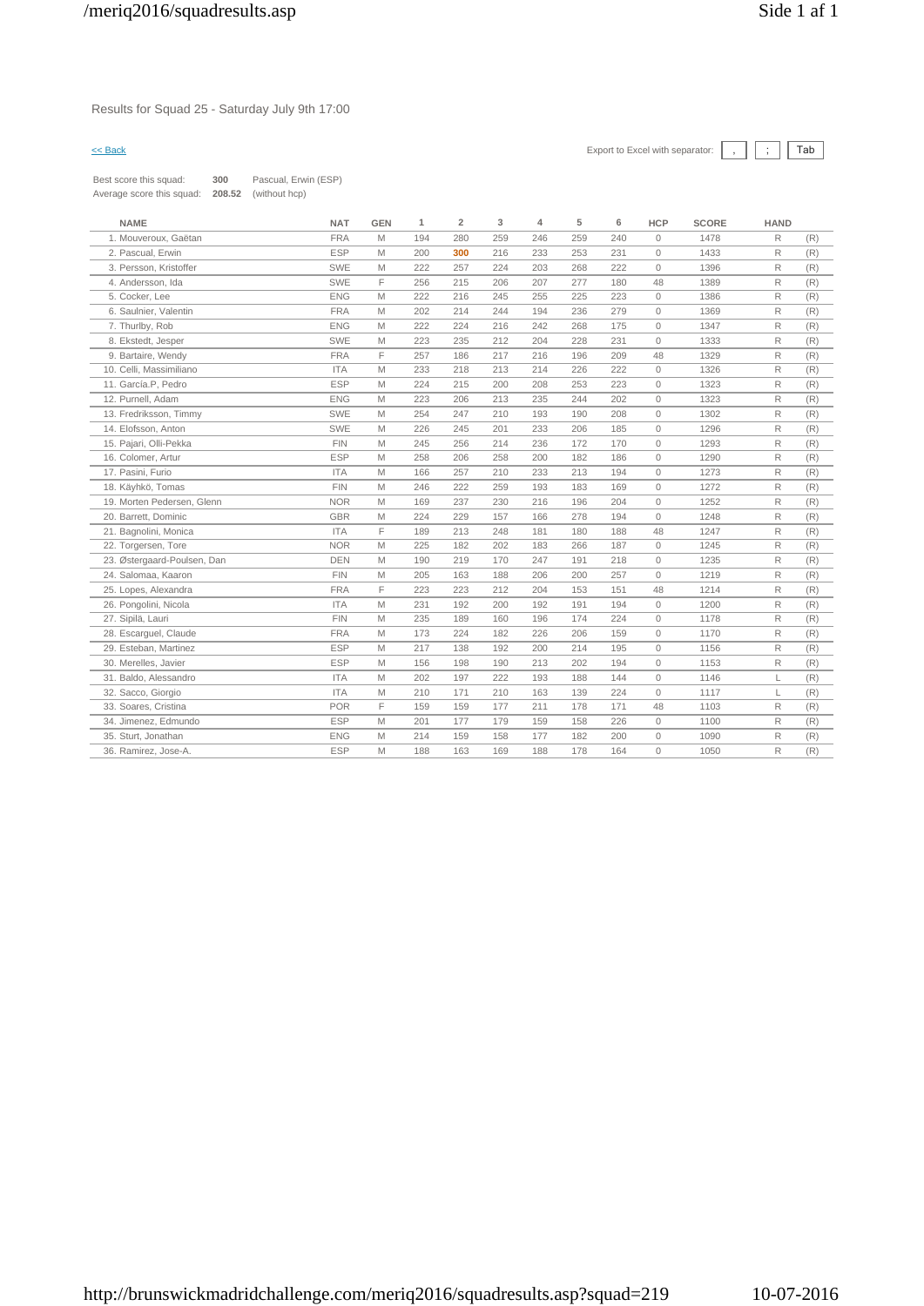Results for Squad 25 - Saturday July 9th 17:00

| Best score this squad:    | 300    | Pascual, Erwin (ESP) |
|---------------------------|--------|----------------------|
| Average score this squad: | 208.52 | (without hcp)        |

| <b>FRA</b><br>R<br>1. Mouveroux. Gaëtan<br>M<br>194<br>280<br>259<br>246<br>259<br>240<br>$\mathbf{0}$<br>1478<br>(R)<br><b>ESP</b><br>R<br>2. Pascual, Erwin<br>M<br>200<br>300<br>216<br>233<br>253<br>231<br>$\mathbf{0}$<br>1433<br>(R)<br>3. Persson. Kristoffer<br><b>SWE</b><br>222<br>257<br>224<br>203<br>268<br>222<br>$\Omega$<br>1396<br>R<br>M<br>(R)<br>SWE<br>F<br>R<br>4. Andersson, Ida<br>256<br>215<br>206<br>207<br>277<br>180<br>48<br>1389<br>(R)<br>5. Cocker, Lee<br><b>ENG</b><br>M<br>222<br>216<br>245<br>255<br>225<br>223<br>$\mathbf{0}$<br>1386<br>R<br>(R)<br><b>FRA</b><br>6. Saulnier, Valentin<br>202<br>214<br>244<br>194<br>236<br>279<br>$\mathbf{0}$<br>1369<br>R<br>M<br>(R)<br><b>ENG</b><br>R<br>7. Thurlby, Rob<br>M<br>222<br>224<br>216<br>242<br>268<br>175<br>$\mathbf{0}$<br>1347<br>(R)<br><b>SWE</b><br>231<br>$\Omega$<br>R<br>8. Ekstedt, Jesper<br>M<br>223<br>235<br>212<br>204<br>228<br>1333<br>(R)<br>F<br>9. Bartaire, Wendy<br><b>FRA</b><br>217<br>209<br>1329<br>R<br>257<br>186<br>216<br>196<br>48<br>(R)<br>R<br>10. Celli, Massimiliano<br><b>ITA</b><br>M<br>233<br>218<br>213<br>214<br>226<br>222<br>$\mathbf{0}$<br>1326<br>(R)<br>11. García.P, Pedro<br><b>ESP</b><br>R<br>M<br>224<br>215<br>200<br>208<br>253<br>223<br>$\circ$<br>1323<br>(R)<br>12. Purnell. Adam<br><b>ENG</b><br>223<br>213<br>235<br>244<br>202<br>$\mathbf{0}$<br>1323<br>R<br>M<br>206<br>(R)<br>13. Fredriksson, Timmy<br><b>SWE</b><br>R<br>M<br>254<br>247<br>210<br>193<br>190<br>208<br>$\mathbf{0}$<br>1302<br>(R)<br><b>SWE</b><br>R<br>14. Elofsson, Anton<br>226<br>233<br>206<br>185<br>$\circ$<br>1296<br>M<br>245<br>201<br>(R)<br>R<br>15. Pajari, Olli-Pekka<br><b>FIN</b><br>245<br>256<br>214<br>236<br>172<br>170<br>$\mathbf{0}$<br>1293<br>(R)<br>M<br><b>ESP</b><br>R<br>16. Colomer, Artur<br>M<br>258<br>206<br>258<br>200<br>182<br>186<br>$\mathbf{0}$<br>1290<br>(R)<br>R<br>17. Pasini, Furio<br><b>ITA</b><br>166<br>257<br>233<br>213<br>194<br>$\mathbf{0}$<br>1273<br>M<br>210<br>(R)<br><b>FIN</b><br>1272<br>$\mathsf{R}$<br>18. Käyhkö, Tomas<br>246<br>222<br>259<br>193<br>183<br>169<br>$\mathbf{0}$<br>(R)<br>M<br>19. Morten Pedersen, Glenn<br><b>NOR</b><br>169<br>237<br>216<br>196<br>204<br>$\Omega$<br>1252<br>R<br>M<br>230<br>(R)<br>20. Barrett, Dominic<br><b>GBR</b><br>224<br>229<br>157<br>278<br>194<br>$\mathbf{0}$<br>1248<br>R<br>(R)<br>M<br>166<br>F<br><b>ITA</b><br>R<br>21. Bagnolini, Monica<br>189<br>213<br>248<br>181<br>180<br>188<br>48<br>1247<br>(R)<br><b>NOR</b><br>225<br>182<br>202<br>1245<br>R<br>22. Torgersen, Tore<br>M<br>183<br>266<br>187<br>$\mathbf{0}$<br>(R)<br>DEN<br>23. Østergaard-Poulsen, Dan<br>M<br>190<br>219<br>170<br>247<br>191<br>218<br>$\mathbf{0}$<br>1235<br>R<br>(R)<br><b>FIN</b><br>R<br>24. Salomaa, Kaaron<br>M<br>205<br>163<br>188<br>206<br>200<br>257<br>$\mathbf{0}$<br>1219<br>(R)<br>F<br>25. Lopes, Alexandra<br><b>FRA</b><br>223<br>223<br>212<br>151<br>1214<br>R<br>204<br>153<br>48<br>(R)<br><b>ITA</b><br>26. Pongolini, Nicola<br>M<br>231<br>192<br>200<br>192<br>191<br>194<br>$\mathbf{0}$<br>1200<br>R<br>(R)<br><b>FIN</b><br>27. Sipilä, Lauri<br>M<br>235<br>189<br>160<br>196<br>174<br>224<br>$\mathbf{0}$<br>1178<br>R<br>(R)<br>28. Escarquel, Claude<br><b>FRA</b><br>M<br>173<br>224<br>182<br>226<br>206<br>159<br>1170<br>R<br>$\mathbf{0}$<br>(R)<br><b>ESP</b><br>29. Esteban, Martinez<br>M<br>217<br>138<br>192<br>200<br>214<br>195<br>$\mathbf{0}$<br>1156<br>R<br>(R)<br><b>ESP</b><br>R<br>30. Merelles, Javier<br>M<br>156<br>198<br>190<br>213<br>202<br>194<br>$\mathbf{0}$<br>1153<br>(R)<br><b>ITA</b><br>31. Baldo, Alessandro<br>M<br>197<br>222<br>193<br>144<br>1146<br>(R)<br>202<br>188<br>$\mathbf{0}$<br>L<br>32. Sacco, Giorgio<br><b>ITA</b><br>171<br>163<br>139<br>224<br>$\mathbf{0}$<br>1117<br>L<br>M<br>210<br>210<br>(R)<br>F<br><b>POR</b><br>R<br>33. Soares, Cristina<br>159<br>159<br>177<br>211<br>178<br>171<br>48<br>1103<br>(R)<br><b>ESP</b><br>$\mathsf{R}$<br>34. Jimenez, Edmundo<br>M<br>177<br>179<br>(R)<br>201<br>159<br>158<br>226<br>$\circ$<br>1100<br><b>ENG</b><br>R<br>35. Sturt, Jonathan<br>M<br>214<br>159<br>158<br>177<br>182<br>200<br>$\mathbf{0}$<br>1090<br>(R)<br><b>ESP</b><br>$\mathsf{R}$<br>M<br>178<br>164<br>$\mathbf{0}$<br>(R)<br>36. Ramirez, Jose-A.<br>188<br>163<br>169<br>188<br>1050 | <b>NAME</b> | <b>NAT</b> | <b>GEN</b> | 1 | $\overline{2}$ | 3 | 4 | 5 | 6 | <b>HCP</b> | <b>SCORE</b> | <b>HAND</b> |  |
|----------------------------------------------------------------------------------------------------------------------------------------------------------------------------------------------------------------------------------------------------------------------------------------------------------------------------------------------------------------------------------------------------------------------------------------------------------------------------------------------------------------------------------------------------------------------------------------------------------------------------------------------------------------------------------------------------------------------------------------------------------------------------------------------------------------------------------------------------------------------------------------------------------------------------------------------------------------------------------------------------------------------------------------------------------------------------------------------------------------------------------------------------------------------------------------------------------------------------------------------------------------------------------------------------------------------------------------------------------------------------------------------------------------------------------------------------------------------------------------------------------------------------------------------------------------------------------------------------------------------------------------------------------------------------------------------------------------------------------------------------------------------------------------------------------------------------------------------------------------------------------------------------------------------------------------------------------------------------------------------------------------------------------------------------------------------------------------------------------------------------------------------------------------------------------------------------------------------------------------------------------------------------------------------------------------------------------------------------------------------------------------------------------------------------------------------------------------------------------------------------------------------------------------------------------------------------------------------------------------------------------------------------------------------------------------------------------------------------------------------------------------------------------------------------------------------------------------------------------------------------------------------------------------------------------------------------------------------------------------------------------------------------------------------------------------------------------------------------------------------------------------------------------------------------------------------------------------------------------------------------------------------------------------------------------------------------------------------------------------------------------------------------------------------------------------------------------------------------------------------------------------------------------------------------------------------------------------------------------------------------------------------------------------------------------------------------------------------------------------------------------------------------------------------------------------------------------------------------------------------------------------------------------------------------------------------------------------------------------------------------------------------------------------------------------------------------------------------------------------------------------------------------------------------------------------------------------------------------------------------------------------------------------------------------------------------------------------------------------------------------------------------------------------------------------------------------------|-------------|------------|------------|---|----------------|---|---|---|---|------------|--------------|-------------|--|
|                                                                                                                                                                                                                                                                                                                                                                                                                                                                                                                                                                                                                                                                                                                                                                                                                                                                                                                                                                                                                                                                                                                                                                                                                                                                                                                                                                                                                                                                                                                                                                                                                                                                                                                                                                                                                                                                                                                                                                                                                                                                                                                                                                                                                                                                                                                                                                                                                                                                                                                                                                                                                                                                                                                                                                                                                                                                                                                                                                                                                                                                                                                                                                                                                                                                                                                                                                                                                                                                                                                                                                                                                                                                                                                                                                                                                                                                                                                                                                                                                                                                                                                                                                                                                                                                                                                                                                                                                                                          |             |            |            |   |                |   |   |   |   |            |              |             |  |
|                                                                                                                                                                                                                                                                                                                                                                                                                                                                                                                                                                                                                                                                                                                                                                                                                                                                                                                                                                                                                                                                                                                                                                                                                                                                                                                                                                                                                                                                                                                                                                                                                                                                                                                                                                                                                                                                                                                                                                                                                                                                                                                                                                                                                                                                                                                                                                                                                                                                                                                                                                                                                                                                                                                                                                                                                                                                                                                                                                                                                                                                                                                                                                                                                                                                                                                                                                                                                                                                                                                                                                                                                                                                                                                                                                                                                                                                                                                                                                                                                                                                                                                                                                                                                                                                                                                                                                                                                                                          |             |            |            |   |                |   |   |   |   |            |              |             |  |
|                                                                                                                                                                                                                                                                                                                                                                                                                                                                                                                                                                                                                                                                                                                                                                                                                                                                                                                                                                                                                                                                                                                                                                                                                                                                                                                                                                                                                                                                                                                                                                                                                                                                                                                                                                                                                                                                                                                                                                                                                                                                                                                                                                                                                                                                                                                                                                                                                                                                                                                                                                                                                                                                                                                                                                                                                                                                                                                                                                                                                                                                                                                                                                                                                                                                                                                                                                                                                                                                                                                                                                                                                                                                                                                                                                                                                                                                                                                                                                                                                                                                                                                                                                                                                                                                                                                                                                                                                                                          |             |            |            |   |                |   |   |   |   |            |              |             |  |
|                                                                                                                                                                                                                                                                                                                                                                                                                                                                                                                                                                                                                                                                                                                                                                                                                                                                                                                                                                                                                                                                                                                                                                                                                                                                                                                                                                                                                                                                                                                                                                                                                                                                                                                                                                                                                                                                                                                                                                                                                                                                                                                                                                                                                                                                                                                                                                                                                                                                                                                                                                                                                                                                                                                                                                                                                                                                                                                                                                                                                                                                                                                                                                                                                                                                                                                                                                                                                                                                                                                                                                                                                                                                                                                                                                                                                                                                                                                                                                                                                                                                                                                                                                                                                                                                                                                                                                                                                                                          |             |            |            |   |                |   |   |   |   |            |              |             |  |
|                                                                                                                                                                                                                                                                                                                                                                                                                                                                                                                                                                                                                                                                                                                                                                                                                                                                                                                                                                                                                                                                                                                                                                                                                                                                                                                                                                                                                                                                                                                                                                                                                                                                                                                                                                                                                                                                                                                                                                                                                                                                                                                                                                                                                                                                                                                                                                                                                                                                                                                                                                                                                                                                                                                                                                                                                                                                                                                                                                                                                                                                                                                                                                                                                                                                                                                                                                                                                                                                                                                                                                                                                                                                                                                                                                                                                                                                                                                                                                                                                                                                                                                                                                                                                                                                                                                                                                                                                                                          |             |            |            |   |                |   |   |   |   |            |              |             |  |
|                                                                                                                                                                                                                                                                                                                                                                                                                                                                                                                                                                                                                                                                                                                                                                                                                                                                                                                                                                                                                                                                                                                                                                                                                                                                                                                                                                                                                                                                                                                                                                                                                                                                                                                                                                                                                                                                                                                                                                                                                                                                                                                                                                                                                                                                                                                                                                                                                                                                                                                                                                                                                                                                                                                                                                                                                                                                                                                                                                                                                                                                                                                                                                                                                                                                                                                                                                                                                                                                                                                                                                                                                                                                                                                                                                                                                                                                                                                                                                                                                                                                                                                                                                                                                                                                                                                                                                                                                                                          |             |            |            |   |                |   |   |   |   |            |              |             |  |
|                                                                                                                                                                                                                                                                                                                                                                                                                                                                                                                                                                                                                                                                                                                                                                                                                                                                                                                                                                                                                                                                                                                                                                                                                                                                                                                                                                                                                                                                                                                                                                                                                                                                                                                                                                                                                                                                                                                                                                                                                                                                                                                                                                                                                                                                                                                                                                                                                                                                                                                                                                                                                                                                                                                                                                                                                                                                                                                                                                                                                                                                                                                                                                                                                                                                                                                                                                                                                                                                                                                                                                                                                                                                                                                                                                                                                                                                                                                                                                                                                                                                                                                                                                                                                                                                                                                                                                                                                                                          |             |            |            |   |                |   |   |   |   |            |              |             |  |
|                                                                                                                                                                                                                                                                                                                                                                                                                                                                                                                                                                                                                                                                                                                                                                                                                                                                                                                                                                                                                                                                                                                                                                                                                                                                                                                                                                                                                                                                                                                                                                                                                                                                                                                                                                                                                                                                                                                                                                                                                                                                                                                                                                                                                                                                                                                                                                                                                                                                                                                                                                                                                                                                                                                                                                                                                                                                                                                                                                                                                                                                                                                                                                                                                                                                                                                                                                                                                                                                                                                                                                                                                                                                                                                                                                                                                                                                                                                                                                                                                                                                                                                                                                                                                                                                                                                                                                                                                                                          |             |            |            |   |                |   |   |   |   |            |              |             |  |
|                                                                                                                                                                                                                                                                                                                                                                                                                                                                                                                                                                                                                                                                                                                                                                                                                                                                                                                                                                                                                                                                                                                                                                                                                                                                                                                                                                                                                                                                                                                                                                                                                                                                                                                                                                                                                                                                                                                                                                                                                                                                                                                                                                                                                                                                                                                                                                                                                                                                                                                                                                                                                                                                                                                                                                                                                                                                                                                                                                                                                                                                                                                                                                                                                                                                                                                                                                                                                                                                                                                                                                                                                                                                                                                                                                                                                                                                                                                                                                                                                                                                                                                                                                                                                                                                                                                                                                                                                                                          |             |            |            |   |                |   |   |   |   |            |              |             |  |
|                                                                                                                                                                                                                                                                                                                                                                                                                                                                                                                                                                                                                                                                                                                                                                                                                                                                                                                                                                                                                                                                                                                                                                                                                                                                                                                                                                                                                                                                                                                                                                                                                                                                                                                                                                                                                                                                                                                                                                                                                                                                                                                                                                                                                                                                                                                                                                                                                                                                                                                                                                                                                                                                                                                                                                                                                                                                                                                                                                                                                                                                                                                                                                                                                                                                                                                                                                                                                                                                                                                                                                                                                                                                                                                                                                                                                                                                                                                                                                                                                                                                                                                                                                                                                                                                                                                                                                                                                                                          |             |            |            |   |                |   |   |   |   |            |              |             |  |
|                                                                                                                                                                                                                                                                                                                                                                                                                                                                                                                                                                                                                                                                                                                                                                                                                                                                                                                                                                                                                                                                                                                                                                                                                                                                                                                                                                                                                                                                                                                                                                                                                                                                                                                                                                                                                                                                                                                                                                                                                                                                                                                                                                                                                                                                                                                                                                                                                                                                                                                                                                                                                                                                                                                                                                                                                                                                                                                                                                                                                                                                                                                                                                                                                                                                                                                                                                                                                                                                                                                                                                                                                                                                                                                                                                                                                                                                                                                                                                                                                                                                                                                                                                                                                                                                                                                                                                                                                                                          |             |            |            |   |                |   |   |   |   |            |              |             |  |
|                                                                                                                                                                                                                                                                                                                                                                                                                                                                                                                                                                                                                                                                                                                                                                                                                                                                                                                                                                                                                                                                                                                                                                                                                                                                                                                                                                                                                                                                                                                                                                                                                                                                                                                                                                                                                                                                                                                                                                                                                                                                                                                                                                                                                                                                                                                                                                                                                                                                                                                                                                                                                                                                                                                                                                                                                                                                                                                                                                                                                                                                                                                                                                                                                                                                                                                                                                                                                                                                                                                                                                                                                                                                                                                                                                                                                                                                                                                                                                                                                                                                                                                                                                                                                                                                                                                                                                                                                                                          |             |            |            |   |                |   |   |   |   |            |              |             |  |
|                                                                                                                                                                                                                                                                                                                                                                                                                                                                                                                                                                                                                                                                                                                                                                                                                                                                                                                                                                                                                                                                                                                                                                                                                                                                                                                                                                                                                                                                                                                                                                                                                                                                                                                                                                                                                                                                                                                                                                                                                                                                                                                                                                                                                                                                                                                                                                                                                                                                                                                                                                                                                                                                                                                                                                                                                                                                                                                                                                                                                                                                                                                                                                                                                                                                                                                                                                                                                                                                                                                                                                                                                                                                                                                                                                                                                                                                                                                                                                                                                                                                                                                                                                                                                                                                                                                                                                                                                                                          |             |            |            |   |                |   |   |   |   |            |              |             |  |
|                                                                                                                                                                                                                                                                                                                                                                                                                                                                                                                                                                                                                                                                                                                                                                                                                                                                                                                                                                                                                                                                                                                                                                                                                                                                                                                                                                                                                                                                                                                                                                                                                                                                                                                                                                                                                                                                                                                                                                                                                                                                                                                                                                                                                                                                                                                                                                                                                                                                                                                                                                                                                                                                                                                                                                                                                                                                                                                                                                                                                                                                                                                                                                                                                                                                                                                                                                                                                                                                                                                                                                                                                                                                                                                                                                                                                                                                                                                                                                                                                                                                                                                                                                                                                                                                                                                                                                                                                                                          |             |            |            |   |                |   |   |   |   |            |              |             |  |
|                                                                                                                                                                                                                                                                                                                                                                                                                                                                                                                                                                                                                                                                                                                                                                                                                                                                                                                                                                                                                                                                                                                                                                                                                                                                                                                                                                                                                                                                                                                                                                                                                                                                                                                                                                                                                                                                                                                                                                                                                                                                                                                                                                                                                                                                                                                                                                                                                                                                                                                                                                                                                                                                                                                                                                                                                                                                                                                                                                                                                                                                                                                                                                                                                                                                                                                                                                                                                                                                                                                                                                                                                                                                                                                                                                                                                                                                                                                                                                                                                                                                                                                                                                                                                                                                                                                                                                                                                                                          |             |            |            |   |                |   |   |   |   |            |              |             |  |
|                                                                                                                                                                                                                                                                                                                                                                                                                                                                                                                                                                                                                                                                                                                                                                                                                                                                                                                                                                                                                                                                                                                                                                                                                                                                                                                                                                                                                                                                                                                                                                                                                                                                                                                                                                                                                                                                                                                                                                                                                                                                                                                                                                                                                                                                                                                                                                                                                                                                                                                                                                                                                                                                                                                                                                                                                                                                                                                                                                                                                                                                                                                                                                                                                                                                                                                                                                                                                                                                                                                                                                                                                                                                                                                                                                                                                                                                                                                                                                                                                                                                                                                                                                                                                                                                                                                                                                                                                                                          |             |            |            |   |                |   |   |   |   |            |              |             |  |
|                                                                                                                                                                                                                                                                                                                                                                                                                                                                                                                                                                                                                                                                                                                                                                                                                                                                                                                                                                                                                                                                                                                                                                                                                                                                                                                                                                                                                                                                                                                                                                                                                                                                                                                                                                                                                                                                                                                                                                                                                                                                                                                                                                                                                                                                                                                                                                                                                                                                                                                                                                                                                                                                                                                                                                                                                                                                                                                                                                                                                                                                                                                                                                                                                                                                                                                                                                                                                                                                                                                                                                                                                                                                                                                                                                                                                                                                                                                                                                                                                                                                                                                                                                                                                                                                                                                                                                                                                                                          |             |            |            |   |                |   |   |   |   |            |              |             |  |
|                                                                                                                                                                                                                                                                                                                                                                                                                                                                                                                                                                                                                                                                                                                                                                                                                                                                                                                                                                                                                                                                                                                                                                                                                                                                                                                                                                                                                                                                                                                                                                                                                                                                                                                                                                                                                                                                                                                                                                                                                                                                                                                                                                                                                                                                                                                                                                                                                                                                                                                                                                                                                                                                                                                                                                                                                                                                                                                                                                                                                                                                                                                                                                                                                                                                                                                                                                                                                                                                                                                                                                                                                                                                                                                                                                                                                                                                                                                                                                                                                                                                                                                                                                                                                                                                                                                                                                                                                                                          |             |            |            |   |                |   |   |   |   |            |              |             |  |
|                                                                                                                                                                                                                                                                                                                                                                                                                                                                                                                                                                                                                                                                                                                                                                                                                                                                                                                                                                                                                                                                                                                                                                                                                                                                                                                                                                                                                                                                                                                                                                                                                                                                                                                                                                                                                                                                                                                                                                                                                                                                                                                                                                                                                                                                                                                                                                                                                                                                                                                                                                                                                                                                                                                                                                                                                                                                                                                                                                                                                                                                                                                                                                                                                                                                                                                                                                                                                                                                                                                                                                                                                                                                                                                                                                                                                                                                                                                                                                                                                                                                                                                                                                                                                                                                                                                                                                                                                                                          |             |            |            |   |                |   |   |   |   |            |              |             |  |
|                                                                                                                                                                                                                                                                                                                                                                                                                                                                                                                                                                                                                                                                                                                                                                                                                                                                                                                                                                                                                                                                                                                                                                                                                                                                                                                                                                                                                                                                                                                                                                                                                                                                                                                                                                                                                                                                                                                                                                                                                                                                                                                                                                                                                                                                                                                                                                                                                                                                                                                                                                                                                                                                                                                                                                                                                                                                                                                                                                                                                                                                                                                                                                                                                                                                                                                                                                                                                                                                                                                                                                                                                                                                                                                                                                                                                                                                                                                                                                                                                                                                                                                                                                                                                                                                                                                                                                                                                                                          |             |            |            |   |                |   |   |   |   |            |              |             |  |
|                                                                                                                                                                                                                                                                                                                                                                                                                                                                                                                                                                                                                                                                                                                                                                                                                                                                                                                                                                                                                                                                                                                                                                                                                                                                                                                                                                                                                                                                                                                                                                                                                                                                                                                                                                                                                                                                                                                                                                                                                                                                                                                                                                                                                                                                                                                                                                                                                                                                                                                                                                                                                                                                                                                                                                                                                                                                                                                                                                                                                                                                                                                                                                                                                                                                                                                                                                                                                                                                                                                                                                                                                                                                                                                                                                                                                                                                                                                                                                                                                                                                                                                                                                                                                                                                                                                                                                                                                                                          |             |            |            |   |                |   |   |   |   |            |              |             |  |
|                                                                                                                                                                                                                                                                                                                                                                                                                                                                                                                                                                                                                                                                                                                                                                                                                                                                                                                                                                                                                                                                                                                                                                                                                                                                                                                                                                                                                                                                                                                                                                                                                                                                                                                                                                                                                                                                                                                                                                                                                                                                                                                                                                                                                                                                                                                                                                                                                                                                                                                                                                                                                                                                                                                                                                                                                                                                                                                                                                                                                                                                                                                                                                                                                                                                                                                                                                                                                                                                                                                                                                                                                                                                                                                                                                                                                                                                                                                                                                                                                                                                                                                                                                                                                                                                                                                                                                                                                                                          |             |            |            |   |                |   |   |   |   |            |              |             |  |
|                                                                                                                                                                                                                                                                                                                                                                                                                                                                                                                                                                                                                                                                                                                                                                                                                                                                                                                                                                                                                                                                                                                                                                                                                                                                                                                                                                                                                                                                                                                                                                                                                                                                                                                                                                                                                                                                                                                                                                                                                                                                                                                                                                                                                                                                                                                                                                                                                                                                                                                                                                                                                                                                                                                                                                                                                                                                                                                                                                                                                                                                                                                                                                                                                                                                                                                                                                                                                                                                                                                                                                                                                                                                                                                                                                                                                                                                                                                                                                                                                                                                                                                                                                                                                                                                                                                                                                                                                                                          |             |            |            |   |                |   |   |   |   |            |              |             |  |
|                                                                                                                                                                                                                                                                                                                                                                                                                                                                                                                                                                                                                                                                                                                                                                                                                                                                                                                                                                                                                                                                                                                                                                                                                                                                                                                                                                                                                                                                                                                                                                                                                                                                                                                                                                                                                                                                                                                                                                                                                                                                                                                                                                                                                                                                                                                                                                                                                                                                                                                                                                                                                                                                                                                                                                                                                                                                                                                                                                                                                                                                                                                                                                                                                                                                                                                                                                                                                                                                                                                                                                                                                                                                                                                                                                                                                                                                                                                                                                                                                                                                                                                                                                                                                                                                                                                                                                                                                                                          |             |            |            |   |                |   |   |   |   |            |              |             |  |
|                                                                                                                                                                                                                                                                                                                                                                                                                                                                                                                                                                                                                                                                                                                                                                                                                                                                                                                                                                                                                                                                                                                                                                                                                                                                                                                                                                                                                                                                                                                                                                                                                                                                                                                                                                                                                                                                                                                                                                                                                                                                                                                                                                                                                                                                                                                                                                                                                                                                                                                                                                                                                                                                                                                                                                                                                                                                                                                                                                                                                                                                                                                                                                                                                                                                                                                                                                                                                                                                                                                                                                                                                                                                                                                                                                                                                                                                                                                                                                                                                                                                                                                                                                                                                                                                                                                                                                                                                                                          |             |            |            |   |                |   |   |   |   |            |              |             |  |
|                                                                                                                                                                                                                                                                                                                                                                                                                                                                                                                                                                                                                                                                                                                                                                                                                                                                                                                                                                                                                                                                                                                                                                                                                                                                                                                                                                                                                                                                                                                                                                                                                                                                                                                                                                                                                                                                                                                                                                                                                                                                                                                                                                                                                                                                                                                                                                                                                                                                                                                                                                                                                                                                                                                                                                                                                                                                                                                                                                                                                                                                                                                                                                                                                                                                                                                                                                                                                                                                                                                                                                                                                                                                                                                                                                                                                                                                                                                                                                                                                                                                                                                                                                                                                                                                                                                                                                                                                                                          |             |            |            |   |                |   |   |   |   |            |              |             |  |
|                                                                                                                                                                                                                                                                                                                                                                                                                                                                                                                                                                                                                                                                                                                                                                                                                                                                                                                                                                                                                                                                                                                                                                                                                                                                                                                                                                                                                                                                                                                                                                                                                                                                                                                                                                                                                                                                                                                                                                                                                                                                                                                                                                                                                                                                                                                                                                                                                                                                                                                                                                                                                                                                                                                                                                                                                                                                                                                                                                                                                                                                                                                                                                                                                                                                                                                                                                                                                                                                                                                                                                                                                                                                                                                                                                                                                                                                                                                                                                                                                                                                                                                                                                                                                                                                                                                                                                                                                                                          |             |            |            |   |                |   |   |   |   |            |              |             |  |
|                                                                                                                                                                                                                                                                                                                                                                                                                                                                                                                                                                                                                                                                                                                                                                                                                                                                                                                                                                                                                                                                                                                                                                                                                                                                                                                                                                                                                                                                                                                                                                                                                                                                                                                                                                                                                                                                                                                                                                                                                                                                                                                                                                                                                                                                                                                                                                                                                                                                                                                                                                                                                                                                                                                                                                                                                                                                                                                                                                                                                                                                                                                                                                                                                                                                                                                                                                                                                                                                                                                                                                                                                                                                                                                                                                                                                                                                                                                                                                                                                                                                                                                                                                                                                                                                                                                                                                                                                                                          |             |            |            |   |                |   |   |   |   |            |              |             |  |
|                                                                                                                                                                                                                                                                                                                                                                                                                                                                                                                                                                                                                                                                                                                                                                                                                                                                                                                                                                                                                                                                                                                                                                                                                                                                                                                                                                                                                                                                                                                                                                                                                                                                                                                                                                                                                                                                                                                                                                                                                                                                                                                                                                                                                                                                                                                                                                                                                                                                                                                                                                                                                                                                                                                                                                                                                                                                                                                                                                                                                                                                                                                                                                                                                                                                                                                                                                                                                                                                                                                                                                                                                                                                                                                                                                                                                                                                                                                                                                                                                                                                                                                                                                                                                                                                                                                                                                                                                                                          |             |            |            |   |                |   |   |   |   |            |              |             |  |
|                                                                                                                                                                                                                                                                                                                                                                                                                                                                                                                                                                                                                                                                                                                                                                                                                                                                                                                                                                                                                                                                                                                                                                                                                                                                                                                                                                                                                                                                                                                                                                                                                                                                                                                                                                                                                                                                                                                                                                                                                                                                                                                                                                                                                                                                                                                                                                                                                                                                                                                                                                                                                                                                                                                                                                                                                                                                                                                                                                                                                                                                                                                                                                                                                                                                                                                                                                                                                                                                                                                                                                                                                                                                                                                                                                                                                                                                                                                                                                                                                                                                                                                                                                                                                                                                                                                                                                                                                                                          |             |            |            |   |                |   |   |   |   |            |              |             |  |
|                                                                                                                                                                                                                                                                                                                                                                                                                                                                                                                                                                                                                                                                                                                                                                                                                                                                                                                                                                                                                                                                                                                                                                                                                                                                                                                                                                                                                                                                                                                                                                                                                                                                                                                                                                                                                                                                                                                                                                                                                                                                                                                                                                                                                                                                                                                                                                                                                                                                                                                                                                                                                                                                                                                                                                                                                                                                                                                                                                                                                                                                                                                                                                                                                                                                                                                                                                                                                                                                                                                                                                                                                                                                                                                                                                                                                                                                                                                                                                                                                                                                                                                                                                                                                                                                                                                                                                                                                                                          |             |            |            |   |                |   |   |   |   |            |              |             |  |
|                                                                                                                                                                                                                                                                                                                                                                                                                                                                                                                                                                                                                                                                                                                                                                                                                                                                                                                                                                                                                                                                                                                                                                                                                                                                                                                                                                                                                                                                                                                                                                                                                                                                                                                                                                                                                                                                                                                                                                                                                                                                                                                                                                                                                                                                                                                                                                                                                                                                                                                                                                                                                                                                                                                                                                                                                                                                                                                                                                                                                                                                                                                                                                                                                                                                                                                                                                                                                                                                                                                                                                                                                                                                                                                                                                                                                                                                                                                                                                                                                                                                                                                                                                                                                                                                                                                                                                                                                                                          |             |            |            |   |                |   |   |   |   |            |              |             |  |
|                                                                                                                                                                                                                                                                                                                                                                                                                                                                                                                                                                                                                                                                                                                                                                                                                                                                                                                                                                                                                                                                                                                                                                                                                                                                                                                                                                                                                                                                                                                                                                                                                                                                                                                                                                                                                                                                                                                                                                                                                                                                                                                                                                                                                                                                                                                                                                                                                                                                                                                                                                                                                                                                                                                                                                                                                                                                                                                                                                                                                                                                                                                                                                                                                                                                                                                                                                                                                                                                                                                                                                                                                                                                                                                                                                                                                                                                                                                                                                                                                                                                                                                                                                                                                                                                                                                                                                                                                                                          |             |            |            |   |                |   |   |   |   |            |              |             |  |
|                                                                                                                                                                                                                                                                                                                                                                                                                                                                                                                                                                                                                                                                                                                                                                                                                                                                                                                                                                                                                                                                                                                                                                                                                                                                                                                                                                                                                                                                                                                                                                                                                                                                                                                                                                                                                                                                                                                                                                                                                                                                                                                                                                                                                                                                                                                                                                                                                                                                                                                                                                                                                                                                                                                                                                                                                                                                                                                                                                                                                                                                                                                                                                                                                                                                                                                                                                                                                                                                                                                                                                                                                                                                                                                                                                                                                                                                                                                                                                                                                                                                                                                                                                                                                                                                                                                                                                                                                                                          |             |            |            |   |                |   |   |   |   |            |              |             |  |
|                                                                                                                                                                                                                                                                                                                                                                                                                                                                                                                                                                                                                                                                                                                                                                                                                                                                                                                                                                                                                                                                                                                                                                                                                                                                                                                                                                                                                                                                                                                                                                                                                                                                                                                                                                                                                                                                                                                                                                                                                                                                                                                                                                                                                                                                                                                                                                                                                                                                                                                                                                                                                                                                                                                                                                                                                                                                                                                                                                                                                                                                                                                                                                                                                                                                                                                                                                                                                                                                                                                                                                                                                                                                                                                                                                                                                                                                                                                                                                                                                                                                                                                                                                                                                                                                                                                                                                                                                                                          |             |            |            |   |                |   |   |   |   |            |              |             |  |
|                                                                                                                                                                                                                                                                                                                                                                                                                                                                                                                                                                                                                                                                                                                                                                                                                                                                                                                                                                                                                                                                                                                                                                                                                                                                                                                                                                                                                                                                                                                                                                                                                                                                                                                                                                                                                                                                                                                                                                                                                                                                                                                                                                                                                                                                                                                                                                                                                                                                                                                                                                                                                                                                                                                                                                                                                                                                                                                                                                                                                                                                                                                                                                                                                                                                                                                                                                                                                                                                                                                                                                                                                                                                                                                                                                                                                                                                                                                                                                                                                                                                                                                                                                                                                                                                                                                                                                                                                                                          |             |            |            |   |                |   |   |   |   |            |              |             |  |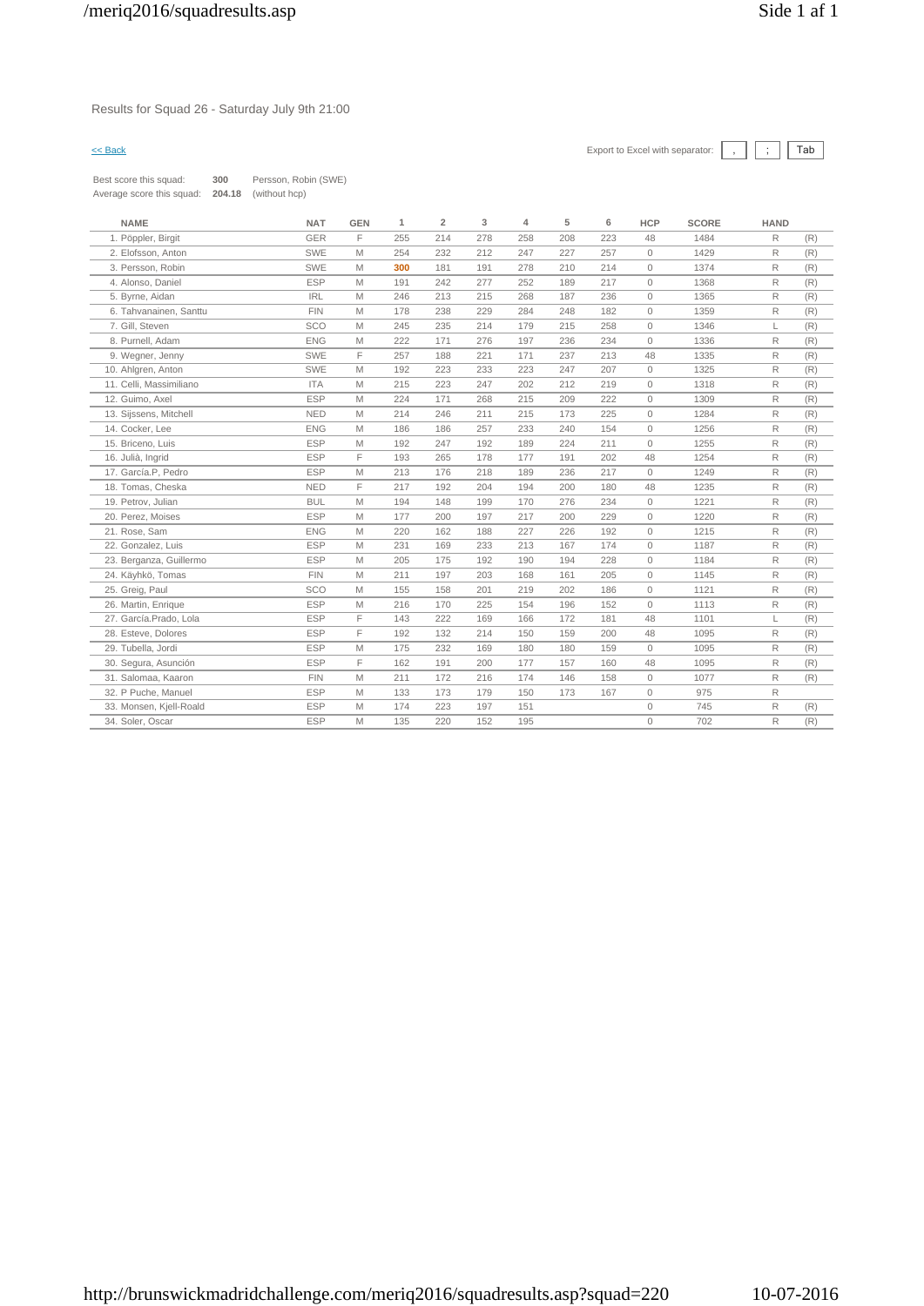Results for Squad 26 - Saturday July 9th 21:00

| Best score this squad:    | 300    | Persson, Robin (SWE) |
|---------------------------|--------|----------------------|
| Average score this squad: | 204.18 | (without hcp)        |

| <b>NAME</b>             | <b>NAT</b> | <b>GEN</b> | 1   | $\overline{2}$ | 3   | 4   | 5   | 6   | <b>HCP</b>          | <b>SCORE</b> | <b>HAND</b>  |     |
|-------------------------|------------|------------|-----|----------------|-----|-----|-----|-----|---------------------|--------------|--------------|-----|
| 1. Pöppler, Birgit      | <b>GER</b> | F          | 255 | 214            | 278 | 258 | 208 | 223 | 48                  | 1484         | $\mathsf{R}$ | (R) |
| 2. Elofsson, Anton      | <b>SWE</b> | M          | 254 | 232            | 212 | 247 | 227 | 257 | $\mathbf{0}$        | 1429         | $\mathsf{R}$ | (R) |
| 3. Persson, Robin       | <b>SWE</b> | M          | 300 | 181            | 191 | 278 | 210 | 214 | $\mathbf{0}$        | 1374         | R            | (R) |
| 4. Alonso, Daniel       | <b>ESP</b> | M          | 191 | 242            | 277 | 252 | 189 | 217 | $\mathbf{0}$        | 1368         | R            | (R) |
| 5. Byrne, Aidan         | <b>IRL</b> | M          | 246 | 213            | 215 | 268 | 187 | 236 | $\mathsf{O}\xspace$ | 1365         | R            | (R) |
| 6. Tahvanainen, Santtu  | <b>FIN</b> | M          | 178 | 238            | 229 | 284 | 248 | 182 | $\circ$             | 1359         | R            | (R) |
| 7. Gill, Steven         | SCO        | M          | 245 | 235            | 214 | 179 | 215 | 258 | $\circ$             | 1346         | L            | (R) |
| 8. Purnell, Adam        | <b>ENG</b> | M          | 222 | 171            | 276 | 197 | 236 | 234 | $\mathbf{0}$        | 1336         | $\mathsf{R}$ | (R) |
| 9. Wegner, Jenny        | SWE        | F          | 257 | 188            | 221 | 171 | 237 | 213 | 48                  | 1335         | $\mathsf{R}$ | (R) |
| 10. Ahlgren, Anton      | <b>SWE</b> | M          | 192 | 223            | 233 | 223 | 247 | 207 | $\mathbf{0}$        | 1325         | $\mathsf{R}$ | (R) |
| 11. Celli. Massimiliano | <b>ITA</b> | M          | 215 | 223            | 247 | 202 | 212 | 219 | $\mathbf{0}$        | 1318         | $\mathsf{R}$ | (R) |
| 12. Guimo, Axel         | <b>ESP</b> | M          | 224 | 171            | 268 | 215 | 209 | 222 | $\circ$             | 1309         | $\mathsf{R}$ | (R) |
| 13. Sijssens, Mitchell  | <b>NED</b> | M          | 214 | 246            | 211 | 215 | 173 | 225 | $\mathbf{0}$        | 1284         | R            | (R) |
| 14. Cocker, Lee         | <b>ENG</b> | M          | 186 | 186            | 257 | 233 | 240 | 154 | $\circ$             | 1256         | $\mathsf{R}$ | (R) |
| 15. Briceno, Luis       | <b>ESP</b> | M          | 192 | 247            | 192 | 189 | 224 | 211 | $\circ$             | 1255         | $\mathsf{R}$ | (R) |
| 16. Julià, Ingrid       | <b>ESP</b> | F          | 193 | 265            | 178 | 177 | 191 | 202 | 48                  | 1254         | R            | (R) |
| 17. García.P, Pedro     | <b>ESP</b> | M          | 213 | 176            | 218 | 189 | 236 | 217 | $\Omega$            | 1249         | $\mathsf{R}$ | (R) |
| 18. Tomas, Cheska       | <b>NED</b> | F          | 217 | 192            | 204 | 194 | 200 | 180 | 48                  | 1235         | $\mathsf{R}$ | (R) |
| 19. Petrov, Julian      | <b>BUL</b> | M          | 194 | 148            | 199 | 170 | 276 | 234 | $\mathbf{0}$        | 1221         | R            | (R) |
| 20. Perez, Moises       | <b>ESP</b> | M          | 177 | 200            | 197 | 217 | 200 | 229 | $\circ$             | 1220         | $\mathsf{R}$ | (R) |
| 21. Rose, Sam           | <b>ENG</b> | M          | 220 | 162            | 188 | 227 | 226 | 192 | $\circ$             | 1215         | R            | (R) |
| 22. Gonzalez, Luis      | <b>ESP</b> | M          | 231 | 169            | 233 | 213 | 167 | 174 | $\mathbb O$         | 1187         | R            | (R) |
| 23. Berganza, Guillermo | <b>ESP</b> | M          | 205 | 175            | 192 | 190 | 194 | 228 | $\circ$             | 1184         | R            | (R) |
| 24. Käyhkö, Tomas       | <b>FIN</b> | M          | 211 | 197            | 203 | 168 | 161 | 205 | $\mathbf{0}$        | 1145         | $\mathsf{R}$ | (R) |
| 25. Greig, Paul         | SCO        | M          | 155 | 158            | 201 | 219 | 202 | 186 | $\circ$             | 1121         | R            | (R) |
| 26. Martin, Enrique     | <b>ESP</b> | M          | 216 | 170            | 225 | 154 | 196 | 152 | $\mathbf{0}$        | 1113         | $\mathsf{R}$ | (R) |
| 27. García.Prado, Lola  | <b>ESP</b> | F          | 143 | 222            | 169 | 166 | 172 | 181 | 48                  | 1101         | L            | (R) |
| 28. Esteve, Dolores     | <b>ESP</b> | F          | 192 | 132            | 214 | 150 | 159 | 200 | 48                  | 1095         | R            | (R) |
| 29. Tubella, Jordi      | <b>ESP</b> | M          | 175 | 232            | 169 | 180 | 180 | 159 | $\mathbf{0}$        | 1095         | R            | (R) |
| 30. Segura, Asunción    | <b>ESP</b> | F          | 162 | 191            | 200 | 177 | 157 | 160 | 48                  | 1095         | R            | (R) |
| 31. Salomaa, Kaaron     | <b>FIN</b> | M          | 211 | 172            | 216 | 174 | 146 | 158 | $\circ$             | 1077         | R            | (R) |
| 32. P Puche, Manuel     | <b>ESP</b> | M          | 133 | 173            | 179 | 150 | 173 | 167 | $\mathbb O$         | 975          | $\mathsf{R}$ |     |
| 33. Monsen, Kjell-Roald | <b>ESP</b> | M          | 174 | 223            | 197 | 151 |     |     | $\circ$             | 745          | $\mathsf{R}$ | (R) |
| 34. Soler, Oscar        | <b>ESP</b> | M          | 135 | 220            | 152 | 195 |     |     | $\mathbf{0}$        | 702          | $\mathsf{R}$ | (R) |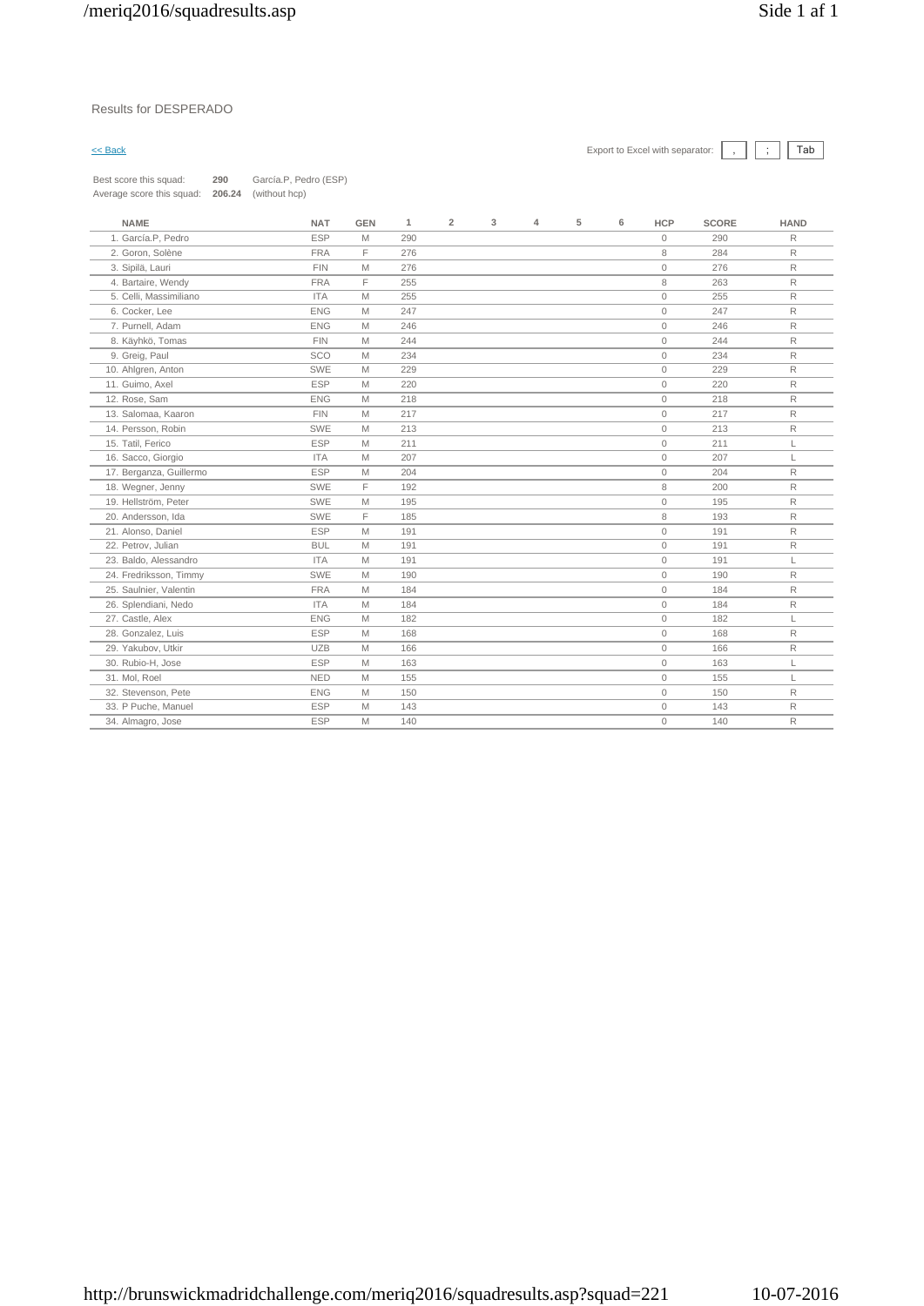### Results for DESPERADO

 $\leq$  Back Export to Excel with separator:  $\boxed{\phantom{s}}$   $\boxed{\phantom{s}}$   $\boxed{\phantom{s}}$ 

| Best score this squad:    | 290    | García.P, Pedro (ESP) |
|---------------------------|--------|-----------------------|
| Average score this squad: | 206.24 | (without hcp)         |

|                         |            |             |     | $\mathbf 2$ | 3 | $\overline{4}$ | 6 | <b>HCP</b>   | <b>SCORE</b> | <b>HAND</b>  |
|-------------------------|------------|-------------|-----|-------------|---|----------------|---|--------------|--------------|--------------|
| 1. García.P, Pedro      | <b>ESP</b> | M           | 290 |             |   |                |   | $\mathbf{0}$ | 290          | R            |
| 2. Goron, Solène        | <b>FRA</b> | F.          | 276 |             |   |                |   | 8            | 284          | $\mathsf{R}$ |
| 3. Sipilä, Lauri        | <b>FIN</b> | M           | 276 |             |   |                |   | $\mathbf{0}$ | 276          | R            |
| 4. Bartaire, Wendy      | <b>FRA</b> | E           | 255 |             |   |                |   | 8            | 263          | $\mathsf{R}$ |
| 5. Celli, Massimiliano  | <b>ITA</b> | M           | 255 |             |   |                |   | $\mathbf{0}$ | 255          | R            |
| 6. Cocker, Lee          | <b>ENG</b> | M           | 247 |             |   |                |   | $\mathbf{0}$ | 247          | R            |
| 7. Purnell, Adam        | <b>ENG</b> | M           | 246 |             |   |                |   | $\mathbf{0}$ | 246          | R            |
| 8. Käyhkö, Tomas        | <b>FIN</b> | M           | 244 |             |   |                |   | $\circ$      | 244          | $\mathsf R$  |
| 9. Greig, Paul          | SCO        | M           | 234 |             |   |                |   | $\mathbf{0}$ | 234          | $\mathsf{R}$ |
| 10. Ahlgren, Anton      | SWE        | M           | 229 |             |   |                |   | $\circ$      | 229          | $\mathsf R$  |
| 11. Guimo, Axel         | <b>ESP</b> | M           | 220 |             |   |                |   | $\circ$      | 220          | $\mathsf{R}$ |
| 12. Rose, Sam           | <b>ENG</b> | M           | 218 |             |   |                |   | $\circ$      | 218          | $\mathsf R$  |
| 13. Salomaa, Kaaron     | <b>FIN</b> | M           | 217 |             |   |                |   | $\circ$      | 217          | R            |
| 14. Persson, Robin      | SWE        | M           | 213 |             |   |                |   | $\mathbf{0}$ | 213          | R            |
| 15. Tatil, Ferico       | <b>ESP</b> | $\mathbb M$ | 211 |             |   |                |   | $\circ$      | 211          | L            |
| 16. Sacco, Giorgio      | <b>ITA</b> | M           | 207 |             |   |                |   | $\mathbf{0}$ | 207          | L            |
| 17. Berganza, Guillermo | <b>ESP</b> | M           | 204 |             |   |                |   | $\mathbf{0}$ | 204          | $\mathsf R$  |
| 18. Wegner, Jenny       | <b>SWE</b> | E           | 192 |             |   |                |   | 8            | 200          | R            |
| 19. Hellström, Peter    | SWE        | M           | 195 |             |   |                |   | $\mathbf{0}$ | 195          | $\mathsf{R}$ |
| 20. Andersson, Ida      | SWE        | F           | 185 |             |   |                |   | 8            | 193          | R            |
| 21. Alonso, Daniel      | <b>ESP</b> | M           | 191 |             |   |                |   | $\circ$      | 191          | R            |
| 22. Petrov, Julian      | <b>BUL</b> | M           | 191 |             |   |                |   | $\mathbf{0}$ | 191          | R            |
| 23. Baldo, Alessandro   | <b>ITA</b> | M           | 191 |             |   |                |   | $\mathbb O$  | 191          | L            |
| 24. Fredriksson, Timmy  | SWE        | M           | 190 |             |   |                |   | $\mathbf{0}$ | 190          | $\mathsf R$  |
| 25. Saulnier, Valentin  | <b>FRA</b> | M           | 184 |             |   |                |   | $\mathbf{0}$ | 184          | $\mathsf{R}$ |
| 26. Splendiani, Nedo    | <b>ITA</b> | M           | 184 |             |   |                |   | $\mathbf{0}$ | 184          | $\mathsf R$  |
| 27. Castle, Alex        | <b>ENG</b> | $\mathbb M$ | 182 |             |   |                |   | $\mathbf{0}$ | 182          | L            |
| 28. Gonzalez, Luis      | <b>ESP</b> | M           | 168 |             |   |                |   | $\circ$      | 168          | $\mathsf R$  |
| 29. Yakubov. Utkir      | <b>UZB</b> | M           | 166 |             |   |                |   | $\mathbf{0}$ | 166          | $\mathsf R$  |
| 30. Rubio-H, Jose       | <b>ESP</b> | M           | 163 |             |   |                |   | $\mathbf{0}$ | 163          | L            |
| 31. Mol, Roel           | <b>NED</b> | M           | 155 |             |   |                |   | $\mathbf{0}$ | 155          | L            |
| 32. Stevenson, Pete     | <b>ENG</b> | M           | 150 |             |   |                |   | $\mathbf{0}$ | 150          | R            |
| 33. P Puche, Manuel     | <b>ESP</b> | M           | 143 |             |   |                |   | $\Omega$     | 143          | R            |
| 34. Almagro, Jose       | <b>ESP</b> | M           | 140 |             |   |                |   | $\mathbf{0}$ | 140          | $\mathsf R$  |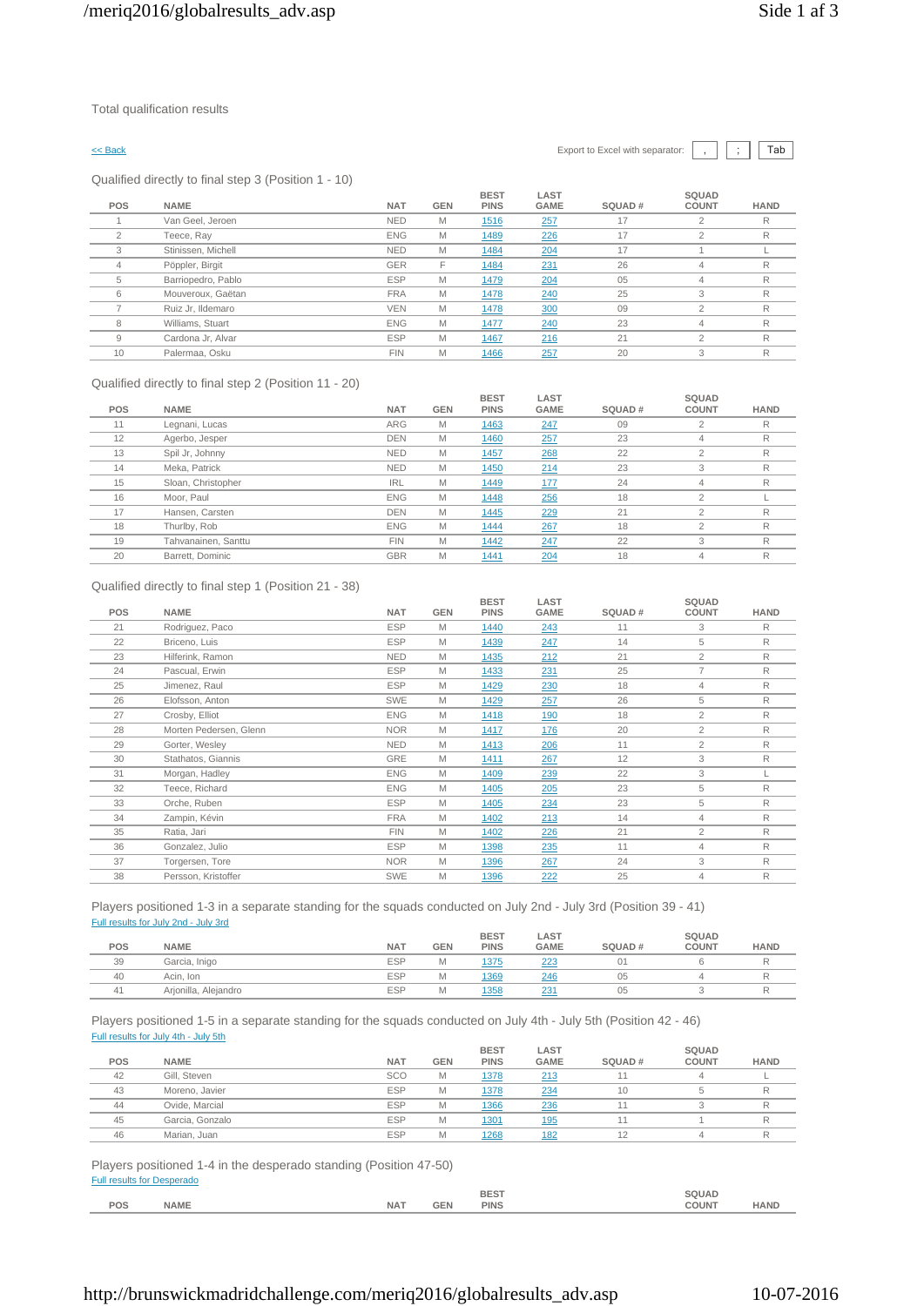Qualified directly to final step 3 (Position 1 - 10)

| POS            | <b>NAME</b>        | <b>NAT</b> | <b>GEN</b> | <b>BEST</b><br><b>PINS</b> | LAST<br><b>GAME</b> | SQUAD# | SQUAD<br><b>COUNT</b> | <b>HAND</b> |
|----------------|--------------------|------------|------------|----------------------------|---------------------|--------|-----------------------|-------------|
|                | Van Geel, Jeroen   | <b>NED</b> | M          | 1516                       | 257                 | 17     |                       | R           |
| $\overline{2}$ | Teece, Ray         | <b>ENG</b> | M          | 1489                       | 226                 | 17     | $\overline{2}$        | R           |
| 3              | Stinissen, Michell | <b>NED</b> | M          | 1484                       | 204                 | 17     |                       |             |
| 4              | Pöppler, Birgit    | <b>GER</b> | F          | 1484                       | 231                 | 26     | 4                     | R           |
| 5              | Barriopedro, Pablo | <b>ESP</b> | M          | 1479                       | 204                 | 05     | 4                     | R           |
| 6              | Mouveroux, Gaëtan  | <b>FRA</b> | M          | 1478                       | 240                 | 25     | 3                     | R           |
|                | Ruiz Jr, Ildemaro  | <b>VEN</b> | M          | 1478                       | 300                 | 09     | $\mathfrak{p}$        | R           |
| 8              | Williams, Stuart   | <b>ENG</b> | M          | 1477                       | 240                 | 23     | 4                     | R           |
| 9              | Cardona Jr, Alvar  | <b>ESP</b> | M          | 1467                       | 216                 | 21     | $\overline{2}$        | R           |
| 10             | Palermaa, Osku     | <b>FIN</b> | M          | 1466                       | 257                 | 20     | 3                     | R           |

### Qualified directly to final step 2 (Position 11 - 20)

| POS | <b>NAME</b>         | <b>NAT</b> | <b>GEN</b> | <b>BEST</b><br><b>PINS</b> | LAST<br><b>GAME</b> | SQUAD# | SQUAD<br><b>COUNT</b> | <b>HAND</b> |
|-----|---------------------|------------|------------|----------------------------|---------------------|--------|-----------------------|-------------|
| 11  | Legnani, Lucas      | <b>ARG</b> | M          | 1463                       | 247                 | 09     | $\mathfrak{p}$        | R           |
| 12  | Agerbo, Jesper      | <b>DEN</b> | M          | 1460                       | 257                 | 23     | 4                     | R           |
| 13  | Spil Jr, Johnny     | <b>NED</b> | M          | 1457                       | 268                 | 22     | $\overline{2}$        | R           |
| 14  | Meka, Patrick       | <b>NED</b> | M          | 1450                       | 214                 | 23     | 3                     | R           |
| 15  | Sloan, Christopher  | <b>IRL</b> | M          | 1449                       | 177                 | 24     | 4                     | R           |
| 16  | Moor, Paul          | <b>ENG</b> | M          | 1448                       | 256                 | 18     | $\Omega$              |             |
| 17  | Hansen, Carsten     | <b>DEN</b> | M          | 1445                       | 229                 | 21     | $\mathfrak{D}$        | R           |
| 18  | Thurlby, Rob        | <b>ENG</b> | M          | 1444                       | 267                 | 18     | $\overline{2}$        | R           |
| 19  | Tahvanainen, Santtu | <b>FIN</b> | M          | 1442                       | 247                 | 22     | 3                     | R           |
| 20  | Barrett, Dominic    | <b>GBR</b> | M          | 1441                       | 204                 | 18     | 4                     | R           |

### Qualified directly to final step 1 (Position 21 - 38)

| <b>POS</b> | <b>NAME</b>            | <b>NAT</b> | <b>GEN</b> | <b>BEST</b><br><b>PINS</b> | LAST<br><b>GAME</b> | SQUAD# | SQUAD<br><b>COUNT</b> | <b>HAND</b>  |
|------------|------------------------|------------|------------|----------------------------|---------------------|--------|-----------------------|--------------|
| 21         | Rodriguez, Paco        | <b>ESP</b> | M          | 1440                       | 243                 | 11     | 3                     | R            |
| 22         | Briceno, Luis          | <b>ESP</b> | M          | 1439                       | 247                 | 14     | 5                     | R            |
| 23         | Hilferink, Ramon       | <b>NED</b> | M          | 1435                       | 212                 | 21     | $\overline{2}$        | R            |
| 24         | Pascual, Erwin         | <b>ESP</b> | M          | 1433                       | 231                 | 25     | 7                     | R            |
| 25         | Jimenez, Raul          | <b>ESP</b> | M          | 1429                       | 230                 | 18     | $\overline{4}$        | R            |
| 26         | Elofsson, Anton        | SWE        | M          | 1429                       | 257                 | 26     | 5                     | R            |
| 27         | Crosby, Elliot         | <b>ENG</b> | M          | 1418                       | 190                 | 18     | $\overline{2}$        | R            |
| 28         | Morten Pedersen, Glenn | <b>NOR</b> | M          | 1417                       | 176                 | 20     | 2                     | R            |
| 29         | Gorter, Wesley         | <b>NED</b> | M          | 1413                       | 206                 | 11     | $\overline{2}$        | R            |
| 30         | Stathatos, Giannis     | GRE        | M          | 1411                       | 267                 | 12     | 3                     | R            |
| 31         | Morgan, Hadley         | <b>ENG</b> | M          | 1409                       | 239                 | 22     | 3                     |              |
| 32         | Teece, Richard         | <b>ENG</b> | M          | 1405                       | 205                 | 23     | 5                     | $\mathsf{R}$ |
| 33         | Orche, Ruben           | <b>ESP</b> | M          | 1405                       | 234                 | 23     | 5                     | R            |
| 34         | Zampin, Kévin          | <b>FRA</b> | M          | 1402                       | 213                 | 14     | $\overline{4}$        | R            |
| 35         | Ratia, Jari            | <b>FIN</b> | M          | 1402                       | 226                 | 21     | $\overline{2}$        | R            |
| 36         | Gonzalez, Julio        | <b>ESP</b> | M          | 1398                       | 235                 | 11     | $\overline{4}$        | R            |
| 37         | Torgersen, Tore        | <b>NOR</b> | M          | 1396                       | 267                 | 24     | 3                     | R            |
| 38         | Persson, Kristoffer    | SWE        | M          | 1396                       | 222                 | 25     | $\overline{4}$        | R            |
|            |                        |            |            |                            |                     |        |                       |              |

Players positioned 1-3 in a separate standing for the squads conducted on July 2nd - July 3rd (Position 39 - 41) Full results for July 2nd - July 3rd

|     |                      |            |            | <b>BEST</b> | LAST        |        | SQUAD        |             |
|-----|----------------------|------------|------------|-------------|-------------|--------|--------------|-------------|
| POS | <b>NAME</b>          | <b>NAT</b> | <b>GEN</b> | <b>PINS</b> | <b>GAME</b> | SQUAD# | <b>COUNT</b> | <b>HAND</b> |
| 39  | Garcia, Inigo        | <b>ESP</b> | <b>IVI</b> | 1375        | 223         | 01     |              |             |
| 40  | Acin, Ion            | <b>ESP</b> | <b>IVI</b> | 1369        | 246         | 05     |              |             |
| 41  | Arjonilla, Alejandro | <b>ESP</b> | <b>IVI</b> | 1358        | 23          | 05     |              |             |
|     |                      |            |            |             |             |        |              |             |

### Players positioned 1-5 in a separate standing for the squads conducted on July 4th - July 5th (Position 42 - 46) Full results for July 4th - July 5th **SQUAD**

|     |                 |            |            | <b>BEST</b> | LAST        |        | SQUAD        |             |
|-----|-----------------|------------|------------|-------------|-------------|--------|--------------|-------------|
| POS | <b>NAME</b>     | <b>NAT</b> | <b>GEN</b> | <b>PINS</b> | <b>GAME</b> | SQUAD# | <b>COUNT</b> | <b>HAND</b> |
| 42  | Gill, Steven    | <b>SCO</b> | M          | 1378        | 213         | 11     |              |             |
| 43  | Moreno, Javier  | <b>ESP</b> | M          | 1378        | 234         | 10     |              |             |
| 44  | Ovide, Marcial  | <b>ESP</b> | M          | 1366        | 236         |        |              |             |
| 45  | Garcia, Gonzalo | <b>ESP</b> | M          | 1301        | 195         |        |              |             |
| 46  | Marian, Juan    | <b>ESP</b> | M          | 1268        | 182         | 12     |              |             |
|     |                 |            |            |             |             |        |              |             |

Players positioned 1-4 in the desperado standing (Position 47-50) Full results for Desperado

|     |             |            |      | <b>BEST</b><br>_______ | `QUAL-<br>______ |            |
|-----|-------------|------------|------|------------------------|------------------|------------|
| POS |             |            |      |                        |                  |            |
|     | <b>NAME</b> | <b>NAT</b> | יו⊐כ | PIN <sup>?</sup>       | COUN.            | <b>AND</b> |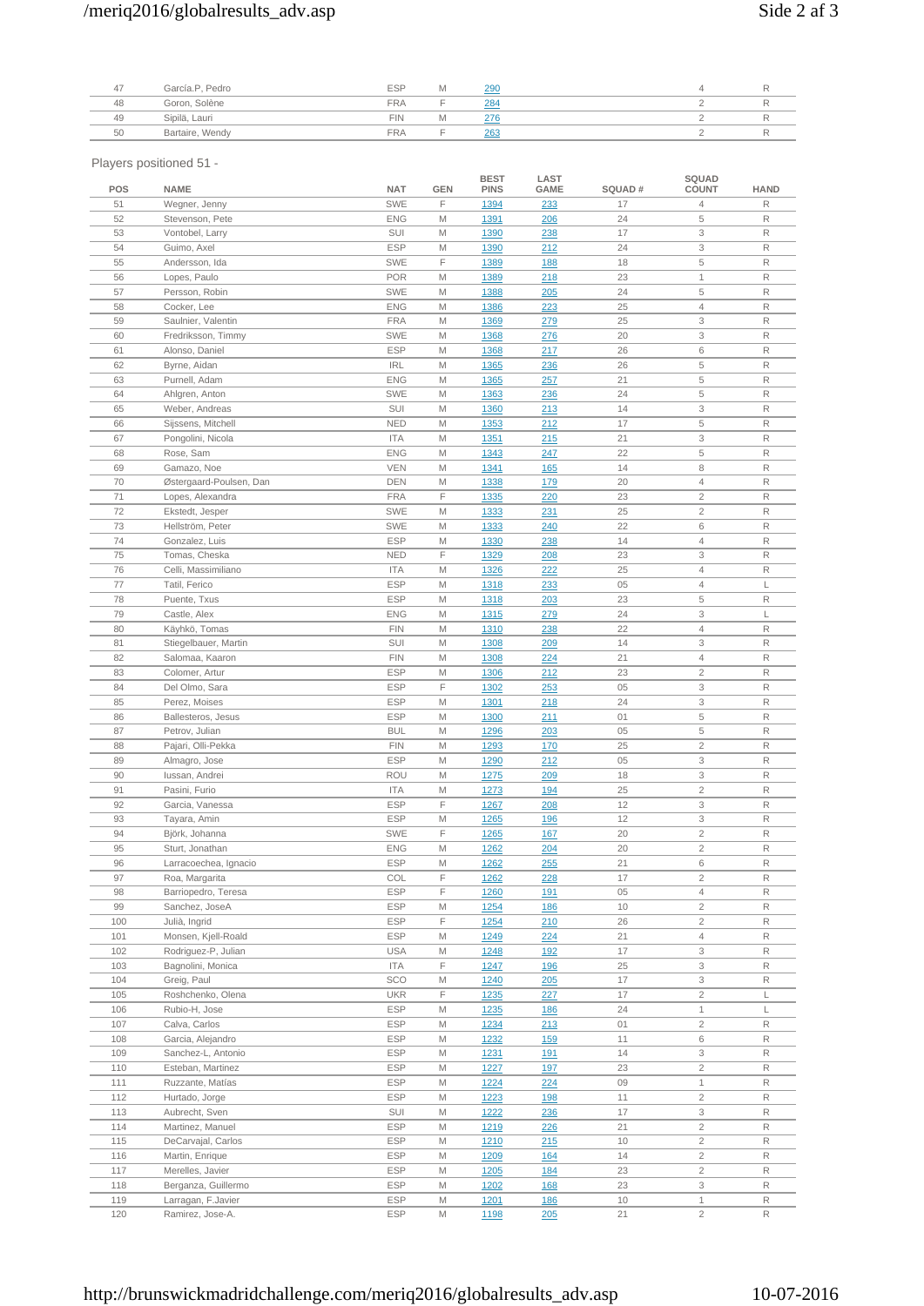# /meriq2016/globalresults\_adv.asp Side 2 af 3

|    | García.P, Pedro | <b>ESP</b> | 200    |  |  |
|----|-----------------|------------|--------|--|--|
| 48 | Goron, Solène   | <b>FRA</b> | 284    |  |  |
| 49 | Sipilä, Lauri   | <b>FIN</b> | $\sim$ |  |  |
| 50 | Bartaire, Wendy | <b>FRA</b> | 263    |  |  |

Players positioned 51 -

| POS | <b>NAME</b>             | <b>NAT</b> | GEN | <b>BEST</b><br><b>PINS</b> | LAST<br><b>GAME</b> | SQUAD# | <b>SQUAD</b><br><b>COUNT</b> | <b>HAND</b>        |
|-----|-------------------------|------------|-----|----------------------------|---------------------|--------|------------------------------|--------------------|
| 51  | Wegner, Jenny           | <b>SWE</b> | F   | 1394                       | 233                 | 17     | 4                            | R                  |
| 52  | Stevenson, Pete         | <b>ENG</b> | M   | 1391                       | 206                 | 24     | 5                            | R                  |
| 53  | Vontobel, Larry         | SUI        | M   | 1390                       | 238                 | 17     | 3                            | R                  |
| 54  | Guimo, Axel             | <b>ESP</b> | M   | 1390                       | 212                 | 24     | 3                            | R                  |
| 55  | Andersson, Ida          | <b>SWE</b> | F   | 1389                       | <u>188</u>          | 18     | $\sqrt{5}$                   | R                  |
| 56  | Lopes, Paulo            | <b>POR</b> | M   | 1389                       | 218                 | 23     | $\mathbf{1}$                 | $\mathsf R$        |
| 57  | Persson, Robin          | <b>SWE</b> | M   | 1388                       | 205                 | 24     | 5                            | R                  |
| 58  | Cocker, Lee             | <b>ENG</b> | M   | 1386                       | 223                 | 25     | $\sqrt{4}$                   | $\mathsf R$        |
| 59  | Saulnier, Valentin      | <b>FRA</b> | M   | 1369                       | 279                 | 25     | 3                            | R                  |
| 60  | Fredriksson, Timmy      | <b>SWE</b> | M   | 1368                       | 276                 | 20     | 3                            | R                  |
| 61  | Alonso, Daniel          | <b>ESP</b> | M   | 1368                       | 217                 | 26     | 6                            | $\mathsf R$        |
| 62  | Byrne, Aidan            | <b>IRL</b> | M   | 1365                       | <u>236</u>          | 26     | 5                            | R                  |
| 63  | Purnell, Adam           | <b>ENG</b> | M   | 1365                       | 257                 | 21     | 5                            | $\mathsf R$        |
| 64  | Ahlgren, Anton          | <b>SWE</b> | M   | 1363                       | <u>236</u>          | 24     | 5                            | R                  |
| 65  | Weber, Andreas          | SUI        | M   | 1360                       | 213                 | 14     | 3                            | $\mathsf R$        |
| 66  | Sijssens, Mitchell      | <b>NED</b> | M   | 1353                       | 212                 | 17     | 5                            | $\mathsf{R}% _{T}$ |
| 67  | Pongolini, Nicola       | <b>ITA</b> | M   | 1351                       | 215                 | 21     | 3                            | R                  |
| 68  | Rose, Sam               | <b>ENG</b> | M   | 1343                       | 247                 | 22     | 5                            | $\mathsf R$        |
| 69  | Gamazo, Noe             | <b>VEN</b> | M   | 1341                       | <u>165</u>          | 14     | 8                            | R                  |
| 70  | Østergaard-Poulsen, Dan | <b>DEN</b> | M   | 1338                       | <u>179</u>          | 20     | $\sqrt{4}$                   | $\mathsf R$        |
| 71  | Lopes, Alexandra        | <b>FRA</b> | F   | 1335                       | 220                 | 23     | $\overline{c}$               | $\mathsf R$        |
| 72  | Ekstedt, Jesper         | <b>SWE</b> | M   | 1333                       | 231                 | 25     | $\sqrt{2}$                   | $\mathsf R$        |
| 73  | Hellström, Peter        | <b>SWE</b> | M   | 1333                       | 240                 | 22     | 6                            | R                  |
| 74  | Gonzalez, Luis          | <b>ESP</b> | M   | 1330                       | 238                 | 14     | $\overline{4}$               | R                  |
| 75  | Tomas, Cheska           | <b>NED</b> | F   | 1329                       | 208                 | 23     | 3                            | $\mathsf R$        |
| 76  | Celli, Massimiliano     | ITA        | M   | 1326                       | 222                 | 25     | $\overline{4}$               | $\mathsf{R}% _{T}$ |
| 77  | Tatil, Ferico           | <b>ESP</b> | M   | 1318                       | 233                 | 05     | $\overline{4}$               | L                  |
| 78  | Puente, Txus            | <b>ESP</b> | M   | 1318                       | 203                 | 23     | 5                            | $\mathsf R$        |
| 79  | Castle, Alex            | <b>ENG</b> | M   | 1315                       | 279                 | 24     | 3                            | L                  |
| 80  | Käyhkö, Tomas           | <b>FIN</b> | M   | 1310                       | 238                 | 22     | $\overline{4}$               | R                  |
| 81  | Stiegelbauer, Martin    | SUI        | M   | 1308                       | 209                 | 14     | 3                            | R                  |
| 82  | Salomaa, Kaaron         | <b>FIN</b> | M   | 1308                       | 224                 | 21     | $\overline{4}$               | $\mathsf R$        |
| 83  | Colomer, Artur          | <b>ESP</b> | M   | 1306                       | 212                 | 23     | $\overline{c}$               | $\mathsf{R}% _{T}$ |
| 84  | Del Olmo, Sara          | <b>ESP</b> | F   | 1302                       | 253                 | 05     | 3                            | R                  |
| 85  | Perez, Moises           | <b>ESP</b> | M   | 1301                       | <u> 218</u>         | 24     | 3                            | $\mathsf R$        |
| 86  | Ballesteros, Jesus      | <b>ESP</b> | M   | 1300                       | 211                 | 01     | $\,$ 5 $\,$                  | $\mathsf R$        |
| 87  | Petrov, Julian          | <b>BUL</b> | M   | 1296                       | 203                 | 05     | 5                            | R                  |
| 88  | Pajari, Olli-Pekka      | <b>FIN</b> | M   | 1293                       | 170                 | 25     | $\overline{2}$               | R                  |
| 89  | Almagro, Jose           | <b>ESP</b> | M   | 1290                       | 212                 | 05     | 3                            | $\mathsf R$        |
| 90  | lussan, Andrei          | <b>ROU</b> | M   | 1275                       | 209                 | 18     | 3                            | $\mathsf{R}% _{T}$ |
| 91  | Pasini, Furio           | <b>ITA</b> | M   | 1273                       | <u>194</u>          | 25     | $\overline{c}$               | $\mathsf R$        |
| 92  | Garcia, Vanessa         | <b>ESP</b> | F   | 1267                       | 208                 | 12     | 3                            | R                  |
| 93  | Tayara, Amin            | <b>ESP</b> | M   | <u>1265</u>                | <u>196</u>          | 12     | 3                            | R                  |
| 94  | Björk, Johanna          | <b>SWE</b> | F   | 1265                       | 167                 | 20     | $\overline{2}$               | R                  |
| 95  | Sturt, Jonathan         | <b>ENG</b> | M   | 1262                       | 204                 | 20     | $\overline{2}$               | $\mathsf R$        |
| 96  | Larracoechea, Ignacio   | <b>ESP</b> | M   | 1262                       | 255                 | 21     | 6                            | R                  |
| 97  | Roa, Margarita          | COL        | F   | 1262                       | <u>228</u>          | 17     | $\overline{c}$               | R                  |
| 98  | Barriopedro, Teresa     | <b>ESP</b> | F   | 1260                       | <u>191</u>          | 05     | $\overline{4}$               | $\mathsf R$        |
| 99  | Sanchez, JoseA          | <b>ESP</b> | M   | 1254                       | <u>186</u>          | 10     | $\overline{c}$               | R                  |
| 100 | Julià, Ingrid           | <b>ESP</b> | F   | 1254                       | 210                 | 26     | $\overline{c}$               | R                  |
| 101 | Monsen, Kjell-Roald     | <b>ESP</b> | M   | 1249                       | 224                 | 21     | $\overline{4}$               | R                  |
| 102 | Rodriguez-P, Julian     | <b>USA</b> | M   | 1248                       | <u>192</u>          | 17     | 3                            | R                  |
| 103 | Bagnolini, Monica       | <b>ITA</b> | F   | 1247                       | <u>196</u>          | 25     | 3                            | $\mathsf R$        |
| 104 | Greig, Paul             | SCO        | M   | 1240                       | 205                 | 17     | 3                            | R                  |
| 105 | Roshchenko, Olena       | <b>UKR</b> | F   | 1235                       | 227                 | 17     | $\sqrt{2}$                   | L                  |
| 106 | Rubio-H, Jose           | <b>ESP</b> | M   | 1235                       | <u>186</u>          | 24     | $\mathbf{1}$                 | L                  |
| 107 | Calva, Carlos           | <b>ESP</b> | M   | 1234                       | 213                 | 01     | $\sqrt{2}$                   | R                  |
| 108 | Garcia, Alejandro       | <b>ESP</b> | M   | 1232                       | <u>159</u>          | 11     | 6                            | $\mathsf R$        |
| 109 | Sanchez-L, Antonio      | <b>ESP</b> | M   | 1231                       | <u>191</u>          | 14     | 3                            | R                  |
| 110 | Esteban, Martinez       | <b>ESP</b> | M   | 1227                       | 197                 | 23     | $\overline{c}$               | R                  |
| 111 | Ruzzante, Matías        | <b>ESP</b> | M   | 1224                       | 224                 | 09     | $\mathbf{1}$                 | R                  |
| 112 | Hurtado, Jorge          | <b>ESP</b> | M   | 1223                       | <u>198</u>          | 11     | $\sqrt{2}$                   | $\mathsf R$        |
| 113 | Aubrecht, Sven          | SUI        | M   | 1222                       | 236                 | 17     | 3                            | R                  |
| 114 | Martinez, Manuel        | <b>ESP</b> | M   | 1219                       | 226                 | 21     | $\overline{c}$               | R                  |
| 115 | DeCarvajal, Carlos      | <b>ESP</b> | M   | 1210                       | 215                 | 10     | $\overline{2}$               | $\mathsf R$        |
| 116 | Martin, Enrique         | <b>ESP</b> | M   | 1209                       | <u>164</u>          | 14     | $\overline{c}$               | R                  |
| 117 | Merelles, Javier        | <b>ESP</b> | M   | 1205                       | 184                 | 23     | $\sqrt{2}$                   | R                  |
| 118 | Berganza, Guillermo     | <b>ESP</b> | M   | 1202                       | <u>168</u>          | 23     | 3                            | R                  |
| 119 | Larragan, F.Javier      | <b>ESP</b> | M   | 1201                       | <b>186</b>          | 10     | $\mathbf{1}$                 | R                  |
| 120 | Ramirez, Jose-A.        | <b>ESP</b> | M   | 1198                       | 205                 | 21     | $\overline{c}$               | $\mathsf R$        |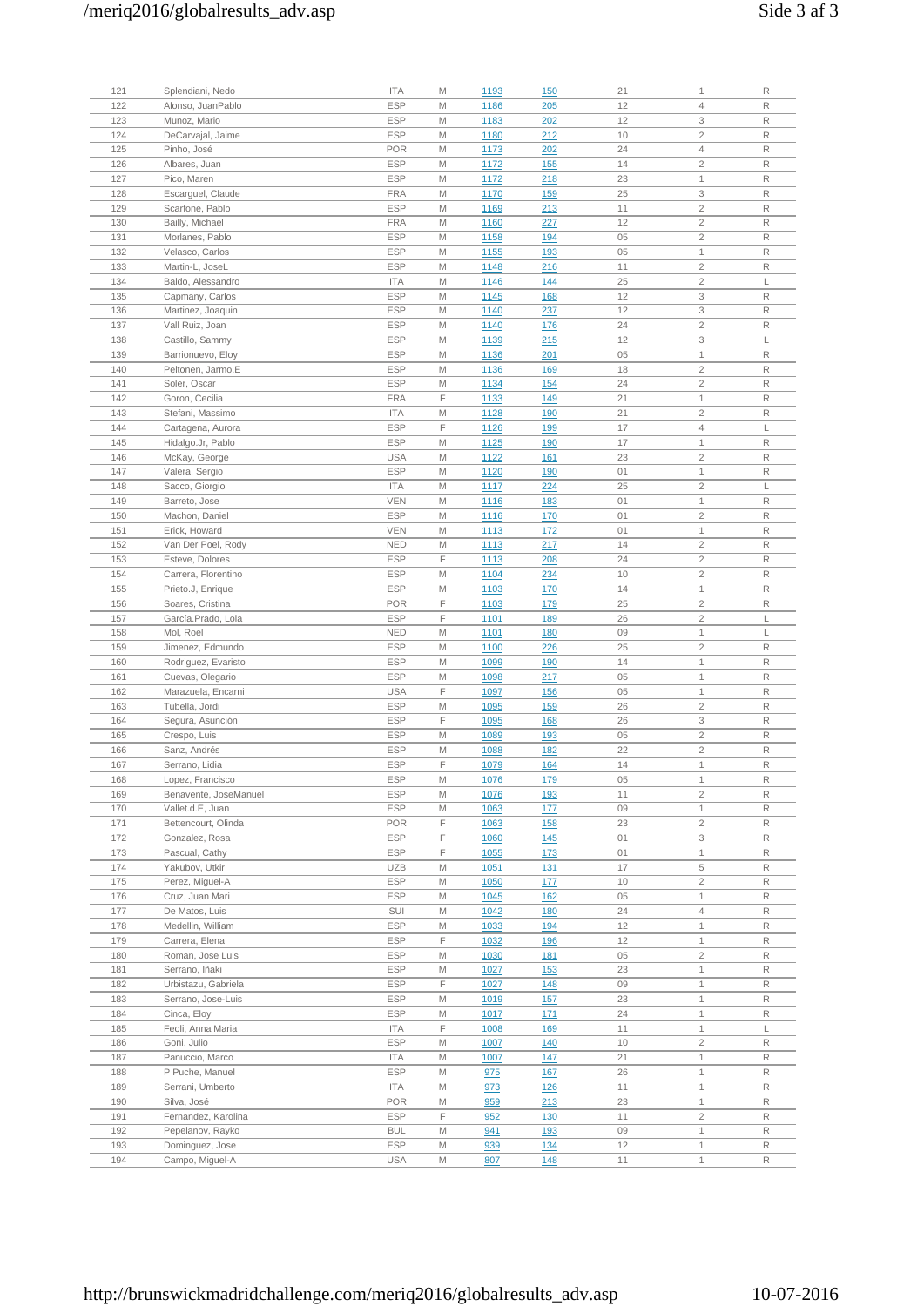# /meriq2016/globalresults\_adv.asp Side 3 af 3

| 121 | Splendiani, Nedo      | <b>ITA</b> | M | 1193        | <b>150</b>  | 21 | $\mathbf{1}$   | R |
|-----|-----------------------|------------|---|-------------|-------------|----|----------------|---|
| 122 | Alonso, JuanPablo     | <b>ESP</b> | M | 1186        | 205         | 12 | $\overline{4}$ | R |
|     |                       |            | M |             |             |    |                | R |
| 123 | Munoz, Mario          | <b>ESP</b> |   | 1183        | 202         | 12 | 3              |   |
| 124 | DeCarvajal, Jaime     | <b>ESP</b> | M | 1180        | 212         | 10 | $\overline{2}$ | R |
| 125 | Pinho, José           | <b>POR</b> | M | 1173        | 202         | 24 | $\overline{4}$ | R |
| 126 | Albares, Juan         | <b>ESP</b> | M | 1172        | <u>155</u>  | 14 | $\overline{c}$ | R |
| 127 | Pico, Maren           | <b>ESP</b> | M | 1172        | 218         | 23 | $\mathbf{1}$   | R |
| 128 | Escarguel, Claude     | <b>FRA</b> | M | 1170        | <b>159</b>  | 25 | 3              | R |
| 129 | Scarfone, Pablo       | <b>ESP</b> | M | 1169        | 213         | 11 | $\sqrt{2}$     | R |
| 130 | Bailly, Michael       | <b>FRA</b> | M | 1160        | 227         | 12 | $\overline{c}$ | R |
| 131 | Morlanes, Pablo       | <b>ESP</b> | M | 1158        | <u>194</u>  | 05 | $\sqrt{2}$     | R |
| 132 | Velasco, Carlos       | <b>ESP</b> | M | 1155        | 193         | 05 | $\mathbf{1}$   | R |
|     |                       |            |   |             |             |    |                | R |
| 133 | Martin-L, JoseL       | <b>ESP</b> | M | 1148        | 216         | 11 | $\overline{c}$ |   |
| 134 | Baldo, Alessandro     | <b>ITA</b> | M | 1146        | 144         | 25 | $\overline{2}$ | L |
| 135 | Capmany, Carlos       | ESP        | M | 1145        | <u>168</u>  | 12 | 3              | R |
| 136 | Martinez, Joaquin     | <b>ESP</b> | M | 1140        | 237         | 12 | 3              | R |
| 137 | Vall Ruiz, Joan       | <b>ESP</b> | M | 1140        | 176         | 24 | $\sqrt{2}$     | R |
| 138 | Castillo, Sammy       | <b>ESP</b> | M | 1139        | 215         | 12 | 3              | L |
| 139 | Barrionuevo, Eloy     | <b>ESP</b> | M | 1136        | 201         | 05 | $\mathbf{1}$   | R |
| 140 | Peltonen, Jarmo.E     | <b>ESP</b> | M | 1136        | <u>169</u>  | 18 | $\overline{c}$ | R |
| 141 | Soler, Oscar          | <b>ESP</b> | M | 1134        | 154         | 24 | $\overline{2}$ | R |
| 142 | Goron, Cecilia        | <b>FRA</b> | F | <u>1133</u> | <u>149</u>  | 21 | $\mathbf{1}$   | R |
| 143 | Stefani, Massimo      | <b>ITA</b> | M | 1128        | 190         | 21 | $\overline{2}$ | R |
| 144 | Cartagena, Aurora     | <b>ESP</b> | F |             |             | 17 | $\overline{4}$ | L |
|     |                       |            |   | 1126        | <u>199</u>  |    |                |   |
| 145 | Hidalgo.Jr, Pablo     | <b>ESP</b> | M | 1125        | <u>190</u>  | 17 | $\mathbf{1}$   | R |
| 146 | McKay, George         | <b>USA</b> | M | 1122        | <u>161</u>  | 23 | $\overline{c}$ | R |
| 147 | Valera, Sergio        | <b>ESP</b> | M | 1120        | 190         | 01 | $\mathbf{1}$   | R |
| 148 | Sacco, Giorgio        | <b>ITA</b> | M | 1117        | 224         | 25 | $\overline{2}$ | L |
| 149 | Barreto, Jose         | <b>VEN</b> | M | <u>1116</u> | 183         | 01 | $\mathbf{1}$   | R |
| 150 | Machon, Daniel        | <b>ESP</b> | M | 1116        | 170         | 01 | $\overline{2}$ | R |
| 151 | Erick, Howard         | <b>VEN</b> | M | 1113        | <u>172</u>  | 01 | $\mathbf{1}$   | R |
| 152 | Van Der Poel, Rody    | <b>NED</b> | M | 1113        | 217         | 14 | $\sqrt{2}$     | R |
| 153 | Esteve, Dolores       | <b>ESP</b> | F | 1113        | 208         | 24 | $\overline{2}$ | R |
| 154 | Carrera, Florentino   | <b>ESP</b> | M | 1104        |             | 10 | $\overline{2}$ | R |
|     |                       |            |   |             | 234         |    |                |   |
| 155 | Prieto.J, Enrique     | <b>ESP</b> | M | 1103        | 170         | 14 | $\mathbf{1}$   | R |
| 156 | Soares, Cristina      | <b>POR</b> | F | 1103        | <u>179</u>  | 25 | $\overline{c}$ | R |
| 157 | García.Prado, Lola    | <b>ESP</b> | F | 1101        | <u>189</u>  | 26 | $\overline{2}$ | L |
| 158 | Mol, Roel             | <b>NED</b> | M | 1101        | <u>180</u>  | 09 | $\mathbf{1}$   | L |
| 159 | Jimenez, Edmundo      | <b>ESP</b> | M | 1100        | 226         | 25 | $\overline{c}$ | R |
| 160 | Rodriguez, Evaristo   | <b>ESP</b> | M | 1099        | 190         | 14 | $\mathbf{1}$   | R |
| 161 | Cuevas, Olegario      | <b>ESP</b> | M | <u>1098</u> | <u>217</u>  | 05 | $\mathbf{1}$   | R |
| 162 | Marazuela, Encarni    | <b>USA</b> | F | 1097        | <u>156</u>  | 05 | $\mathbf{1}$   | R |
| 163 | Tubella, Jordi        | <b>ESP</b> | M | 1095        | <u>159</u>  | 26 | $\overline{c}$ | R |
| 164 | Segura, Asunción      | <b>ESP</b> | F | 1095        | <u>168</u>  | 26 | 3              | R |
| 165 | Crespo, Luis          | <b>ESP</b> | M | 1089        | 193         | 05 | $\overline{c}$ | R |
|     |                       |            |   |             |             |    |                |   |
| 166 | Sanz, Andrés          | <b>ESP</b> | M | 1088        | 182         | 22 | $\overline{c}$ | R |
| 167 | Serrano, Lidia        | <b>ESP</b> | F | 1079        | 164         | 14 | $\mathbf{1}$   | R |
| 168 | Lopez, Francisco      | ESP        | M | <u>1076</u> | <u> 179</u> | 05 | 1              | R |
| 169 | Benavente, JoseManuel | <b>ESP</b> | M | 1076        | <u>193</u>  | 11 | $\overline{c}$ | R |
| 170 | Vallet.d.E, Juan      | <b>ESP</b> | M | 1063        | 177         | 09 | $\mathbf{1}$   | R |
| 171 | Bettencourt, Olinda   | <b>POR</b> | F | 1063        | <u>158</u>  | 23 | $\sqrt{2}$     | R |
| 172 | Gonzalez, Rosa        | <b>ESP</b> | F | 1060        | 145         | 01 | 3              | R |
| 173 | Pascual, Cathy        | <b>ESP</b> | F | 1055        | 173         | 01 | $\mathbf{1}$   | R |
| 174 | Yakubov, Utkir        | <b>UZB</b> | M | 1051        | <u>131</u>  | 17 | 5              | R |
| 175 | Perez, Miguel-A       | <b>ESP</b> | M | 1050        | <u>177</u>  | 10 | $\overline{c}$ | R |
| 176 | Cruz, Juan Mari       | <b>ESP</b> | M | 1045        | <b>162</b>  | 05 | $\mathbf{1}$   | R |
|     |                       |            |   |             |             |    |                |   |
| 177 | De Matos, Luis        | SUI        | M | 1042        | <b>180</b>  | 24 | $\overline{4}$ | R |
| 178 | Medellin, William     | <b>ESP</b> | M | 1033        | <u>194</u>  | 12 | $\mathbf{1}$   | R |
| 179 | Carrera, Elena        | <b>ESP</b> | F | 1032        | <u>196</u>  | 12 | $\mathbf{1}$   | R |
| 180 | Roman, Jose Luis      | <b>ESP</b> | M | 1030        | 181         | 05 | $\sqrt{2}$     | R |
| 181 | Serrano, Iñaki        | <b>ESP</b> | M | 1027        | <b>153</b>  | 23 | $\mathbf{1}$   | R |
| 182 | Urbistazu, Gabriela   | <b>ESP</b> | F | 1027        | 148         | 09 | $\mathbf{1}$   | R |
| 183 | Serrano, Jose-Luis    | <b>ESP</b> | M | 1019        | 157         | 23 | $\mathbf{1}$   | R |
| 184 | Cinca, Eloy           | <b>ESP</b> | M | 1017        | 171         | 24 | $\mathbf{1}$   | R |
| 185 | Feoli, Anna Maria     | <b>ITA</b> | F | 1008        | <u>169</u>  | 11 | $\mathbf{1}$   | L |
| 186 | Goni, Julio           | <b>ESP</b> | M | 1007        | 140         | 10 | $\sqrt{2}$     | R |
|     |                       |            |   |             |             |    |                |   |
| 187 | Panuccio, Marco       | <b>ITA</b> | M | 1007        | 147         | 21 | $\mathbf{1}$   | R |
| 188 | P Puche, Manuel       | <b>ESP</b> | M | 975         | <u>167</u>  | 26 | $\mathbf{1}$   | R |
| 189 | Serrani, Umberto      | <b>ITA</b> | M | 973         | <u>126</u>  | 11 | $\mathbf{1}$   | R |
| 190 | Silva, José           | <b>POR</b> | M | 959         | 213         | 23 | $\mathbf{1}$   | R |
| 191 | Fernandez, Karolina   | <b>ESP</b> | F | 952         | 130         | 11 | $\sqrt{2}$     | R |
| 192 | Pepelanov, Rayko      | <b>BUL</b> | M | 941         | 193         | 09 | $\mathbf{1}$   | R |
| 193 | Dominguez, Jose       | <b>ESP</b> | M | 939         | 134         | 12 | $\mathbf{1}$   | R |
| 194 | Campo, Miguel-A       | <b>USA</b> | M | 807         | 148         | 11 | $\mathbf{1}$   | R |
|     |                       |            |   |             |             |    |                |   |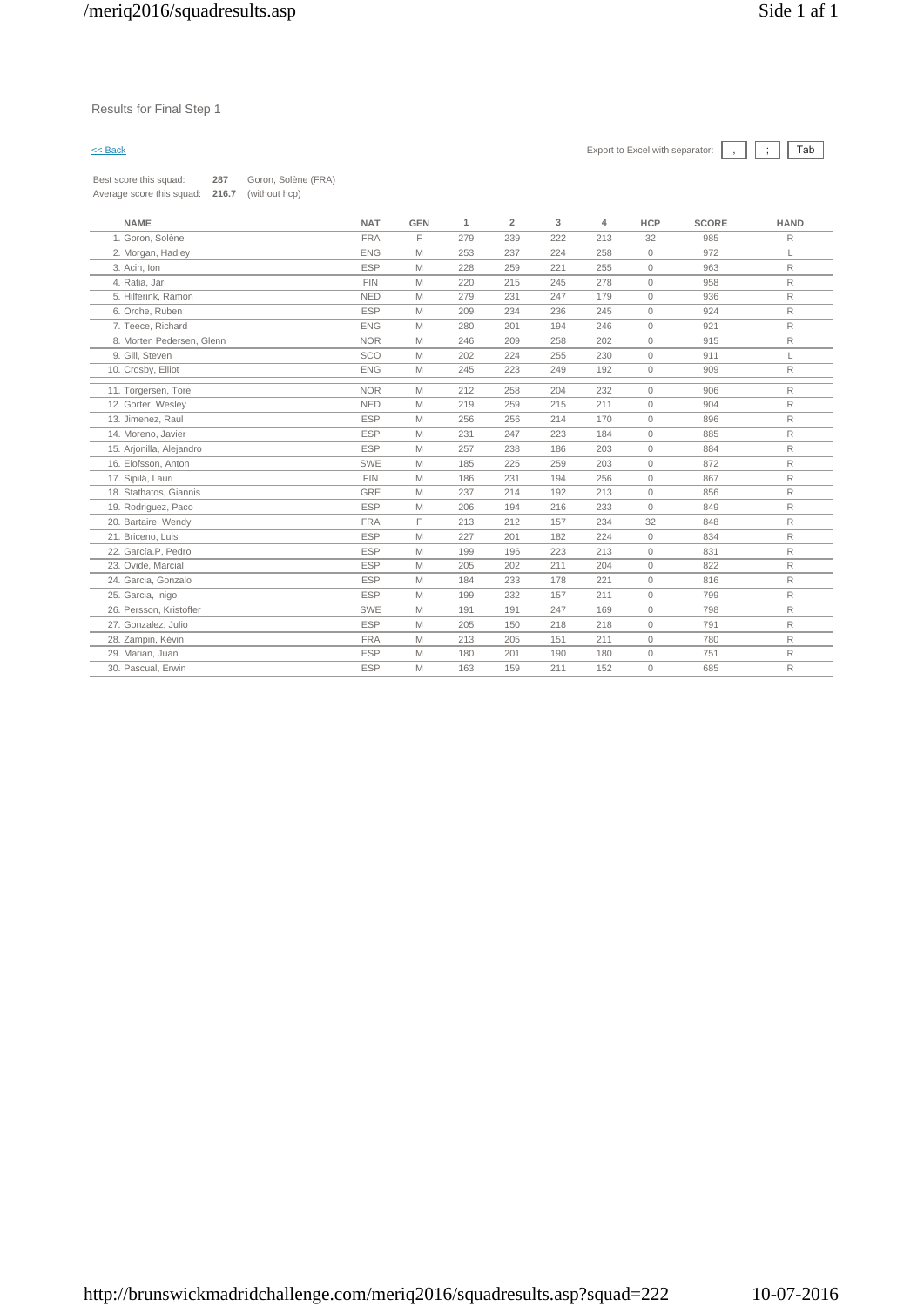### Results for Final Step 1

# $\leq$  Back Export to Excel with separator:  $\boxed{\phantom{s}}$ ,  $\boxed{\phantom{s}}$   $\boxed{\phantom{s}}$

| <b>NAME</b>               | <b>NAT</b> | <b>GEN</b> | $\mathbf{1}$ | $\overline{2}$ | 3   | $\overline{4}$ | <b>HCP</b> | <b>SCORE</b> | <b>HAND</b>  |
|---------------------------|------------|------------|--------------|----------------|-----|----------------|------------|--------------|--------------|
| 1. Goron, Solène          | <b>FRA</b> | F          | 279          | 239            | 222 | 213            | 32         | 985          | R            |
| 2. Morgan, Hadley         | <b>ENG</b> | M          | 253          | 237            | 224 | 258            | $\circ$    | 972          | L            |
| 3. Acin, Ion              | <b>ESP</b> | M          | 228          | 259            | 221 | 255            | 0          | 963          | R            |
| 4. Ratia, Jari            | <b>FIN</b> | M          | 220          | 215            | 245 | 278            | $\circ$    | 958          | $\mathsf{R}$ |
| 5. Hilferink, Ramon       | <b>NED</b> | M          | 279          | 231            | 247 | 179            | 0          | 936          | R            |
| 6. Orche, Ruben           | <b>ESP</b> | M          | 209          | 234            | 236 | 245            | 0          | 924          | R            |
| 7. Teece, Richard         | <b>ENG</b> | M          | 280          | 201            | 194 | 246            | $\circ$    | 921          | R            |
| 8. Morten Pedersen, Glenn | <b>NOR</b> | M          | 246          | 209            | 258 | 202            | $\circ$    | 915          | $\mathsf{R}$ |
| 9. Gill, Steven           | SCO        | M          | 202          | 224            | 255 | 230            | 0          | 911          | L            |
| 10. Crosby, Elliot        | <b>ENG</b> | M          | 245          | 223            | 249 | 192            | $\circ$    | 909          | R            |
| 11. Torgersen, Tore       | <b>NOR</b> | M          | 212          | 258            | 204 | 232            | $\circ$    | 906          | R            |
| 12. Gorter, Wesley        | <b>NED</b> | M          | 219          | 259            | 215 | 211            | $\circ$    | 904          | R            |
| 13. Jimenez, Raul         | <b>ESP</b> | M          | 256          | 256            | 214 | 170            | 0          | 896          | R            |
| 14. Moreno, Javier        | <b>ESP</b> | M          | 231          | 247            | 223 | 184            | $\circ$    | 885          | R            |
| 15. Arjonilla, Alejandro  | <b>ESP</b> | M          | 257          | 238            | 186 | 203            | $\circ$    | 884          | R            |
| 16. Elofsson, Anton       | SWE        | M          | 185          | 225            | 259 | 203            | $\circ$    | 872          | R            |
| 17. Sipilä, Lauri         | <b>FIN</b> | M          | 186          | 231            | 194 | 256            | $\circ$    | 867          | $\mathsf R$  |
| 18. Stathatos, Giannis    | <b>GRE</b> | M          | 237          | 214            | 192 | 213            | 0          | 856          | R            |
| 19. Rodriguez, Paco       | <b>ESP</b> | M          | 206          | 194            | 216 | 233            | $\circ$    | 849          | R            |
| 20. Bartaire, Wendy       | <b>FRA</b> | F          | 213          | 212            | 157 | 234            | 32         | 848          | R            |
| 21. Briceno, Luis         | <b>ESP</b> | M          | 227          | 201            | 182 | 224            | $\circ$    | 834          | R            |
| 22. García.P, Pedro       | <b>ESP</b> | M          | 199          | 196            | 223 | 213            | $\circ$    | 831          | $\mathsf{R}$ |
| 23. Ovide, Marcial        | <b>ESP</b> | M          | 205          | 202            | 211 | 204            | $\circ$    | 822          | $\mathsf R$  |
| 24. Garcia, Gonzalo       | <b>ESP</b> | M          | 184          | 233            | 178 | 221            | $\circ$    | 816          | R            |
| 25. Garcia, Inigo         | <b>ESP</b> | M          | 199          | 232            | 157 | 211            | $\circ$    | 799          | R            |
| 26. Persson, Kristoffer   | SWE        | M          | 191          | 191            | 247 | 169            | $\circ$    | 798          | R            |
| 27. Gonzalez, Julio       | <b>ESP</b> | M          | 205          | 150            | 218 | 218            | $\circ$    | 791          | $\mathsf R$  |
| 28. Zampin, Kévin         | <b>FRA</b> | Μ          | 213          | 205            | 151 | 211            | 0          | 780          | $\mathsf R$  |
| 29. Marian, Juan          | <b>ESP</b> | M          | 180          | 201            | 190 | 180            | $\circ$    | 751          | R            |
| 30. Pascual, Erwin        | <b>ESP</b> | M          | 163          | 159            | 211 | 152            | $\circ$    | 685          | R            |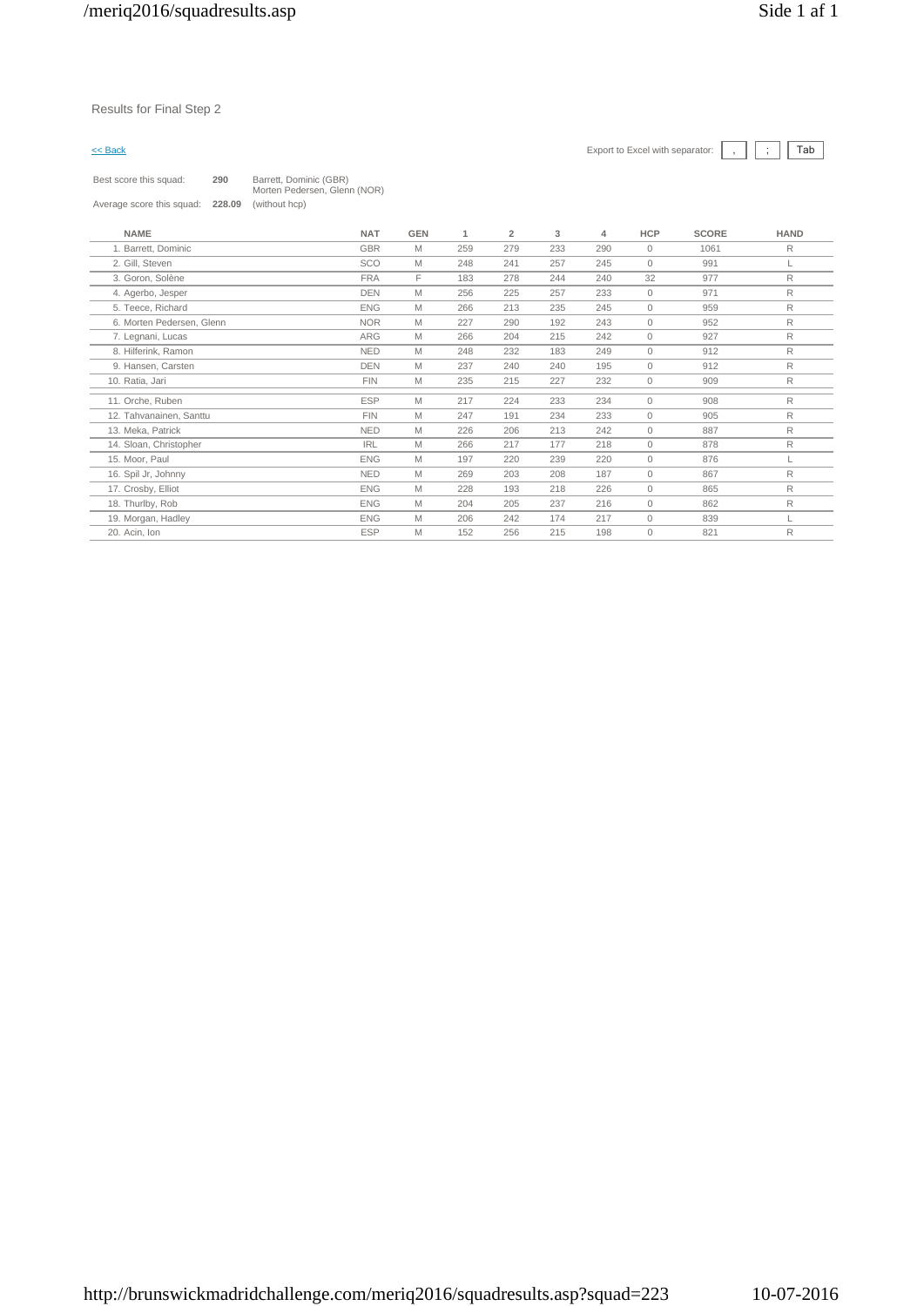# $\leq$  Back Export to Excel with separator:  $\boxed{\phantom{s}}$ ,  $\boxed{\phantom{s}}$   $\boxed{\phantom{s}}$

| Best score this squad:    | 290    | Barrett, Dominic (GBR)<br>Morten Pedersen, Glenn (NOR) |
|---------------------------|--------|--------------------------------------------------------|
| Average score this squad: | 228.09 | (without hcp)                                          |

| <b>NAME</b>               | <b>NAT</b> | <b>GEN</b> | 1   | $\overline{2}$ | 3   | 4   | <b>HCP</b>   | <b>SCORE</b> | <b>HAND</b> |
|---------------------------|------------|------------|-----|----------------|-----|-----|--------------|--------------|-------------|
| 1. Barrett, Dominic       | <b>GBR</b> | M          | 259 | 279            | 233 | 290 | 0            | 1061         | R           |
| 2. Gill, Steven           | SCO        | M          | 248 | 241            | 257 | 245 | $\circ$      | 991          | L           |
| 3. Goron, Solène          | <b>FRA</b> | F          | 183 | 278            | 244 | 240 | 32           | 977          | R           |
| 4. Agerbo, Jesper         | <b>DEN</b> | M          | 256 | 225            | 257 | 233 | $\circ$      | 971          | R           |
| 5. Teece, Richard         | <b>ENG</b> | M          | 266 | 213            | 235 | 245 | $\circ$      | 959          | R           |
| 6. Morten Pedersen, Glenn | <b>NOR</b> | M          | 227 | 290            | 192 | 243 | $\circ$      | 952          | R           |
| 7. Legnani, Lucas         | <b>ARG</b> | M          | 266 | 204            | 215 | 242 | $\circ$      | 927          | R           |
| 8. Hilferink, Ramon       | <b>NED</b> | M          | 248 | 232            | 183 | 249 | 0            | 912          | R           |
| 9. Hansen, Carsten        | <b>DEN</b> | M          | 237 | 240            | 240 | 195 | $\circ$      | 912          | R           |
| 10. Ratia, Jari           | <b>FIN</b> | M          | 235 | 215            | 227 | 232 | 0            | 909          | R           |
| 11. Orche, Ruben          | <b>ESP</b> | M          | 217 | 224            | 233 | 234 | 0            | 908          | R           |
| 12. Tahvanainen, Santtu   | <b>FIN</b> | M          | 247 | 191            | 234 | 233 | $\circ$      | 905          | R           |
| 13. Meka. Patrick         | <b>NED</b> | M          | 226 | 206            | 213 | 242 | $\mathbf 0$  | 887          | R           |
| 14. Sloan, Christopher    | <b>IRL</b> | M          | 266 | 217            | 177 | 218 | $\circ$      | 878          | R           |
| 15. Moor, Paul            | <b>ENG</b> | M          | 197 | 220            | 239 | 220 | $\circ$      | 876          | L           |
| 16. Spil Jr, Johnny       | <b>NED</b> | M          | 269 | 203            | 208 | 187 | 0            | 867          | R           |
| 17. Crosby, Elliot        | <b>ENG</b> | M          | 228 | 193            | 218 | 226 | $\circ$      | 865          | R           |
| 18. Thurlby, Rob          | <b>ENG</b> | M          | 204 | 205            | 237 | 216 | $\circ$      | 862          | R           |
| 19. Morgan, Hadley        | <b>ENG</b> | M          | 206 | 242            | 174 | 217 | $\circ$      | 839          |             |
| 20. Acin, Ion             | <b>ESP</b> | M          | 152 | 256            | 215 | 198 | $\mathbf{0}$ | 821          | R           |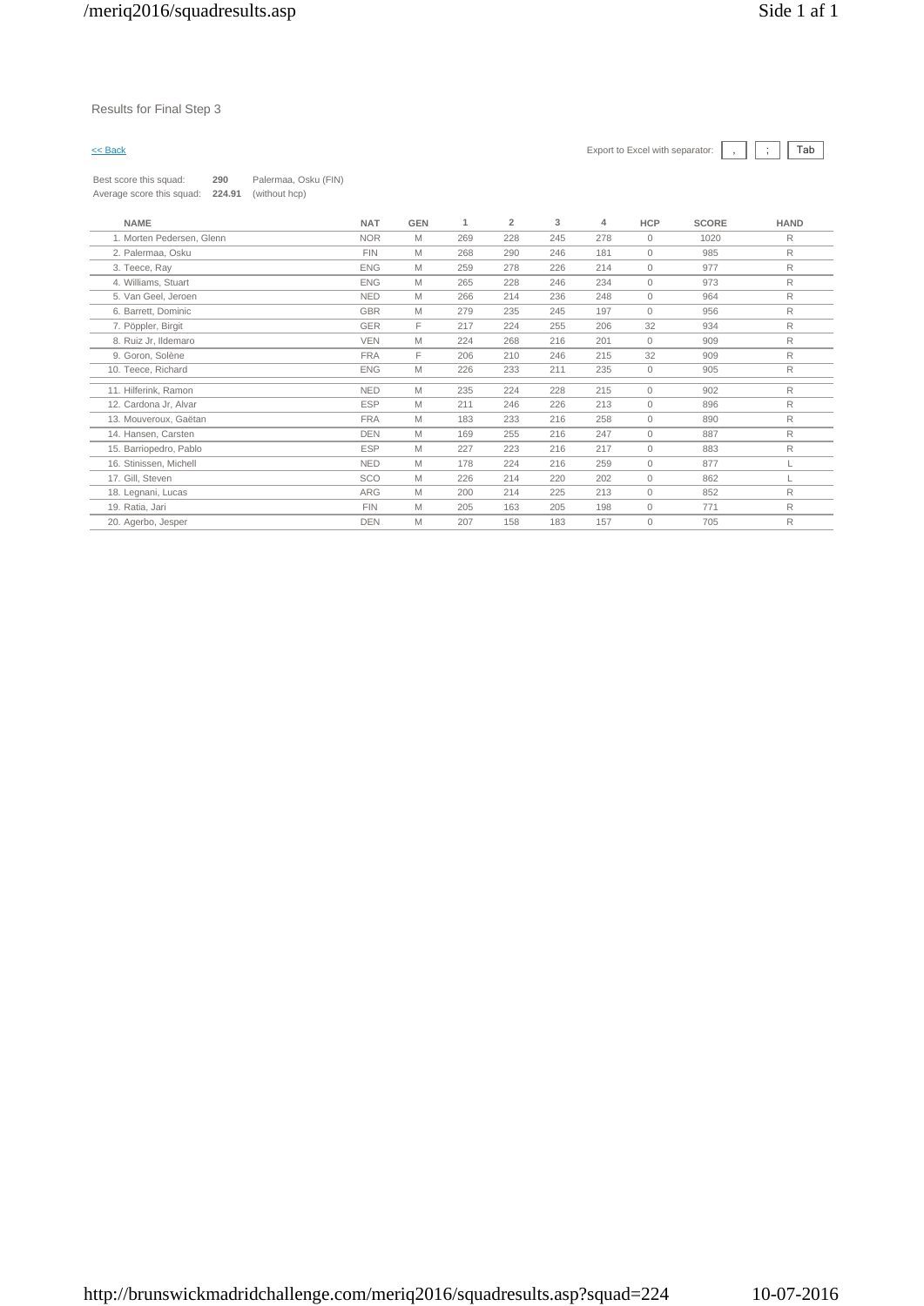# Results for Final Step 3

| Best score this squad:    | 290    | Palermaa, Osku (FIN) |
|---------------------------|--------|----------------------|
| Average score this squad: | 224.91 | (without hcp)        |

| <b>NAME</b>               | <b>NAT</b> | GEN | 1   | $\overline{2}$ | 3   | 4   | <b>HCP</b>   | <b>SCORE</b> | <b>HAND</b> |
|---------------------------|------------|-----|-----|----------------|-----|-----|--------------|--------------|-------------|
| 1. Morten Pedersen, Glenn | <b>NOR</b> | M   | 269 | 228            | 245 | 278 | $\mathbf{0}$ | 1020         | R           |
| 2. Palermaa, Osku         | <b>FIN</b> | M   | 268 | 290            | 246 | 181 | $\mathbf{0}$ | 985          | R           |
| 3. Teece, Ray             | <b>ENG</b> | M   | 259 | 278            | 226 | 214 | $\mathbf{0}$ | 977          | R           |
| 4. Williams, Stuart       | <b>ENG</b> | Μ   | 265 | 228            | 246 | 234 | $\mathbf{0}$ | 973          | R           |
| 5. Van Geel, Jeroen       | <b>NED</b> | M   | 266 | 214            | 236 | 248 | 0            | 964          | R           |
| 6. Barrett, Dominic       | GBR        | Μ   | 279 | 235            | 245 | 197 | $\mathbf{0}$ | 956          | R           |
| 7. Pöppler, Birgit        | <b>GER</b> | F   | 217 | 224            | 255 | 206 | 32           | 934          | R           |
| 8. Ruiz Jr, Ildemaro      | <b>VEN</b> | M   | 224 | 268            | 216 | 201 | $\mathbf{0}$ | 909          | R           |
| 9. Goron, Solène          | <b>FRA</b> | F   | 206 | 210            | 246 | 215 | 32           | 909          | R           |
| 10. Teece, Richard        | <b>ENG</b> | M   | 226 | 233            | 211 | 235 | $\circ$      | 905          | R           |
| 11. Hilferink, Ramon      | <b>NED</b> | M   | 235 | 224            | 228 | 215 | $\circ$      | 902          | R           |
| 12. Cardona Jr, Alvar     | <b>ESP</b> | M   | 211 | 246            | 226 | 213 | $\mathbf{0}$ | 896          | R           |
| 13. Mouveroux, Gaëtan     | <b>FRA</b> | M   | 183 | 233            | 216 | 258 | $\mathbf{0}$ | 890          | R           |
| 14. Hansen, Carsten       | <b>DEN</b> | M   | 169 | 255            | 216 | 247 | $\mathbf{0}$ | 887          | R           |
| 15. Barriopedro, Pablo    | <b>ESP</b> | M   | 227 | 223            | 216 | 217 | $\mathbf{0}$ | 883          | R           |
| 16. Stinissen, Michell    | <b>NED</b> | M   | 178 | 224            | 216 | 259 | $\circ$      | 877          |             |
| 17. Gill, Steven          | SCO        | M   | 226 | 214            | 220 | 202 | $\circ$      | 862          |             |
| 18. Legnani, Lucas        | <b>ARG</b> | M   | 200 | 214            | 225 | 213 | 0            | 852          | R           |
| 19. Ratia, Jari           | <b>FIN</b> | M   | 205 | 163            | 205 | 198 | $\mathbf{0}$ | 771          | R           |
| 20. Agerbo, Jesper        | <b>DEN</b> | M   | 207 | 158            | 183 | 157 | $\circ$      | 705          | R           |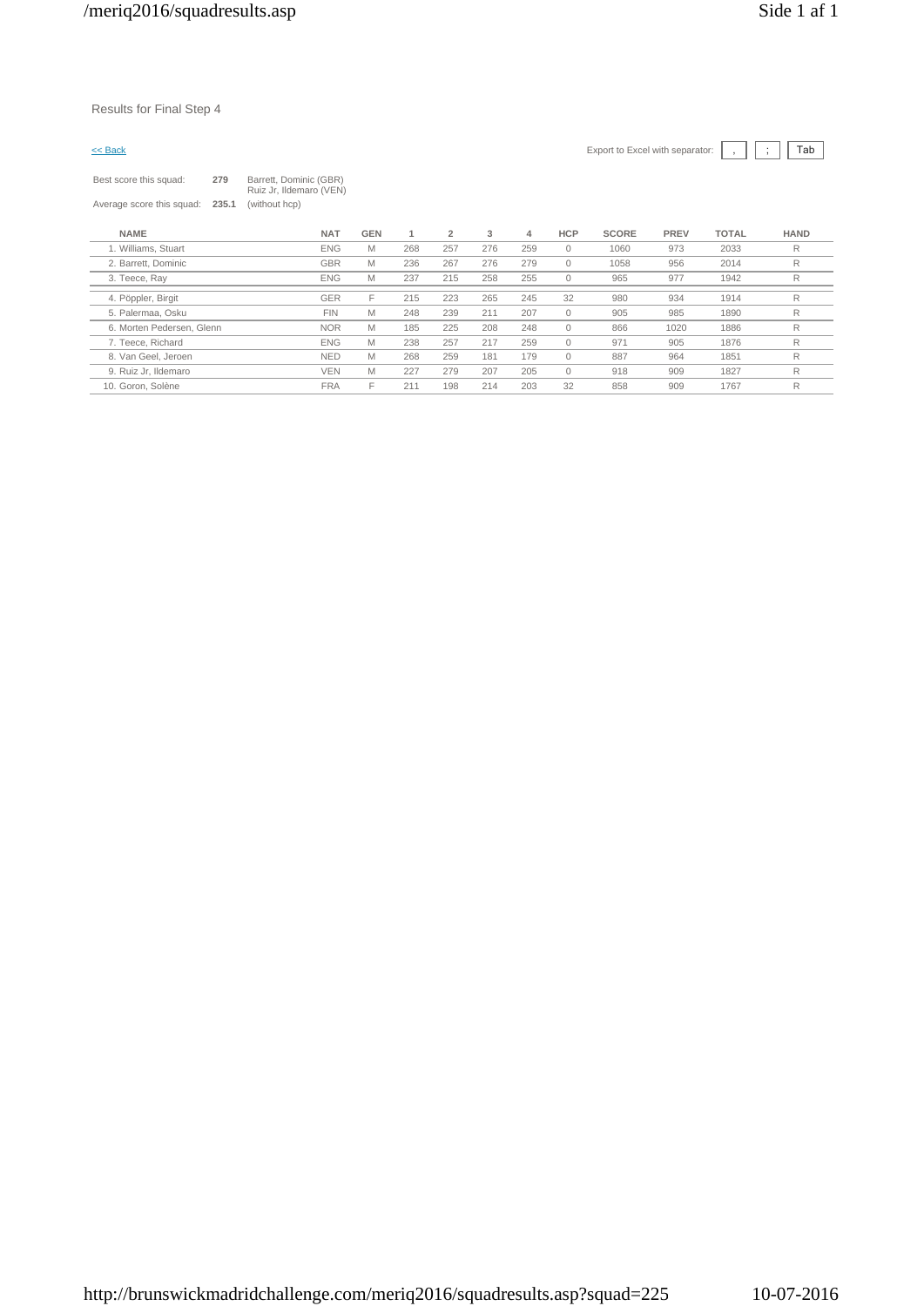Results for Final Step 4

| $<<$ Back                 |       |                                                   |            |     |                |     |     |              | Export to Excel with separator: |             |              | Tab         |
|---------------------------|-------|---------------------------------------------------|------------|-----|----------------|-----|-----|--------------|---------------------------------|-------------|--------------|-------------|
| Best score this squad:    | 279   | Barrett, Dominic (GBR)<br>Ruiz Jr, Ildemaro (VEN) |            |     |                |     |     |              |                                 |             |              |             |
| Average score this squad: | 235.1 | (without hcp)                                     |            |     |                |     |     |              |                                 |             |              |             |
| <b>NAME</b>               |       | <b>NAT</b>                                        | <b>GEN</b> | 1   | $\overline{2}$ | 3   | 4   | <b>HCP</b>   | <b>SCORE</b>                    | <b>PREV</b> | <b>TOTAL</b> | <b>HAND</b> |
| 1. Williams, Stuart       |       | <b>ENG</b>                                        | M          | 268 | 257            | 276 | 259 | $\mathbf{0}$ | 1060                            | 973         | 2033         | R           |
| 2. Barrett, Dominic       |       | <b>GBR</b>                                        | M          | 236 | 267            | 276 | 279 | $\mathbf{0}$ | 1058                            | 956         | 2014         | R           |
| 3. Teece, Rav             |       | <b>ENG</b>                                        | M          | 237 | 215            | 258 | 255 | $\mathbf{0}$ | 965                             | 977         | 1942         | R           |
| 4. Pöppler, Birgit        |       | <b>GER</b>                                        | F          | 215 | 223            | 265 | 245 | 32           | 980                             | 934         | 1914         | R           |
| 5. Palermaa, Osku         |       | <b>FIN</b>                                        | M          | 248 | 239            | 211 | 207 | $\mathbf{0}$ | 905                             | 985         | 1890         | R           |
| 6. Morten Pedersen, Glenn |       | <b>NOR</b>                                        | M          | 185 | 225            | 208 | 248 | $\mathbf 0$  | 866                             | 1020        | 1886         | R           |
| 7. Teece, Richard         |       | <b>ENG</b>                                        | M          | 238 | 257            | 217 | 259 | $\mathbf{0}$ | 971                             | 905         | 1876         | R           |

8. Van Geel, Jeroen NED M 268 259 181 179 0 887 964 1851 R

10. Goron, Solène FRA F 211 198 214 203 32 858 909 1767 R

9. Ruiz Jr, Ildemaro VEN M 227 279 207 205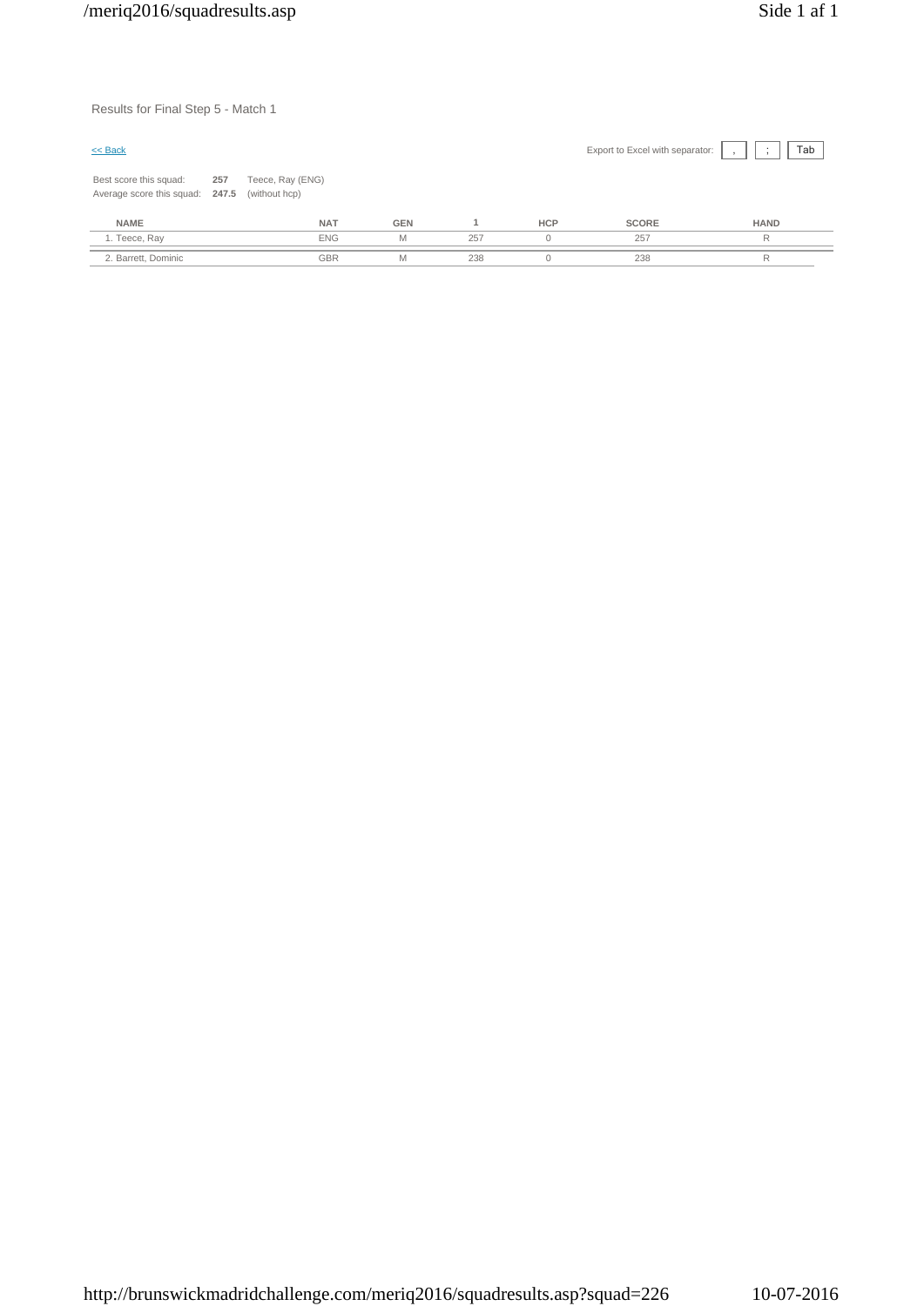Results for Final Step 5 - Match 1

| $\leq$ Back                                               |     |                                   |            |     |            | Export to Excel with separator: | Tab<br>$\overline{\phantom{a}}$ |
|-----------------------------------------------------------|-----|-----------------------------------|------------|-----|------------|---------------------------------|---------------------------------|
| Best score this squad:<br>Average score this squad: 247.5 | 257 | Teece, Ray (ENG)<br>(without hcp) |            |     |            |                                 |                                 |
| <b>NAME</b>                                               |     | <b>NAT</b>                        | <b>GEN</b> |     | <b>HCP</b> | <b>SCORE</b>                    | <b>HAND</b>                     |
| 1. Teece, Ray                                             |     | <b>ENG</b>                        | M          | 257 | $\Omega$   | 257                             | R                               |
| 2. Barrett, Dominic                                       |     | <b>GBR</b>                        | M          | 238 | u          | 238                             | R                               |